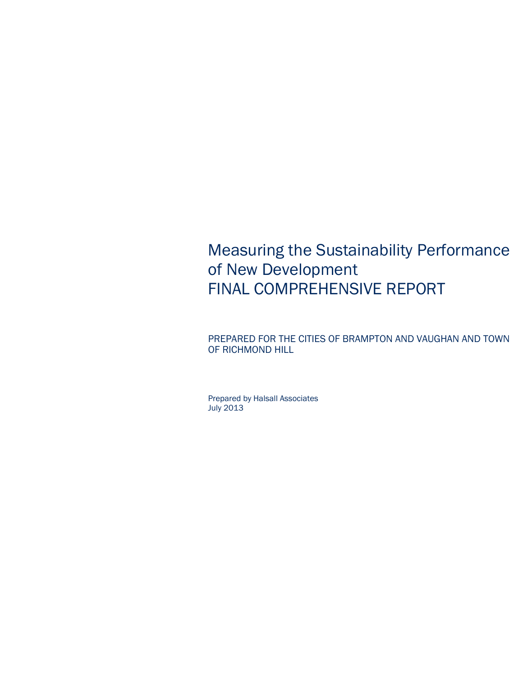## Measuring the Sustainability Performance of New Development FINAL COMPREHENSIVE REPORT

PREPARED FOR THE CITIES OF BRAMPTON AND VAUGHAN AND TOWN OF RICHMOND HILL

Prepared by Halsall Associates July 2013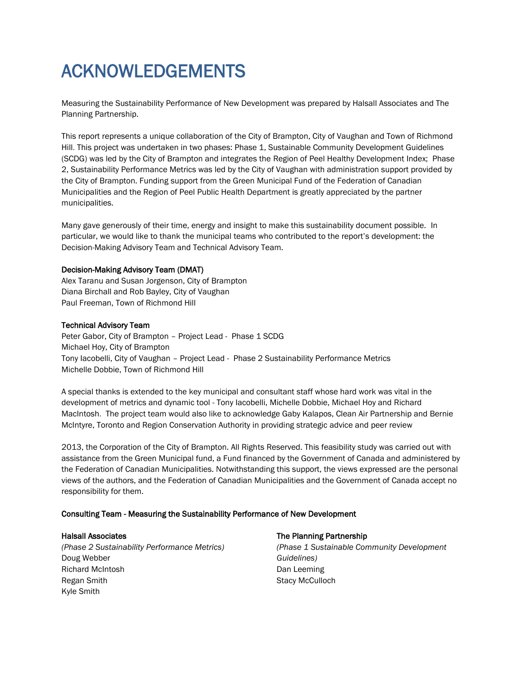## ACKNOWLEDGEMENTS

Measuring the Sustainability Performance of New Development was prepared by Halsall Associates and The Planning Partnership.

This report represents a unique collaboration of the City of Brampton, City of Vaughan and Town of Richmond Hill. This project was undertaken in two phases: Phase 1, Sustainable Community Development Guidelines (SCDG) was led by the City of Brampton and integrates the Region of Peel Healthy Development Index; Phase 2, Sustainability Performance Metrics was led by the City of Vaughan with administration support provided by the City of Brampton. Funding support from the Green Municipal Fund of the Federation of Canadian Municipalities and the Region of Peel Public Health Department is greatly appreciated by the partner municipalities.

Many gave generously of their time, energy and insight to make this sustainability document possible. In particular, we would like to thank the municipal teams who contributed to the report's development: the Decision-Making Advisory Team and Technical Advisory Team.

#### Decision-Making Advisory Team (DMAT)

Alex Taranu and Susan Jorgenson, City of Brampton Diana Birchall and Rob Bayley, City of Vaughan Paul Freeman, Town of Richmond Hill

#### Technical Advisory Team

Peter Gabor, City of Brampton – Project Lead - Phase 1 SCDG Michael Hoy, City of Brampton Tony Iacobelli, City of Vaughan – Project Lead - Phase 2 Sustainability Performance Metrics Michelle Dobbie, Town of Richmond Hill

A special thanks is extended to the key municipal and consultant staff whose hard work was vital in the development of metrics and dynamic tool - Tony Iacobelli, Michelle Dobbie, Michael Hoy and Richard MacIntosh. The project team would also like to acknowledge Gaby Kalapos, Clean Air Partnership and Bernie McIntyre, Toronto and Region Conservation Authority in providing strategic advice and peer review

2013, the Corporation of the City of Brampton. All Rights Reserved. This feasibility study was carried out with assistance from the Green Municipal fund, a Fund financed by the Government of Canada and administered by the Federation of Canadian Municipalities. Notwithstanding this support, the views expressed are the personal views of the authors, and the Federation of Canadian Municipalities and the Government of Canada accept no responsibility for them.

#### Consulting Team - Measuring the Sustainability Performance of New Development

#### Halsall Associates

*(Phase 2 Sustainability Performance Metrics)* Doug Webber Richard McIntosh Regan Smith Kyle Smith

#### The Planning Partnership

*(Phase 1 Sustainable Community Development Guidelines)* Dan Leeming Stacy McCulloch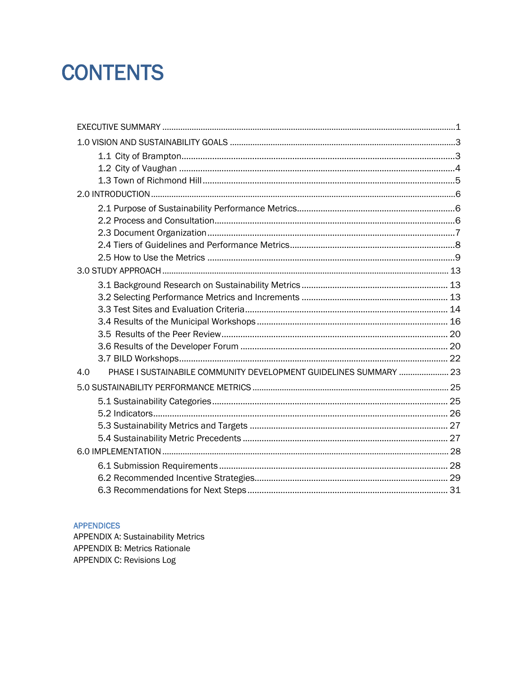# **CONTENTS**

| PHASE I SUSTAINABILE COMMUNITY DEVELOPMENT GUIDELINES SUMMARY  23<br>4.0 |  |
|--------------------------------------------------------------------------|--|
|                                                                          |  |
|                                                                          |  |
|                                                                          |  |
|                                                                          |  |
|                                                                          |  |
|                                                                          |  |
|                                                                          |  |
|                                                                          |  |
|                                                                          |  |

#### **APPENDICES**

**APPENDIX A: Sustainability Metrics** APPENDIX B: Metrics Rationale APPENDIX C: Revisions Log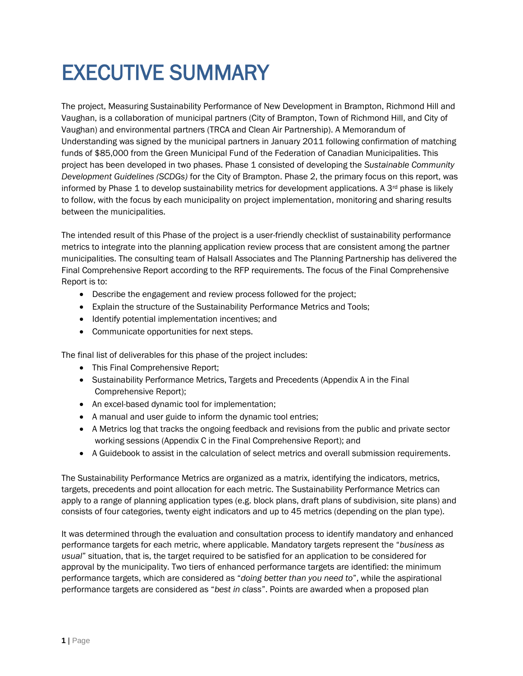# EXECUTIVE SUMMARY

The project, Measuring Sustainability Performance of New Development in Brampton, Richmond Hill and Vaughan, is a collaboration of municipal partners (City of Brampton, Town of Richmond Hill, and City of Vaughan) and environmental partners (TRCA and Clean Air Partnership). A Memorandum of Understanding was signed by the municipal partners in January 2011 following confirmation of matching funds of \$85,000 from the Green Municipal Fund of the Federation of Canadian Municipalities. This project has been developed in two phases. Phase 1 consisted of developing the *Sustainable Community Development Guidelines (SCDGs)* for the City of Brampton. Phase 2, the primary focus on this report, was informed by Phase 1 to develop sustainability metrics for development applications. A  $3<sup>rd</sup>$  phase is likely to follow, with the focus by each municipality on project implementation, monitoring and sharing results between the municipalities.

The intended result of this Phase of the project is a user-friendly checklist of sustainability performance metrics to integrate into the planning application review process that are consistent among the partner municipalities. The consulting team of Halsall Associates and The Planning Partnership has delivered the Final Comprehensive Report according to the RFP requirements. The focus of the Final Comprehensive Report is to:

- Describe the engagement and review process followed for the project;
- Explain the structure of the Sustainability Performance Metrics and Tools;
- Identify potential implementation incentives; and
- Communicate opportunities for next steps.

The final list of deliverables for this phase of the project includes:

- This Final Comprehensive Report:
- Sustainability Performance Metrics, Targets and Precedents (Appendix A in the Final Comprehensive Report);
- An excel-based dynamic tool for implementation;
- A manual and user guide to inform the dynamic tool entries;
- A Metrics log that tracks the ongoing feedback and revisions from the public and private sector working sessions (Appendix C in the Final Comprehensive Report); and
- A Guidebook to assist in the calculation of select metrics and overall submission requirements.

The Sustainability Performance Metrics are organized as a matrix, identifying the indicators, metrics, targets, precedents and point allocation for each metric. The Sustainability Performance Metrics can apply to a range of planning application types (e.g. block plans, draft plans of subdivision, site plans) and consists of four categories, twenty eight indicators and up to 45 metrics (depending on the plan type).

It was determined through the evaluation and consultation process to identify mandatory and enhanced performance targets for each metric, where applicable. Mandatory targets represent the "*business as usual*" situation, that is, the target required to be satisfied for an application to be considered for approval by the municipality. Two tiers of enhanced performance targets are identified: the minimum performance targets, which are considered as "*doing better than you need to*", while the aspirational performance targets are considered as "*best in class*". Points are awarded when a proposed plan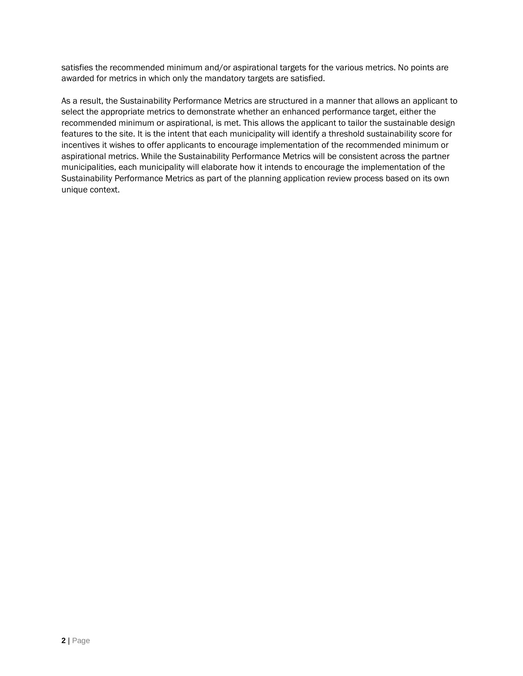satisfies the recommended minimum and/or aspirational targets for the various metrics. No points are awarded for metrics in which only the mandatory targets are satisfied.

As a result, the Sustainability Performance Metrics are structured in a manner that allows an applicant to select the appropriate metrics to demonstrate whether an enhanced performance target, either the recommended minimum or aspirational, is met. This allows the applicant to tailor the sustainable design features to the site. It is the intent that each municipality will identify a threshold sustainability score for incentives it wishes to offer applicants to encourage implementation of the recommended minimum or aspirational metrics. While the Sustainability Performance Metrics will be consistent across the partner municipalities, each municipality will elaborate how it intends to encourage the implementation of the Sustainability Performance Metrics as part of the planning application review process based on its own unique context.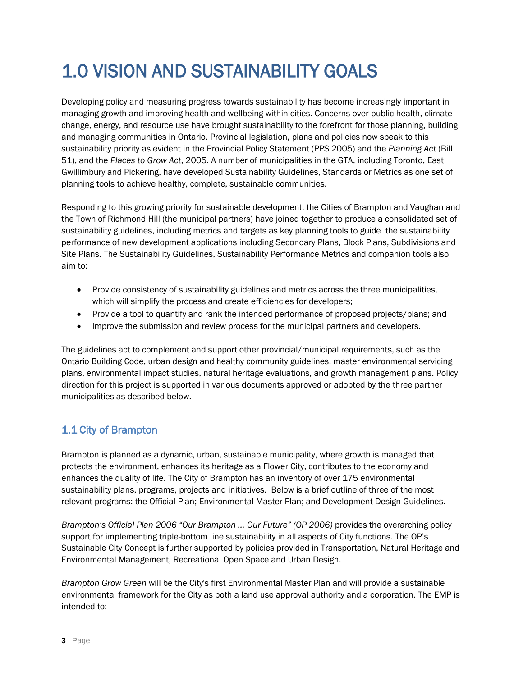## 1.0 VISION AND SUSTAINABILITY GOALS

Developing policy and measuring progress towards sustainability has become increasingly important in managing growth and improving health and wellbeing within cities. Concerns over public health, climate change, energy, and resource use have brought sustainability to the forefront for those planning, building and managing communities in Ontario. Provincial legislation, plans and policies now speak to this sustainability priority as evident in the Provincial Policy Statement (PPS 2005) and the *Planning Act* (Bill 51), and the *Places to Grow Act*, 2005. A number of municipalities in the GTA, including Toronto, East Gwillimbury and Pickering, have developed Sustainability Guidelines, Standards or Metrics as one set of planning tools to achieve healthy, complete, sustainable communities.

Responding to this growing priority for sustainable development, the Cities of Brampton and Vaughan and the Town of Richmond Hill (the municipal partners) have joined together to produce a consolidated set of sustainability guidelines, including metrics and targets as key planning tools to guide the sustainability performance of new development applications including Secondary Plans, Block Plans, Subdivisions and Site Plans. The Sustainability Guidelines, Sustainability Performance Metrics and companion tools also aim to:

- Provide consistency of sustainability guidelines and metrics across the three municipalities, which will simplify the process and create efficiencies for developers;
- Provide a tool to quantify and rank the intended performance of proposed projects/plans; and
- Improve the submission and review process for the municipal partners and developers.

The guidelines act to complement and support other provincial/municipal requirements, such as the Ontario Building Code, urban design and healthy community guidelines, master environmental servicing plans, environmental impact studies, natural heritage evaluations, and growth management plans. Policy direction for this project is supported in various documents approved or adopted by the three partner municipalities as described below.

## 1.1 City of Brampton

Brampton is planned as a dynamic, urban, sustainable municipality, where growth is managed that protects the environment, enhances its heritage as a Flower City, contributes to the economy and enhances the quality of life. The City of Brampton has an inventory of over 175 environmental sustainability plans, programs, projects and initiatives. Below is a brief outline of three of the most relevant programs: the Official Plan; Environmental Master Plan; and Development Design Guidelines.

*Brampton's Official Plan 2006 "Our Brampton … Our Future" (OP 2006)* provides the overarching policy support for implementing triple-bottom line sustainability in all aspects of City functions. The OP's Sustainable City Concept is further supported by policies provided in Transportation, Natural Heritage and Environmental Management, Recreational Open Space and Urban Design.

*Brampton Grow Green* will be the City's first Environmental Master Plan and will provide a sustainable environmental framework for the City as both a land use approval authority and a corporation. The EMP is intended to: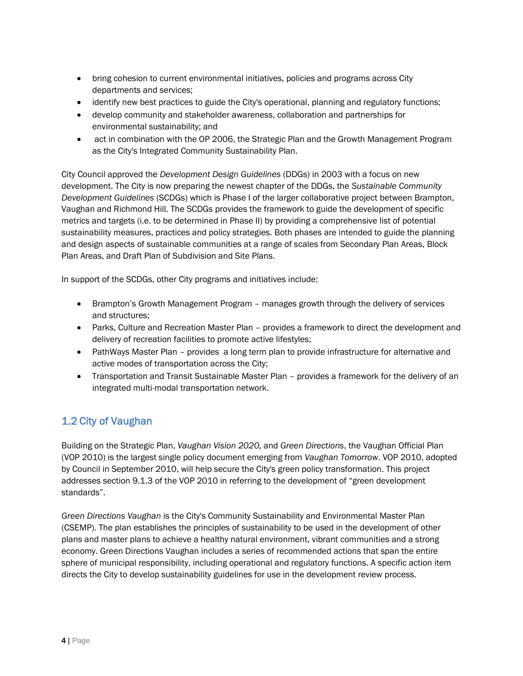- bring cohesion to current environmental initiatives, policies and programs across City departments and services;
- identify new best practices to guide the City's operational, planning and regulatory functions;
- develop community and stakeholder awareness, collaboration and partnerships for environmental sustainability; and
- act in combination with the OP 2006, the Strategic Plan and the Growth Management Program as the City's Integrated Community Sustainability Plan.

City Council approved the *Development Design Guidelines* (DDGs) in 2003 with a focus on new development. The City is now preparing the newest chapter of the DDGs, the *Sustainable Community Development Guidelines* (SCDGs) which is Phase I of the larger collaborative project between Brampton, Vaughan and Richmond Hill. The SCDGs provides the framework to guide the development of specific metrics and targets (i.e. to be determined in Phase II) by providing a comprehensive list of potential sustainability measures, practices and policy strategies. Both phases are intended to guide the planning and design aspects of sustainable communities at a range of scales from Secondary Plan Areas, Block Plan Areas, and Draft Plan of Subdivision and Site Plans.

In support of the SCDGs, other City programs and initiatives include:

- Brampton's Growth Management Program manages growth through the delivery of services and structures;
- Parks, Culture and Recreation Master Plan provides a framework to direct the development and delivery of recreation facilities to promote active lifestyles;
- PathWays Master Plan provides a long term plan to provide infrastructure for alternative and active modes of transportation across the City;
- Transportation and Transit Sustainable Master Plan provides a framework for the delivery of an integrated multi-modal transportation network.

## 1.2 City of Vaughan

Building on the Strategic Plan, *Vaughan Vision 2020,* and *Green Directions*, the Vaughan Official Plan (VOP 2010) is the largest single policy document emerging from *Vaughan Tomorrow*. VOP 2010, adopted by Council in September 2010, will help secure the City's green policy transformation. This project addresses section 9.1.3 of the VOP 2010 in referring to the development of "green development standards".

*Green Directions Vaughan* is the City's Community Sustainability and Environmental Master Plan (CSEMP). The plan establishes the principles of sustainability to be used in the development of other plans and master plans to achieve a healthy natural environment, vibrant communities and a strong economy. Green Directions Vaughan includes a series of recommended actions that span the entire sphere of municipal responsibility, including operational and regulatory functions. A specific action item directs the City to develop sustainability guidelines for use in the development review process.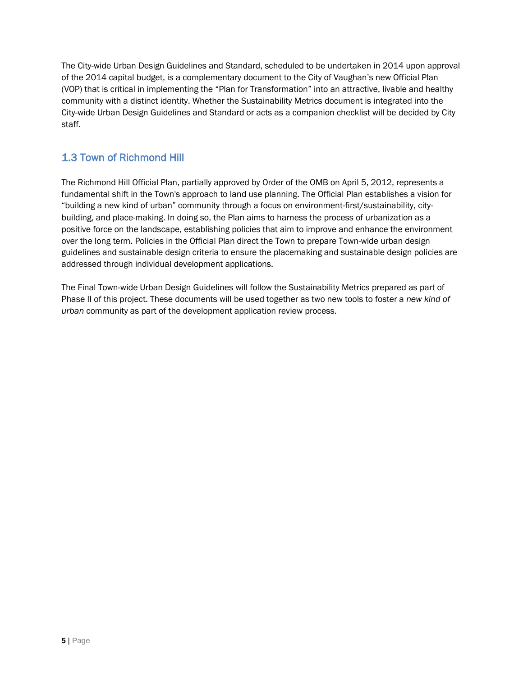The City-wide Urban Design Guidelines and Standard, scheduled to be undertaken in 2014 upon approval of the 2014 capital budget, is a complementary document to the City of Vaughan's new Official Plan (VOP) that is critical in implementing the "Plan for Transformation" into an attractive, livable and healthy community with a distinct identity. Whether the Sustainability Metrics document is integrated into the City-wide Urban Design Guidelines and Standard or acts as a companion checklist will be decided by City staff.

## 1.3 Town of Richmond Hill

The Richmond Hill Official Plan, partially approved by Order of the OMB on April 5, 2012, represents a fundamental shift in the Town's approach to land use planning. The Official Plan establishes a vision for "building a new kind of urban" community through a focus on environment-first/sustainability, citybuilding, and place-making. In doing so, the Plan aims to harness the process of urbanization as a positive force on the landscape, establishing policies that aim to improve and enhance the environment over the long term. Policies in the Official Plan direct the Town to prepare Town-wide urban design guidelines and sustainable design criteria to ensure the placemaking and sustainable design policies are addressed through individual development applications.

The Final Town-wide Urban Design Guidelines will follow the Sustainability Metrics prepared as part of Phase II of this project. These documents will be used together as two new tools to foster a *new kind of urban* community as part of the development application review process.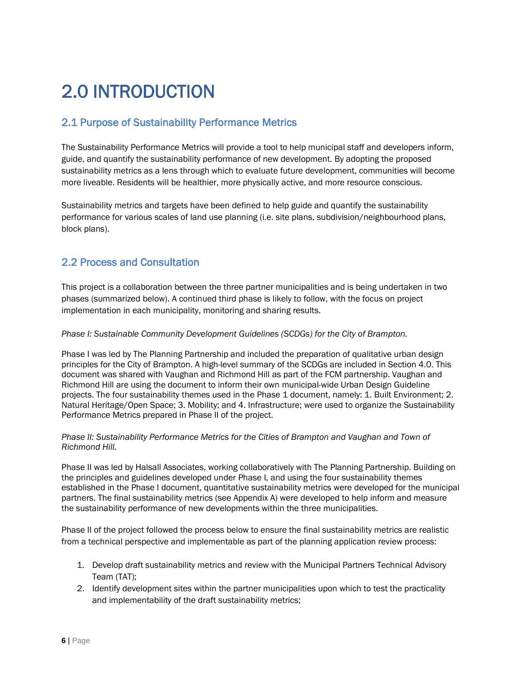## 2.0 INTRODUCTION

## 2.1 Purpose of Sustainability Performance Metrics

The Sustainability Performance Metrics will provide a tool to help municipal staff and developers inform, guide, and quantify the sustainability performance of new development. By adopting the proposed sustainability metrics as a lens through which to evaluate future development, communities will become more liveable. Residents will be healthier, more physically active, and more resource conscious.

Sustainability metrics and targets have been defined to help guide and quantify the sustainability performance for various scales of land use planning (i.e. site plans, subdivision/neighbourhood plans, block plans).

## 2.2 Process and Consultation

This project is a collaboration between the three partner municipalities and is being undertaken in two phases (summarized below). A continued third phase is likely to follow, with the focus on project implementation in each municipality, monitoring and sharing results.

#### *Phase I: Sustainable Community Development Guidelines (SCDGs) for the City of Brampton.*

Phase I was led by The Planning Partnership and included the preparation of qualitative urban design principles for the City of Brampton. A high-level summary of the SCDGs are included in Section 4.0. This document was shared with Vaughan and Richmond Hill as part of the FCM partnership. Vaughan and Richmond Hill are using the document to inform their own municipal-wide Urban Design Guideline projects. The four sustainability themes used in the Phase 1 document, namely: 1. Built Environment; 2. Natural Heritage/Open Space; 3. Mobility; and 4. Infrastructure; were used to organize the Sustainability Performance Metrics prepared in Phase II of the project.

#### *Phase II: Sustainability Performance Metrics for the Cities of Brampton and Vaughan and Town of Richmond Hill.*

Phase II was led by Halsall Associates, working collaboratively with The Planning Partnership. Building on the principles and guidelines developed under Phase I, and using the four sustainability themes established in the Phase I document, quantitative sustainability metrics were developed for the municipal partners. The final sustainability metrics (see Appendix A) were developed to help inform and measure the sustainability performance of new developments within the three municipalities.

Phase II of the project followed the process below to ensure the final sustainability metrics are realistic from a technical perspective and implementable as part of the planning application review process:

- 1. Develop draft sustainability metrics and review with the Municipal Partners Technical Advisory Team (TAT);
- 2. Identify development sites within the partner municipalities upon which to test the practicality and implementability of the draft sustainability metrics;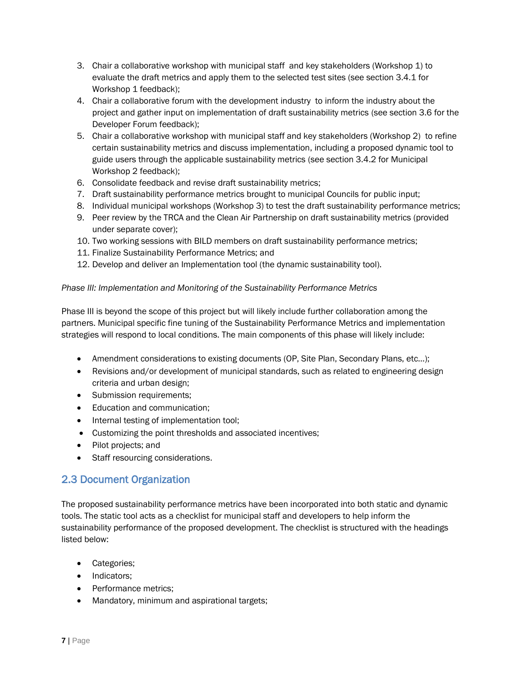- 3. Chair a collaborative workshop with municipal staff and key stakeholders (Workshop 1) to evaluate the draft metrics and apply them to the selected test sites (see section 3.4.1 for Workshop 1 feedback);
- 4. Chair a collaborative forum with the development industry to inform the industry about the project and gather input on implementation of draft sustainability metrics (see section 3.6 for the Developer Forum feedback);
- 5. Chair a collaborative workshop with municipal staff and key stakeholders (Workshop 2) to refine certain sustainability metrics and discuss implementation, including a proposed dynamic tool to guide users through the applicable sustainability metrics (see section 3.4.2 for Municipal Workshop 2 feedback);
- 6. Consolidate feedback and revise draft sustainability metrics;
- 7. Draft sustainability performance metrics brought to municipal Councils for public input;
- 8. Individual municipal workshops (Workshop 3) to test the draft sustainability performance metrics;
- 9. Peer review by the TRCA and the Clean Air Partnership on draft sustainability metrics (provided under separate cover);
- 10. Two working sessions with BILD members on draft sustainability performance metrics;
- 11. Finalize Sustainability Performance Metrics; and
- 12. Develop and deliver an Implementation tool (the dynamic sustainability tool).

#### *Phase III: Implementation and Monitoring of the Sustainability Performance Metrics*

Phase III is beyond the scope of this project but will likely include further collaboration among the partners. Municipal specific fine tuning of the Sustainability Performance Metrics and implementation strategies will respond to local conditions. The main components of this phase will likely include:

- Amendment considerations to existing documents (OP, Site Plan, Secondary Plans, etc…);
- Revisions and/or development of municipal standards, such as related to engineering design criteria and urban design;
- Submission requirements;
- Education and communication;
- Internal testing of implementation tool;
- Customizing the point thresholds and associated incentives;
- Pilot projects; and
- Staff resourcing considerations.

### 2.3 Document Organization

The proposed sustainability performance metrics have been incorporated into both static and dynamic tools. The static tool acts as a checklist for municipal staff and developers to help inform the sustainability performance of the proposed development. The checklist is structured with the headings listed below:

- Categories;
- Indicators;
- Performance metrics:
- Mandatory, minimum and aspirational targets;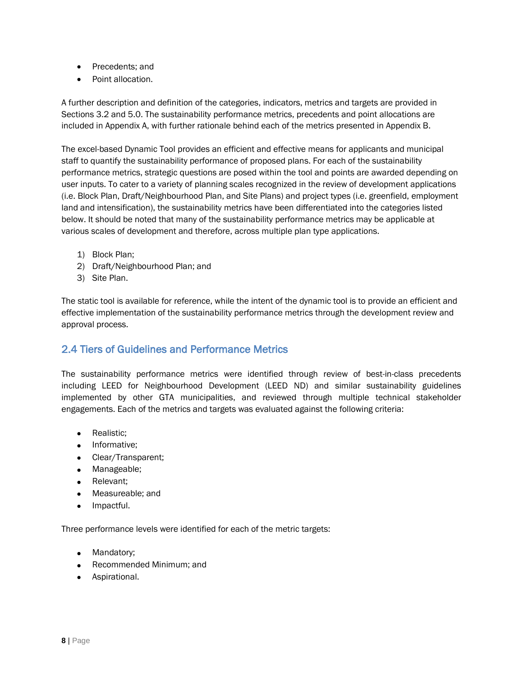- Precedents; and
- Point allocation.

A further description and definition of the categories, indicators, metrics and targets are provided in Sections 3.2 and 5.0. The sustainability performance metrics, precedents and point allocations are included in Appendix A, with further rationale behind each of the metrics presented in Appendix B.

The excel-based Dynamic Tool provides an efficient and effective means for applicants and municipal staff to quantify the sustainability performance of proposed plans. For each of the sustainability performance metrics, strategic questions are posed within the tool and points are awarded depending on user inputs. To cater to a variety of planning scales recognized in the review of development applications (i.e. Block Plan, Draft/Neighbourhood Plan, and Site Plans) and project types (i.e. greenfield, employment land and intensification), the sustainability metrics have been differentiated into the categories listed below. It should be noted that many of the sustainability performance metrics may be applicable at various scales of development and therefore, across multiple plan type applications.

- 1) Block Plan;
- 2) Draft/Neighbourhood Plan; and
- 3) Site Plan.

The static tool is available for reference, while the intent of the dynamic tool is to provide an efficient and effective implementation of the sustainability performance metrics through the development review and approval process.

## 2.4 Tiers of Guidelines and Performance Metrics

The sustainability performance metrics were identified through review of best-in-class precedents including LEED for Neighbourhood Development (LEED ND) and similar sustainability guidelines implemented by other GTA municipalities, and reviewed through multiple technical stakeholder engagements. Each of the metrics and targets was evaluated against the following criteria:

- Realistic:
- Informative;
- Clear/Transparent;
- Manageable;
- Relevant;
- Measureable; and
- Impactful.

Three performance levels were identified for each of the metric targets:

- Mandatory;
- Recommended Minimum; and
- Aspirational.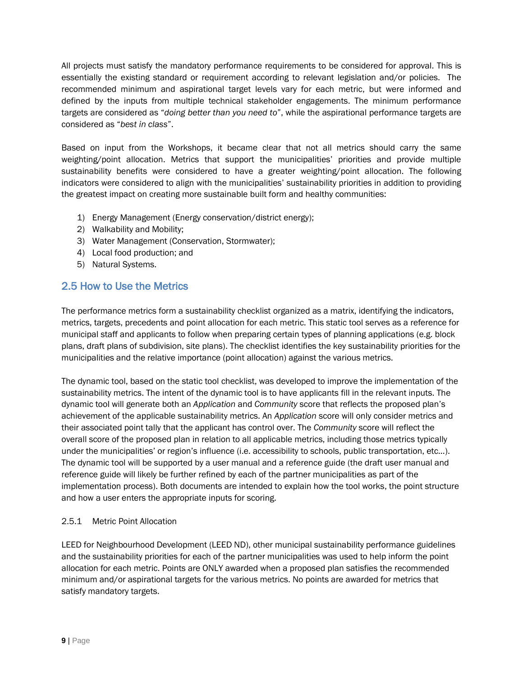All projects must satisfy the mandatory performance requirements to be considered for approval. This is essentially the existing standard or requirement according to relevant legislation and/or policies. The recommended minimum and aspirational target levels vary for each metric, but were informed and defined by the inputs from multiple technical stakeholder engagements. The minimum performance targets are considered as "*doing better than you need to*", while the aspirational performance targets are considered as "*best in class*".

Based on input from the Workshops, it became clear that not all metrics should carry the same weighting/point allocation. Metrics that support the municipalities' priorities and provide multiple sustainability benefits were considered to have a greater weighting/point allocation. The following indicators were considered to align with the municipalities' sustainability priorities in addition to providing the greatest impact on creating more sustainable built form and healthy communities:

- 1) Energy Management (Energy conservation/district energy);
- 2) Walkability and Mobility;
- 3) Water Management (Conservation, Stormwater);
- 4) Local food production; and
- 5) Natural Systems.

### 2.5 How to Use the Metrics

The performance metrics form a sustainability checklist organized as a matrix, identifying the indicators, metrics, targets, precedents and point allocation for each metric. This static tool serves as a reference for municipal staff and applicants to follow when preparing certain types of planning applications (e.g. block plans, draft plans of subdivision, site plans). The checklist identifies the key sustainability priorities for the municipalities and the relative importance (point allocation) against the various metrics.

The dynamic tool, based on the static tool checklist, was developed to improve the implementation of the sustainability metrics. The intent of the dynamic tool is to have applicants fill in the relevant inputs. The dynamic tool will generate both an *Application* and *Community* score that reflects the proposed plan's achievement of the applicable sustainability metrics. An *Application* score will only consider metrics and their associated point tally that the applicant has control over. The *Community* score will reflect the overall score of the proposed plan in relation to all applicable metrics, including those metrics typically under the municipalities' or region's influence (i.e. accessibility to schools, public transportation, etc…). The dynamic tool will be supported by a user manual and a reference guide (the draft user manual and reference guide will likely be further refined by each of the partner municipalities as part of the implementation process). Both documents are intended to explain how the tool works, the point structure and how a user enters the appropriate inputs for scoring.

#### 2.5.1 Metric Point Allocation

LEED for Neighbourhood Development (LEED ND), other municipal sustainability performance guidelines and the sustainability priorities for each of the partner municipalities was used to help inform the point allocation for each metric. Points are ONLY awarded when a proposed plan satisfies the recommended minimum and/or aspirational targets for the various metrics. No points are awarded for metrics that satisfy mandatory targets.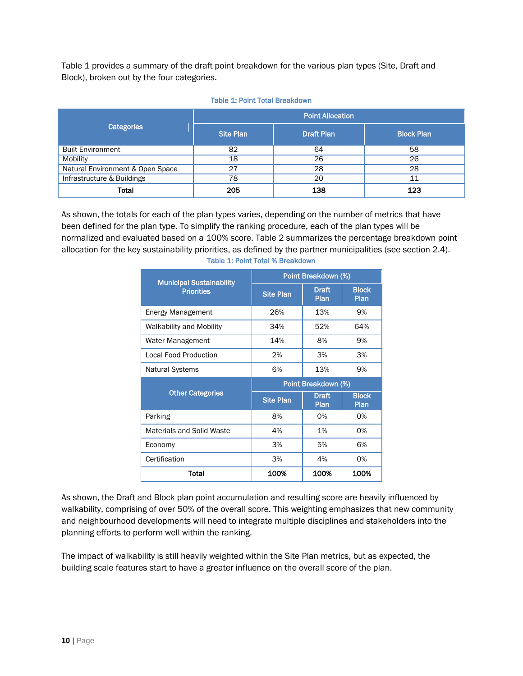Table 1 provides a summary of the draft point breakdown for the various plan types (Site, Draft and Block), broken out by the four categories.

|                                  | <b>Point Allocation</b> |                   |                   |  |  |
|----------------------------------|-------------------------|-------------------|-------------------|--|--|
| <b>Categories</b>                | <b>Site Plan</b>        | <b>Draft Plan</b> | <b>Block Plan</b> |  |  |
| <b>Built Environment</b>         | 82                      | 64                | 58                |  |  |
| Mobility                         | 18                      | 26                | 26                |  |  |
| Natural Environment & Open Space | 27                      | 28                | 28                |  |  |
| Infrastructure & Buildings       | 78                      | 20                | 11                |  |  |
| <b>Total</b>                     | 205                     | 138               | 123               |  |  |

#### Table 1: Point Total Breakdown

As shown, the totals for each of the plan types varies, depending on the number of metrics that have been defined for the plan type. To simplify the ranking procedure, each of the plan types will be normalized and evaluated based on a 100% score. Table 2 summarizes the percentage breakdown point allocation for the key sustainability priorities, as defined by the partner municipalities (see section 2.4).

| <b>Municipal Sustainability</b>  | Point Breakdown (%) |                      |                      |  |  |
|----------------------------------|---------------------|----------------------|----------------------|--|--|
| <b>Priorities</b>                | <b>Site Plan</b>    | <b>Draft</b><br>Plan | <b>Block</b><br>Plan |  |  |
| <b>Energy Management</b>         | 26%                 | 13%                  | 9%                   |  |  |
| Walkability and Mobility         | 34%                 | 52%                  | 64%                  |  |  |
| Water Management                 | 14%                 | 8%                   | 9%                   |  |  |
| <b>Local Food Production</b>     | 2%                  | 3%                   | 3%                   |  |  |
| <b>Natural Systems</b>           | 6%                  | 9%                   |                      |  |  |
|                                  |                     |                      |                      |  |  |
|                                  |                     | Point Breakdown (%)  |                      |  |  |
| <b>Other Categories</b>          | <b>Site Plan</b>    | <b>Draft</b><br>Plan | <b>Block</b><br>Plan |  |  |
| Parking                          | 8%                  | 0%                   | 0%                   |  |  |
| <b>Materials and Solid Waste</b> | 4%                  | 1%                   | 0%                   |  |  |
| Economy                          | 3%                  | 5%                   | 6%                   |  |  |
| Certification                    | 3%                  | 4%                   | 0%                   |  |  |

#### Table 1: Point Total % Breakdown

As shown, the Draft and Block plan point accumulation and resulting score are heavily influenced by walkability, comprising of over 50% of the overall score. This weighting emphasizes that new community and neighbourhood developments will need to integrate multiple disciplines and stakeholders into the planning efforts to perform well within the ranking.

The impact of walkability is still heavily weighted within the Site Plan metrics, but as expected, the building scale features start to have a greater influence on the overall score of the plan.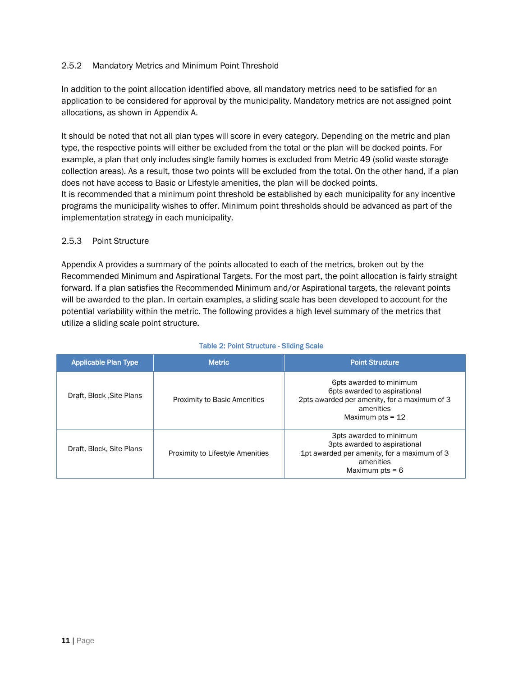#### 2.5.2 Mandatory Metrics and Minimum Point Threshold

In addition to the point allocation identified above, all mandatory metrics need to be satisfied for an application to be considered for approval by the municipality. Mandatory metrics are not assigned point allocations, as shown in Appendix A.

It should be noted that not all plan types will score in every category. Depending on the metric and plan type, the respective points will either be excluded from the total or the plan will be docked points. For example, a plan that only includes single family homes is excluded from Metric 49 (solid waste storage collection areas). As a result, those two points will be excluded from the total. On the other hand, if a plan does not have access to Basic or Lifestyle amenities, the plan will be docked points. It is recommended that a minimum point threshold be established by each municipality for any incentive programs the municipality wishes to offer. Minimum point thresholds should be advanced as part of the implementation strategy in each municipality.

#### 2.5.3 Point Structure

Appendix A provides a summary of the points allocated to each of the metrics, broken out by the Recommended Minimum and Aspirational Targets. For the most part, the point allocation is fairly straight forward. If a plan satisfies the Recommended Minimum and/or Aspirational targets, the relevant points will be awarded to the plan. In certain examples, a sliding scale has been developed to account for the potential variability within the metric. The following provides a high level summary of the metrics that utilize a sliding scale point structure.

| <b>Applicable Plan Type</b> | <b>Metric</b>                           | <b>Point Structure</b>                                                                                                                     |
|-----------------------------|-----------------------------------------|--------------------------------------------------------------------------------------------------------------------------------------------|
| Draft, Block , Site Plans   | <b>Proximity to Basic Amenities</b>     | 6pts awarded to minimum<br>6pts awarded to aspirational<br>2pts awarded per amenity, for a maximum of 3<br>amenities<br>Maximum pts = $12$ |
| Draft, Block, Site Plans    | <b>Proximity to Lifestyle Amenities</b> | 3pts awarded to minimum<br>3pts awarded to aspirational<br>1pt awarded per amenity, for a maximum of 3<br>amenities<br>Maximum $pts = 6$   |

#### Table 2: Point Structure - Sliding Scale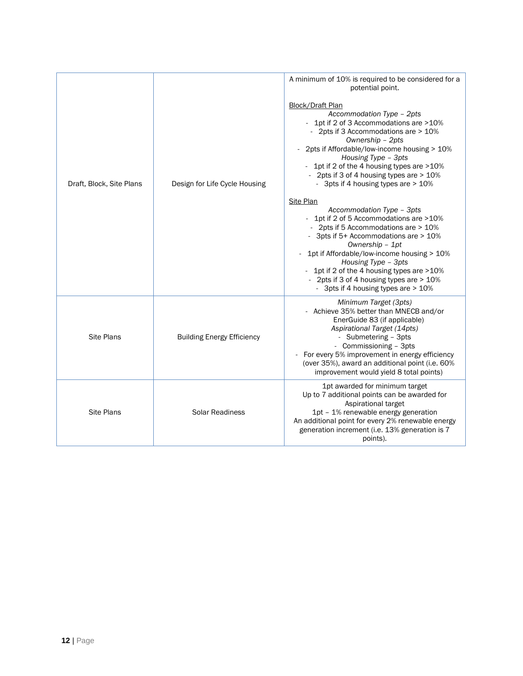|                          |                                   | A minimum of 10% is required to be considered for a<br>potential point.                                                                                                                                                                                                                                                                                                                                                                                                                                                                                                                                                                                                                                                                              |  |  |  |
|--------------------------|-----------------------------------|------------------------------------------------------------------------------------------------------------------------------------------------------------------------------------------------------------------------------------------------------------------------------------------------------------------------------------------------------------------------------------------------------------------------------------------------------------------------------------------------------------------------------------------------------------------------------------------------------------------------------------------------------------------------------------------------------------------------------------------------------|--|--|--|
| Draft, Block, Site Plans | Design for Life Cycle Housing     | Block/Draft Plan<br>Accommodation Type - 2pts<br>- 1pt if 2 of 3 Accommodations are >10%<br>- 2pts if 3 Accommodations are > 10%<br>Ownership - 2pts<br>2pts if Affordable/low-income housing > 10%<br>Housing Type - 3pts<br>1pt if 2 of the 4 housing types are >10%<br>- 2pts if 3 of 4 housing types are > 10%<br>- 3pts if 4 housing types are > 10%<br>Site Plan<br>Accommodation Type - 3pts<br>- 1pt if 2 of 5 Accommodations are >10%<br>- 2pts if 5 Accommodations are > 10%<br>3pts if 5+ Accommodations are > 10%<br>Ownership - 1pt<br>1pt if Affordable/low-income housing > 10%<br>Housing Type - 3pts<br>1pt if 2 of the 4 housing types are >10%<br>- 2pts if 3 of 4 housing types are > 10%<br>- 3pts if 4 housing types are > 10% |  |  |  |
| <b>Site Plans</b>        | <b>Building Energy Efficiency</b> | Minimum Target (3pts)<br>Achieve 35% better than MNECB and/or<br>EnerGuide 83 (if applicable)<br>Aspirational Target (14pts)<br>- Submetering - 3pts<br>- Commissioning - 3pts<br>For every 5% improvement in energy efficiency<br>(over 35%), award an additional point (i.e. 60%)<br>improvement would yield 8 total points)                                                                                                                                                                                                                                                                                                                                                                                                                       |  |  |  |
| <b>Site Plans</b>        | <b>Solar Readiness</b>            | 1pt awarded for minimum target<br>Up to 7 additional points can be awarded for<br>Aspirational target<br>1pt - 1% renewable energy generation<br>An additional point for every 2% renewable energy<br>generation increment (i.e. 13% generation is 7<br>points).                                                                                                                                                                                                                                                                                                                                                                                                                                                                                     |  |  |  |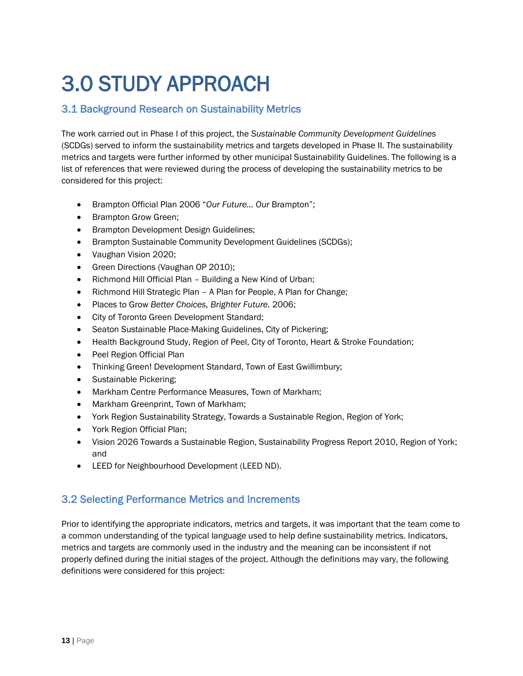# 3.0 STUDY APPROACH

## 3.1 Background Research on Sustainability Metrics

The work carried out in Phase I of this project, the *Sustainable Community Development Guidelines* (SCDGs) served to inform the sustainability metrics and targets developed in Phase II. The sustainability metrics and targets were further informed by other municipal Sustainability Guidelines. The following is a list of references that were reviewed during the process of developing the sustainability metrics to be considered for this project:

- Brampton Official Plan 2006 "*Our Future… Our* Brampton";
- Brampton Grow Green:
- **•** Brampton Development Design Guidelines;
- Brampton Sustainable Community Development Guidelines (SCDGs);
- Vaughan Vision 2020;
- Green Directions (Vaughan OP 2010);
- Richmond Hill Official Plan Building a New Kind of Urban;
- Richmond Hill Strategic Plan A Plan for People, A Plan for Change;
- Places to Grow *Better Choices, Brighter Future.* 2006;
- City of Toronto Green Development Standard;
- Seaton Sustainable Place-Making Guidelines, City of Pickering;
- Health Background Study, Region of Peel, City of Toronto, Heart & Stroke Foundation;
- Peel Region Official Plan
- Thinking Green! Development Standard, Town of East Gwillimbury;
- Sustainable Pickering:
- Markham Centre Performance Measures, Town of Markham;
- Markham Greenprint, Town of Markham;
- York Region Sustainability Strategy, Towards a Sustainable Region, Region of York;
- York Region Official Plan;
- Vision 2026 Towards a Sustainable Region, Sustainability Progress Report 2010, Region of York; and
- LEED for Neighbourhood Development (LEED ND).

## 3.2 Selecting Performance Metrics and Increments

Prior to identifying the appropriate indicators, metrics and targets, it was important that the team come to a common understanding of the typical language used to help define sustainability metrics. Indicators, metrics and targets are commonly used in the industry and the meaning can be inconsistent if not properly defined during the initial stages of the project. Although the definitions may vary, the following definitions were considered for this project: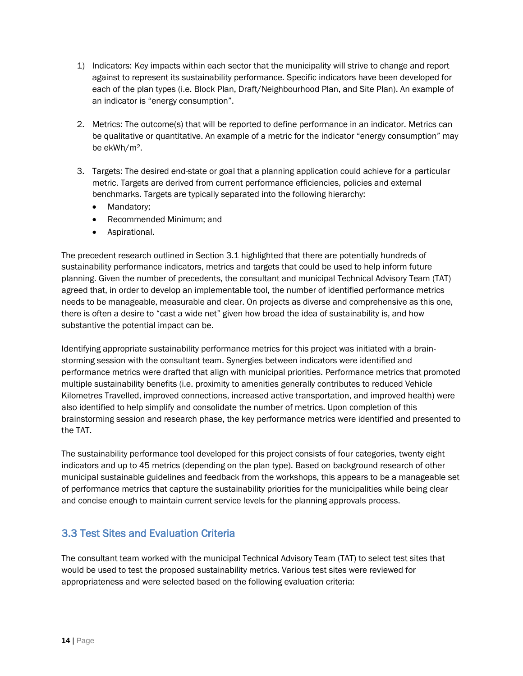- 1) Indicators: Key impacts within each sector that the municipality will strive to change and report against to represent its sustainability performance. Specific indicators have been developed for each of the plan types (i.e. Block Plan, Draft/Neighbourhood Plan, and Site Plan). An example of an indicator is "energy consumption".
- 2. Metrics: The outcome(s) that will be reported to define performance in an indicator. Metrics can be qualitative or quantitative. An example of a metric for the indicator "energy consumption" may be ekWh/m2.
- 3. Targets: The desired end-state or goal that a planning application could achieve for a particular metric. Targets are derived from current performance efficiencies, policies and external benchmarks. Targets are typically separated into the following hierarchy:
	- Mandatory;
	- Recommended Minimum; and
	- Aspirational.

The precedent research outlined in Section 3.1 highlighted that there are potentially hundreds of sustainability performance indicators, metrics and targets that could be used to help inform future planning. Given the number of precedents, the consultant and municipal Technical Advisory Team (TAT) agreed that, in order to develop an implementable tool, the number of identified performance metrics needs to be manageable, measurable and clear. On projects as diverse and comprehensive as this one, there is often a desire to "cast a wide net" given how broad the idea of sustainability is, and how substantive the potential impact can be.

Identifying appropriate sustainability performance metrics for this project was initiated with a brainstorming session with the consultant team. Synergies between indicators were identified and performance metrics were drafted that align with municipal priorities. Performance metrics that promoted multiple sustainability benefits (i.e. proximity to amenities generally contributes to reduced Vehicle Kilometres Travelled, improved connections, increased active transportation, and improved health) were also identified to help simplify and consolidate the number of metrics. Upon completion of this brainstorming session and research phase, the key performance metrics were identified and presented to the TAT.

The sustainability performance tool developed for this project consists of four categories, twenty eight indicators and up to 45 metrics (depending on the plan type). Based on background research of other municipal sustainable guidelines and feedback from the workshops, this appears to be a manageable set of performance metrics that capture the sustainability priorities for the municipalities while being clear and concise enough to maintain current service levels for the planning approvals process.

## 3.3 Test Sites and Evaluation Criteria

The consultant team worked with the municipal Technical Advisory Team (TAT) to select test sites that would be used to test the proposed sustainability metrics. Various test sites were reviewed for appropriateness and were selected based on the following evaluation criteria: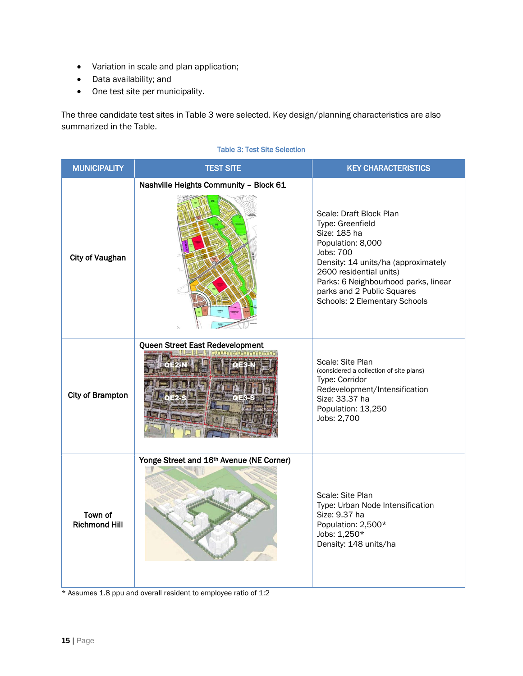- Variation in scale and plan application;
- Data availability; and
- One test site per municipality.

The three candidate test sites in Table 3 were selected. Key design/planning characteristics are also summarized in the Table.

| <b>MUNICIPALITY</b>             | <b>TEST SITE</b>                         | <b>KEY CHARACTERISTICS</b>                                                                                                                                                                                                                                                    |
|---------------------------------|------------------------------------------|-------------------------------------------------------------------------------------------------------------------------------------------------------------------------------------------------------------------------------------------------------------------------------|
| <b>City of Vaughan</b>          | Nashville Heights Community - Block 61   | Scale: Draft Block Plan<br>Type: Greenfield<br>Size: 185 ha<br>Population: 8,000<br><b>Jobs: 700</b><br>Density: 14 units/ha (approximately<br>2600 residential units)<br>Parks: 6 Neighbourhood parks, linear<br>parks and 2 Public Squares<br>Schools: 2 Elementary Schools |
| <b>City of Brampton</b>         | Queen Street East Redevelopment          | Scale: Site Plan<br>(considered a collection of site plans)<br>Type: Corridor<br>Redevelopment/Intensification<br>Size: 33.37 ha<br>Population: 13,250<br>Jobs: 2,700                                                                                                         |
| Town of<br><b>Richmond Hill</b> | Yonge Street and 16th Avenue (NE Corner) | Scale: Site Plan<br>Type: Urban Node Intensification<br>Size: 9.37 ha<br>Population: 2,500*<br>Jobs: 1,250*<br>Density: 148 units/ha                                                                                                                                          |

#### Table 3: Test Site Selection

\* Assumes 1.8 ppu and overall resident to employee ratio of 1:2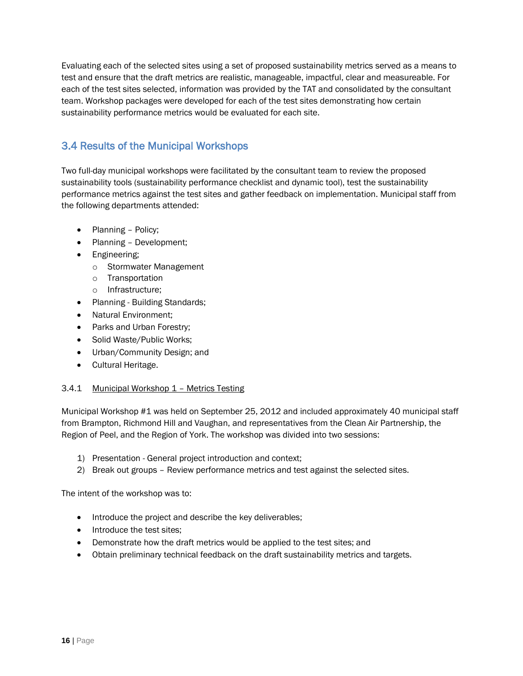Evaluating each of the selected sites using a set of proposed sustainability metrics served as a means to test and ensure that the draft metrics are realistic, manageable, impactful, clear and measureable. For each of the test sites selected, information was provided by the TAT and consolidated by the consultant team. Workshop packages were developed for each of the test sites demonstrating how certain sustainability performance metrics would be evaluated for each site.

## 3.4 Results of the Municipal Workshops

Two full-day municipal workshops were facilitated by the consultant team to review the proposed sustainability tools (sustainability performance checklist and dynamic tool), test the sustainability performance metrics against the test sites and gather feedback on implementation. Municipal staff from the following departments attended:

- Planning Policy;
- Planning Development;
- Engineering;
	- o Stormwater Management
	- o Transportation
	- o Infrastructure;
- Planning Building Standards;
- Natural Environment:
- Parks and Urban Forestry;
- Solid Waste/Public Works;
- Urban/Community Design; and
- Cultural Heritage.

#### 3.4.1 Municipal Workshop 1 – Metrics Testing

Municipal Workshop #1 was held on September 25, 2012 and included approximately 40 municipal staff from Brampton, Richmond Hill and Vaughan, and representatives from the Clean Air Partnership, the Region of Peel, and the Region of York. The workshop was divided into two sessions:

- 1) Presentation General project introduction and context;
- 2) Break out groups Review performance metrics and test against the selected sites.

The intent of the workshop was to:

- Introduce the project and describe the key deliverables;
- Introduce the test sites;
- Demonstrate how the draft metrics would be applied to the test sites; and
- Obtain preliminary technical feedback on the draft sustainability metrics and targets.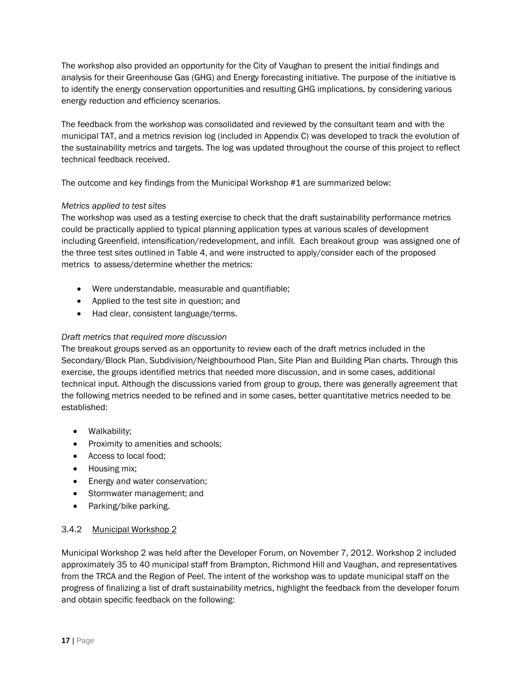The workshop also provided an opportunity for the City of Vaughan to present the initial findings and analysis for their Greenhouse Gas (GHG) and Energy forecasting initiative. The purpose of the initiative is to identify the energy conservation opportunities and resulting GHG implications, by considering various energy reduction and efficiency scenarios.

The feedback from the workshop was consolidated and reviewed by the consultant team and with the municipal TAT, and a metrics revision log (included in Appendix C) was developed to track the evolution of the sustainability metrics and targets. The log was updated throughout the course of this project to reflect technical feedback received.

The outcome and key findings from the Municipal Workshop #1 are summarized below:

#### *Metrics applied to test sites*

The workshop was used as a testing exercise to check that the draft sustainability performance metrics could be practically applied to typical planning application types at various scales of development including Greenfield, intensification/redevelopment, and infill. Each breakout group was assigned one of the three test sites outlined in Table 4, and were instructed to apply/consider each of the proposed metrics to assess/determine whether the metrics:

- Were understandable, measurable and quantifiable;
- Applied to the test site in question; and
- Had clear, consistent language/terms.

#### *Draft metrics that required more discussion*

The breakout groups served as an opportunity to review each of the draft metrics included in the Secondary/Block Plan, Subdivision/Neighbourhood Plan, Site Plan and Building Plan charts. Through this exercise, the groups identified metrics that needed more discussion, and in some cases, additional technical input. Although the discussions varied from group to group, there was generally agreement that the following metrics needed to be refined and in some cases, better quantitative metrics needed to be established:

- Walkability;
- Proximity to amenities and schools;
- Access to local food;
- Housing mix;
- **Energy and water conservation;**
- Stormwater management; and
- Parking/bike parking.

#### 3.4.2 Municipal Workshop 2

Municipal Workshop 2 was held after the Developer Forum, on November 7, 2012. Workshop 2 included approximately 35 to 40 municipal staff from Brampton, Richmond Hill and Vaughan, and representatives from the TRCA and the Region of Peel. The intent of the workshop was to update municipal staff on the progress of finalizing a list of draft sustainability metrics, highlight the feedback from the developer forum and obtain specific feedback on the following: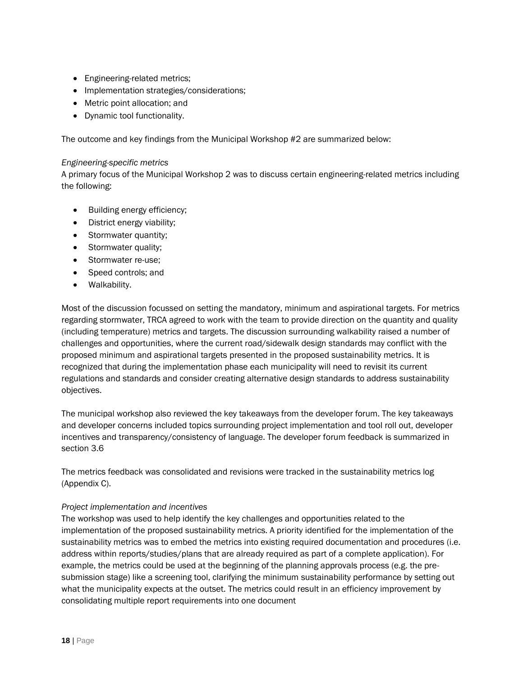- Engineering-related metrics;
- Implementation strategies/considerations;
- Metric point allocation; and
- Dynamic tool functionality.

The outcome and key findings from the Municipal Workshop #2 are summarized below:

#### *Engineering-specific metrics*

A primary focus of the Municipal Workshop 2 was to discuss certain engineering-related metrics including the following:

- Building energy efficiency;
- District energy viability;
- Stormwater quantity;
- Stormwater quality;
- Stormwater re-use;
- Speed controls; and
- Walkability.

Most of the discussion focussed on setting the mandatory, minimum and aspirational targets. For metrics regarding stormwater, TRCA agreed to work with the team to provide direction on the quantity and quality (including temperature) metrics and targets. The discussion surrounding walkability raised a number of challenges and opportunities, where the current road/sidewalk design standards may conflict with the proposed minimum and aspirational targets presented in the proposed sustainability metrics. It is recognized that during the implementation phase each municipality will need to revisit its current regulations and standards and consider creating alternative design standards to address sustainability objectives.

The municipal workshop also reviewed the key takeaways from the developer forum. The key takeaways and developer concerns included topics surrounding project implementation and tool roll out, developer incentives and transparency/consistency of language. The developer forum feedback is summarized in section 3.6

The metrics feedback was consolidated and revisions were tracked in the sustainability metrics log (Appendix C).

#### *Project implementation and incentives*

The workshop was used to help identify the key challenges and opportunities related to the implementation of the proposed sustainability metrics. A priority identified for the implementation of the sustainability metrics was to embed the metrics into existing required documentation and procedures (i.e. address within reports/studies/plans that are already required as part of a complete application). For example, the metrics could be used at the beginning of the planning approvals process (e.g. the presubmission stage) like a screening tool, clarifying the minimum sustainability performance by setting out what the municipality expects at the outset. The metrics could result in an efficiency improvement by consolidating multiple report requirements into one document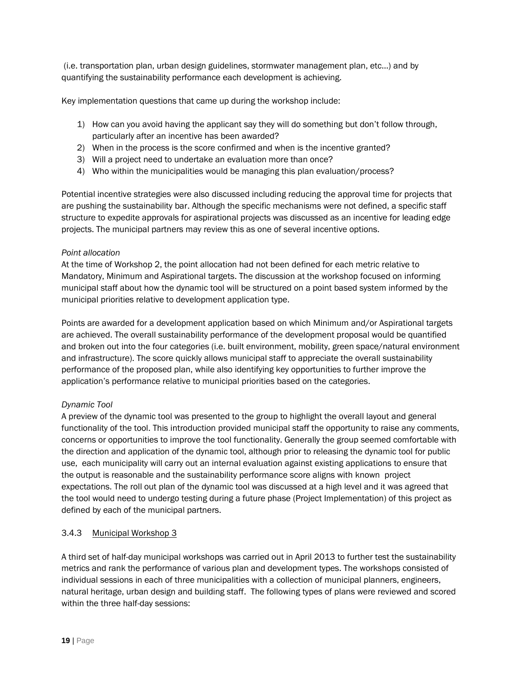(i.e. transportation plan, urban design guidelines, stormwater management plan, etc…) and by quantifying the sustainability performance each development is achieving.

Key implementation questions that came up during the workshop include:

- 1) How can you avoid having the applicant say they will do something but don't follow through, particularly after an incentive has been awarded?
- 2) When in the process is the score confirmed and when is the incentive granted?
- 3) Will a project need to undertake an evaluation more than once?
- 4) Who within the municipalities would be managing this plan evaluation/process?

Potential incentive strategies were also discussed including reducing the approval time for projects that are pushing the sustainability bar. Although the specific mechanisms were not defined, a specific staff structure to expedite approvals for aspirational projects was discussed as an incentive for leading edge projects. The municipal partners may review this as one of several incentive options.

#### *Point allocation*

At the time of Workshop 2, the point allocation had not been defined for each metric relative to Mandatory, Minimum and Aspirational targets. The discussion at the workshop focused on informing municipal staff about how the dynamic tool will be structured on a point based system informed by the municipal priorities relative to development application type.

Points are awarded for a development application based on which Minimum and/or Aspirational targets are achieved. The overall sustainability performance of the development proposal would be quantified and broken out into the four categories (i.e. built environment, mobility, green space/natural environment and infrastructure). The score quickly allows municipal staff to appreciate the overall sustainability performance of the proposed plan, while also identifying key opportunities to further improve the application's performance relative to municipal priorities based on the categories.

#### *Dynamic Tool*

A preview of the dynamic tool was presented to the group to highlight the overall layout and general functionality of the tool. This introduction provided municipal staff the opportunity to raise any comments, concerns or opportunities to improve the tool functionality. Generally the group seemed comfortable with the direction and application of the dynamic tool, although prior to releasing the dynamic tool for public use, each municipality will carry out an internal evaluation against existing applications to ensure that the output is reasonable and the sustainability performance score aligns with known project expectations. The roll out plan of the dynamic tool was discussed at a high level and it was agreed that the tool would need to undergo testing during a future phase (Project Implementation) of this project as defined by each of the municipal partners.

#### 3.4.3 Municipal Workshop 3

A third set of half-day municipal workshops was carried out in April 2013 to further test the sustainability metrics and rank the performance of various plan and development types. The workshops consisted of individual sessions in each of three municipalities with a collection of municipal planners, engineers, natural heritage, urban design and building staff. The following types of plans were reviewed and scored within the three half-day sessions: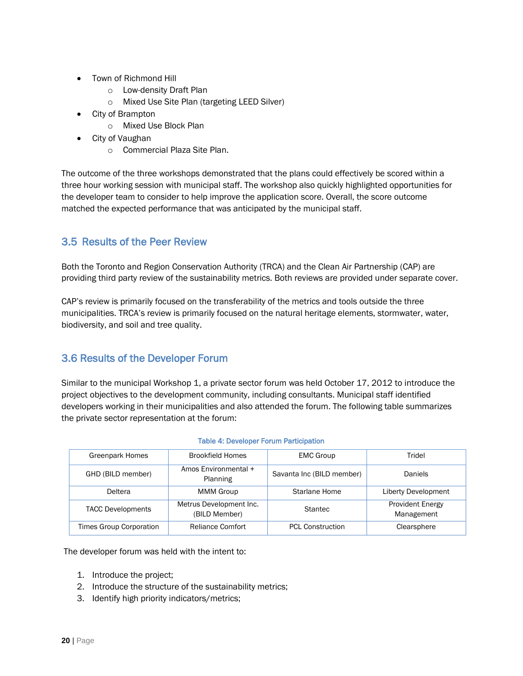- Town of Richmond Hill
	- o Low-density Draft Plan
	- o Mixed Use Site Plan (targeting LEED Silver)
- City of Brampton
	- o Mixed Use Block Plan
- City of Vaughan
	- o Commercial Plaza Site Plan.

The outcome of the three workshops demonstrated that the plans could effectively be scored within a three hour working session with municipal staff. The workshop also quickly highlighted opportunities for the developer team to consider to help improve the application score. Overall, the score outcome matched the expected performance that was anticipated by the municipal staff.

### 3.5 Results of the Peer Review

Both the Toronto and Region Conservation Authority (TRCA) and the Clean Air Partnership (CAP) are providing third party review of the sustainability metrics. Both reviews are provided under separate cover.

CAP's review is primarily focused on the transferability of the metrics and tools outside the three municipalities. TRCA's review is primarily focused on the natural heritage elements, stormwater, water, biodiversity, and soil and tree quality.

## 3.6 Results of the Developer Forum

Similar to the municipal Workshop 1, a private sector forum was held October 17, 2012 to introduce the project objectives to the development community, including consultants. Municipal staff identified developers working in their municipalities and also attended the forum. The following table summarizes the private sector representation at the forum:

| <b>Greenpark Homes</b>   | <b>Brookfield Homes</b>                  | <b>EMC Group</b>          | Tridel                                |
|--------------------------|------------------------------------------|---------------------------|---------------------------------------|
| GHD (BILD member)        | Amos Environmental +<br>Planning         | Savanta Inc (BILD member) | <b>Daniels</b>                        |
| Deltera                  | <b>MMM Group</b>                         | Starlane Home             | <b>Liberty Development</b>            |
| <b>TACC Developments</b> | Metrus Development Inc.<br>(BILD Member) | <b>Stantec</b>            | <b>Provident Energy</b><br>Management |
| Times Group Corporation  | Reliance Comfort                         | <b>PCI</b> Construction   | Clearsphere                           |

#### Table 4: Developer Forum Participation

The developer forum was held with the intent to:

- 1. Introduce the project;
- 2. Introduce the structure of the sustainability metrics;
- 3. Identify high priority indicators/metrics;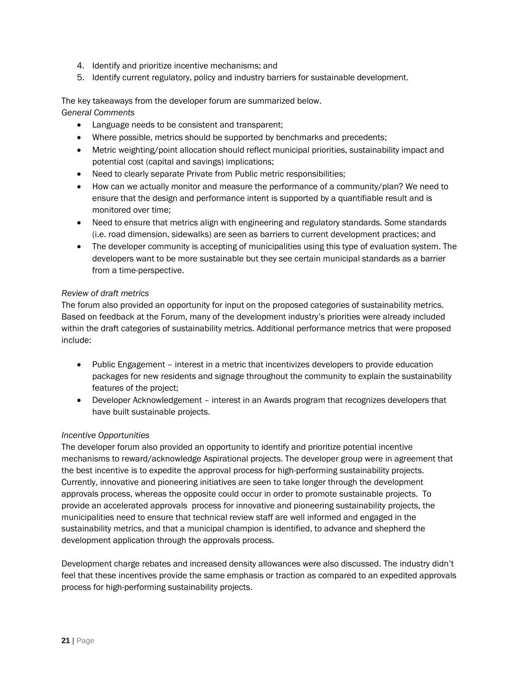- 4. Identify and prioritize incentive mechanisms; and
- 5. Identify current regulatory, policy and industry barriers for sustainable development.

The key takeaways from the developer forum are summarized below. *General Comments*

- Language needs to be consistent and transparent;
- Where possible, metrics should be supported by benchmarks and precedents;
- Metric weighting/point allocation should reflect municipal priorities, sustainability impact and potential cost (capital and savings) implications;
- Need to clearly separate Private from Public metric responsibilities;
- How can we actually monitor and measure the performance of a community/plan? We need to ensure that the design and performance intent is supported by a quantifiable result and is monitored over time;
- Need to ensure that metrics align with engineering and regulatory standards. Some standards (i.e. road dimension, sidewalks) are seen as barriers to current development practices; and
- The developer community is accepting of municipalities using this type of evaluation system. The developers want to be more sustainable but they see certain municipal standards as a barrier from a time-perspective.

#### *Review of draft metrics*

The forum also provided an opportunity for input on the proposed categories of sustainability metrics. Based on feedback at the Forum, many of the development industry's priorities were already included within the draft categories of sustainability metrics. Additional performance metrics that were proposed include:

- Public Engagement interest in a metric that incentivizes developers to provide education packages for new residents and signage throughout the community to explain the sustainability features of the project;
- Developer Acknowledgement interest in an Awards program that recognizes developers that have built sustainable projects.

#### *Incentive Opportunities*

The developer forum also provided an opportunity to identify and prioritize potential incentive mechanisms to reward/acknowledge Aspirational projects. The developer group were in agreement that the best incentive is to expedite the approval process for high-performing sustainability projects. Currently, innovative and pioneering initiatives are seen to take longer through the development approvals process, whereas the opposite could occur in order to promote sustainable projects. To provide an accelerated approvals process for innovative and pioneering sustainability projects, the municipalities need to ensure that technical review staff are well informed and engaged in the sustainability metrics, and that a municipal champion is identified, to advance and shepherd the development application through the approvals process.

Development charge rebates and increased density allowances were also discussed. The industry didn't feel that these incentives provide the same emphasis or traction as compared to an expedited approvals process for high-performing sustainability projects.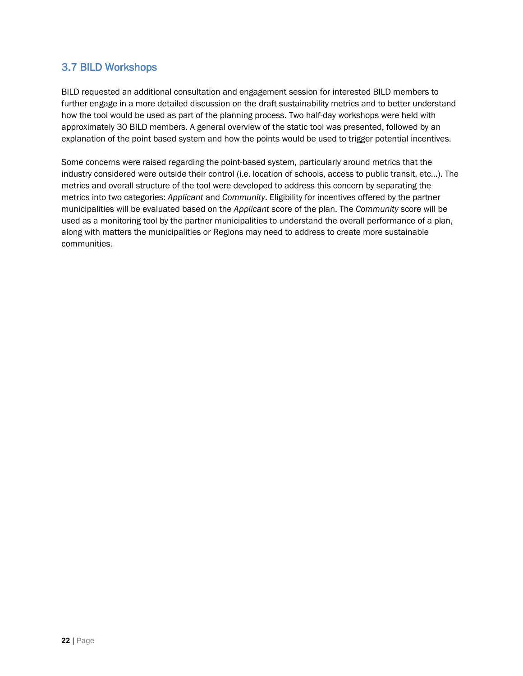## 3.7 BILD Workshops

BILD requested an additional consultation and engagement session for interested BILD members to further engage in a more detailed discussion on the draft sustainability metrics and to better understand how the tool would be used as part of the planning process. Two half-day workshops were held with approximately 30 BILD members. A general overview of the static tool was presented, followed by an explanation of the point based system and how the points would be used to trigger potential incentives.

Some concerns were raised regarding the point-based system, particularly around metrics that the industry considered were outside their control (i.e. location of schools, access to public transit, etc…). The metrics and overall structure of the tool were developed to address this concern by separating the metrics into two categories: *Applicant* and *Community*. Eligibility for incentives offered by the partner municipalities will be evaluated based on the *Applicant* score of the plan. The *Community* score will be used as a monitoring tool by the partner municipalities to understand the overall performance of a plan, along with matters the municipalities or Regions may need to address to create more sustainable communities.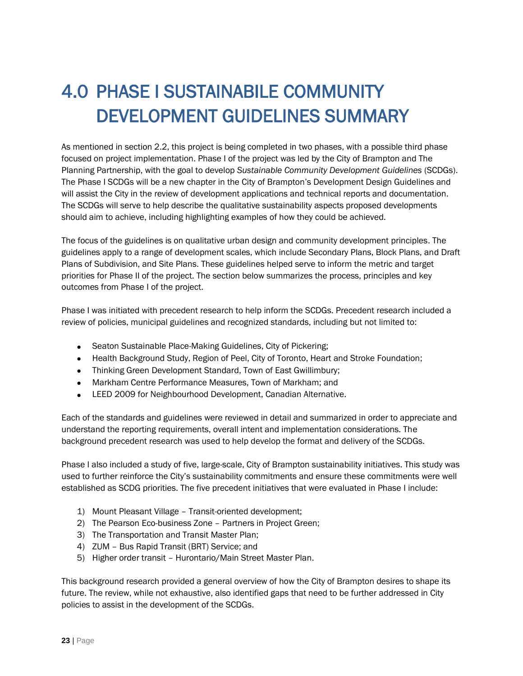## 4.0 PHASE I SUSTAINABILE COMMUNITY DEVELOPMENT GUIDELINES SUMMARY

As mentioned in section 2.2, this project is being completed in two phases, with a possible third phase focused on project implementation. Phase I of the project was led by the City of Brampton and The Planning Partnership, with the goal to develop *Sustainable Community Development Guidelines* (SCDGs). The Phase I SCDGs will be a new chapter in the City of Brampton's Development Design Guidelines and will assist the City in the review of development applications and technical reports and documentation. The SCDGs will serve to help describe the qualitative sustainability aspects proposed developments should aim to achieve, including highlighting examples of how they could be achieved.

The focus of the guidelines is on qualitative urban design and community development principles. The guidelines apply to a range of development scales, which include Secondary Plans, Block Plans, and Draft Plans of Subdivision, and Site Plans. These guidelines helped serve to inform the metric and target priorities for Phase II of the project. The section below summarizes the process, principles and key outcomes from Phase I of the project.

Phase I was initiated with precedent research to help inform the SCDGs. Precedent research included a review of policies, municipal guidelines and recognized standards, including but not limited to:

- Seaton Sustainable Place-Making Guidelines, City of Pickering;
- Health Background Study, Region of Peel, City of Toronto, Heart and Stroke Foundation;
- Thinking Green Development Standard, Town of East Gwillimbury;
- Markham Centre Performance Measures, Town of Markham; and
- **ELEED 2009 for Neighbourhood Development, Canadian Alternative.**

Each of the standards and guidelines were reviewed in detail and summarized in order to appreciate and understand the reporting requirements, overall intent and implementation considerations. The background precedent research was used to help develop the format and delivery of the SCDGs.

Phase I also included a study of five, large-scale, City of Brampton sustainability initiatives. This study was used to further reinforce the City's sustainability commitments and ensure these commitments were well established as SCDG priorities. The five precedent initiatives that were evaluated in Phase I include:

- 1) Mount Pleasant Village Transit-oriented development;
- 2) The Pearson Eco-business Zone Partners in Project Green;
- 3) The Transportation and Transit Master Plan;
- 4) ZUM Bus Rapid Transit (BRT) Service; and
- 5) Higher order transit Hurontario/Main Street Master Plan.

This background research provided a general overview of how the City of Brampton desires to shape its future. The review, while not exhaustive, also identified gaps that need to be further addressed in City policies to assist in the development of the SCDGs.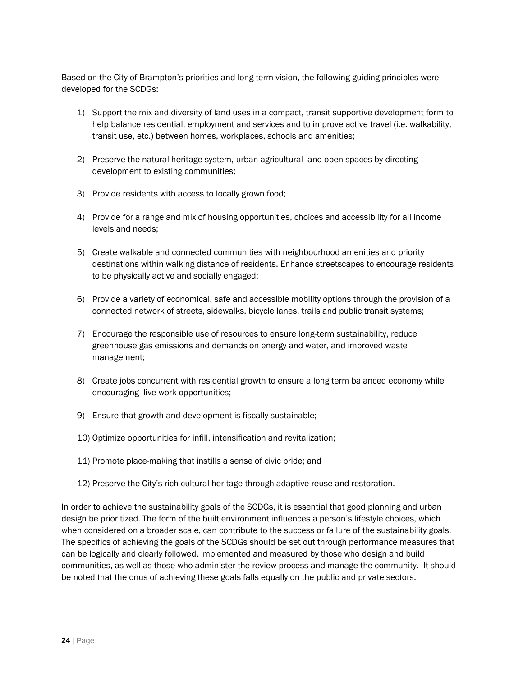Based on the City of Brampton's priorities and long term vision, the following guiding principles were developed for the SCDGs:

- 1) Support the mix and diversity of land uses in a compact, transit supportive development form to help balance residential, employment and services and to improve active travel (i.e. walkability, transit use, etc.) between homes, workplaces, schools and amenities;
- 2) Preserve the natural heritage system, urban agricultural and open spaces by directing development to existing communities;
- 3) Provide residents with access to locally grown food;
- 4) Provide for a range and mix of housing opportunities, choices and accessibility for all income levels and needs;
- 5) Create walkable and connected communities with neighbourhood amenities and priority destinations within walking distance of residents. Enhance streetscapes to encourage residents to be physically active and socially engaged;
- 6) Provide a variety of economical, safe and accessible mobility options through the provision of a connected network of streets, sidewalks, bicycle lanes, trails and public transit systems;
- 7) Encourage the responsible use of resources to ensure long-term sustainability, reduce greenhouse gas emissions and demands on energy and water, and improved waste management;
- 8) Create jobs concurrent with residential growth to ensure a long term balanced economy while encouraging live-work opportunities;
- 9) Ensure that growth and development is fiscally sustainable;
- 10) Optimize opportunities for infill, intensification and revitalization;
- 11) Promote place-making that instills a sense of civic pride; and
- 12) Preserve the City's rich cultural heritage through adaptive reuse and restoration.

In order to achieve the sustainability goals of the SCDGs, it is essential that good planning and urban design be prioritized. The form of the built environment influences a person's lifestyle choices, which when considered on a broader scale, can contribute to the success or failure of the sustainability goals. The specifics of achieving the goals of the SCDGs should be set out through performance measures that can be logically and clearly followed, implemented and measured by those who design and build communities, as well as those who administer the review process and manage the community. It should be noted that the onus of achieving these goals falls equally on the public and private sectors.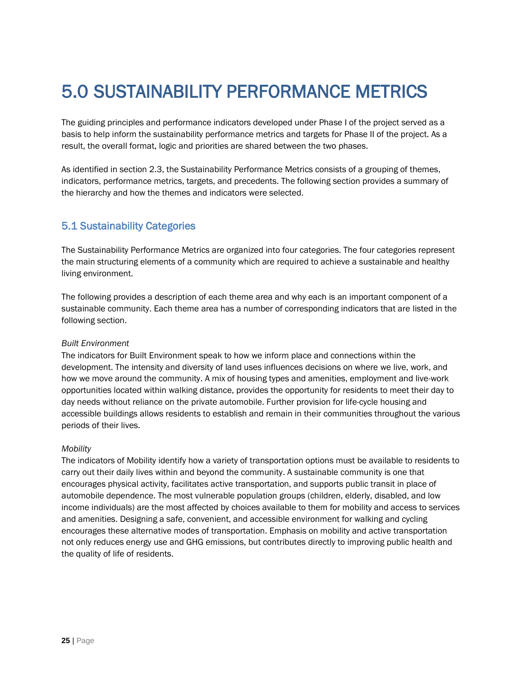## 5.0 SUSTAINABILITY PERFORMANCE METRICS

The guiding principles and performance indicators developed under Phase I of the project served as a basis to help inform the sustainability performance metrics and targets for Phase II of the project. As a result, the overall format, logic and priorities are shared between the two phases.

As identified in section 2.3, the Sustainability Performance Metrics consists of a grouping of themes, indicators, performance metrics, targets, and precedents. The following section provides a summary of the hierarchy and how the themes and indicators were selected.

### 5.1 Sustainability Categories

The Sustainability Performance Metrics are organized into four categories. The four categories represent the main structuring elements of a community which are required to achieve a sustainable and healthy living environment.

The following provides a description of each theme area and why each is an important component of a sustainable community. Each theme area has a number of corresponding indicators that are listed in the following section.

#### *Built Environment*

The indicators for Built Environment speak to how we inform place and connections within the development. The intensity and diversity of land uses influences decisions on where we live, work, and how we move around the community. A mix of housing types and amenities, employment and live-work opportunities located within walking distance, provides the opportunity for residents to meet their day to day needs without reliance on the private automobile. Further provision for life-cycle housing and accessible buildings allows residents to establish and remain in their communities throughout the various periods of their lives.

#### *Mobility*

The indicators of Mobility identify how a variety of transportation options must be available to residents to carry out their daily lives within and beyond the community. A sustainable community is one that encourages physical activity, facilitates active transportation, and supports public transit in place of automobile dependence. The most vulnerable population groups (children, elderly, disabled, and low income individuals) are the most affected by choices available to them for mobility and access to services and amenities. Designing a safe, convenient, and accessible environment for walking and cycling encourages these alternative modes of transportation. Emphasis on mobility and active transportation not only reduces energy use and GHG emissions, but contributes directly to improving public health and the quality of life of residents.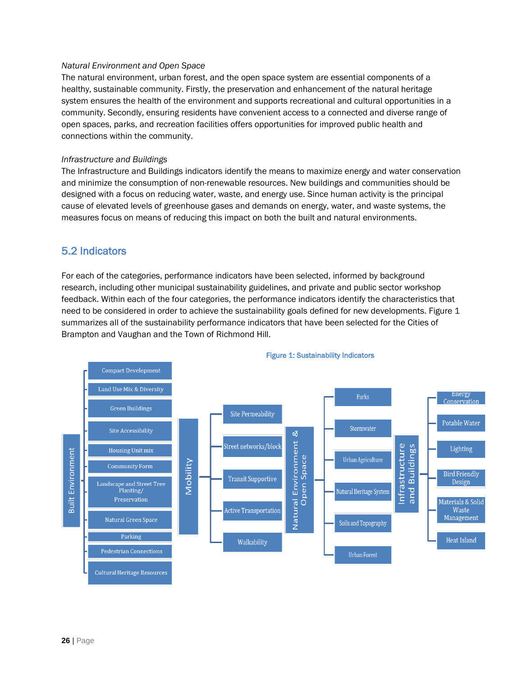#### *Natural Environment and Open Space*

The natural environment, urban forest, and the open space system are essential components of a healthy, sustainable community. Firstly, the preservation and enhancement of the natural heritage system ensures the health of the environment and supports recreational and cultural opportunities in a community. Secondly, ensuring residents have convenient access to a connected and diverse range of open spaces, parks, and recreation facilities offers opportunities for improved public health and connections within the community.

#### *Infrastructure and Buildings*

The Infrastructure and Buildings indicators identify the means to maximize energy and water conservation and minimize the consumption of non-renewable resources. New buildings and communities should be designed with a focus on reducing water, waste, and energy use. Since human activity is the principal cause of elevated levels of greenhouse gases and demands on energy, water, and waste systems, the measures focus on means of reducing this impact on both the built and natural environments.

### 5.2 Indicators

For each of the categories, performance indicators have been selected, informed by background research, including other municipal sustainability guidelines, and private and public sector workshop feedback. Within each of the four categories, the performance indicators identify the characteristics that need to be considered in order to achieve the sustainability goals defined for new developments. Figure 1 summarizes all of the sustainability performance indicators that have been selected for the Cities of Brampton and Vaughan and the Town of Richmond Hill.



#### Figure 1: Sustainability Indicators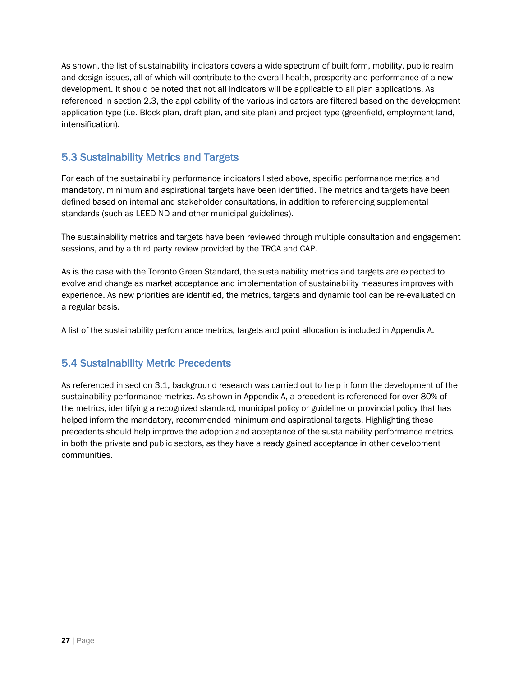As shown, the list of sustainability indicators covers a wide spectrum of built form, mobility, public realm and design issues, all of which will contribute to the overall health, prosperity and performance of a new development. It should be noted that not all indicators will be applicable to all plan applications. As referenced in section 2.3, the applicability of the various indicators are filtered based on the development application type (i.e. Block plan, draft plan, and site plan) and project type (greenfield, employment land, intensification).

## 5.3 Sustainability Metrics and Targets

For each of the sustainability performance indicators listed above, specific performance metrics and mandatory, minimum and aspirational targets have been identified. The metrics and targets have been defined based on internal and stakeholder consultations, in addition to referencing supplemental standards (such as LEED ND and other municipal guidelines).

The sustainability metrics and targets have been reviewed through multiple consultation and engagement sessions, and by a third party review provided by the TRCA and CAP.

As is the case with the Toronto Green Standard, the sustainability metrics and targets are expected to evolve and change as market acceptance and implementation of sustainability measures improves with experience. As new priorities are identified, the metrics, targets and dynamic tool can be re-evaluated on a regular basis.

A list of the sustainability performance metrics, targets and point allocation is included in Appendix A.

## 5.4 Sustainability Metric Precedents

As referenced in section 3.1, background research was carried out to help inform the development of the sustainability performance metrics. As shown in Appendix A, a precedent is referenced for over 80% of the metrics, identifying a recognized standard, municipal policy or guideline or provincial policy that has helped inform the mandatory, recommended minimum and aspirational targets. Highlighting these precedents should help improve the adoption and acceptance of the sustainability performance metrics, in both the private and public sectors, as they have already gained acceptance in other development communities.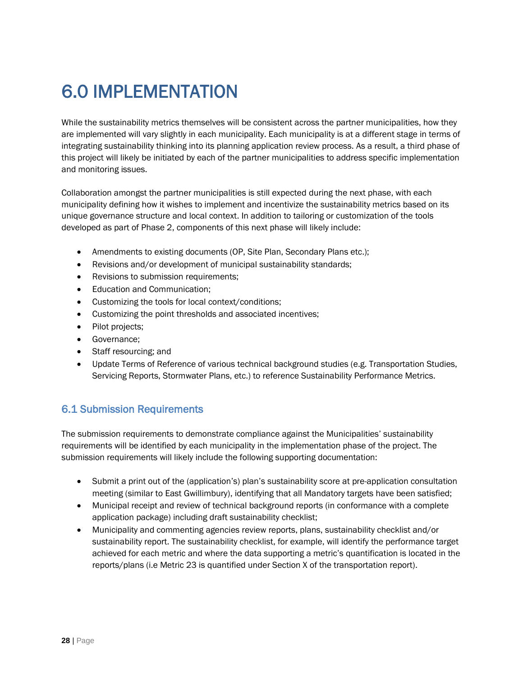## 6.0 IMPLEMENTATION

While the sustainability metrics themselves will be consistent across the partner municipalities, how they are implemented will vary slightly in each municipality. Each municipality is at a different stage in terms of integrating sustainability thinking into its planning application review process. As a result, a third phase of this project will likely be initiated by each of the partner municipalities to address specific implementation and monitoring issues.

Collaboration amongst the partner municipalities is still expected during the next phase, with each municipality defining how it wishes to implement and incentivize the sustainability metrics based on its unique governance structure and local context. In addition to tailoring or customization of the tools developed as part of Phase 2, components of this next phase will likely include:

- Amendments to existing documents (OP, Site Plan, Secondary Plans etc.);
- Revisions and/or development of municipal sustainability standards;
- Revisions to submission requirements;
- Education and Communication;
- Customizing the tools for local context/conditions;
- Customizing the point thresholds and associated incentives;
- Pilot projects;
- **Governance:**
- Staff resourcing; and
- Update Terms of Reference of various technical background studies (e.g. Transportation Studies, Servicing Reports, Stormwater Plans, etc.) to reference Sustainability Performance Metrics.

## 6.1 Submission Requirements

The submission requirements to demonstrate compliance against the Municipalities' sustainability requirements will be identified by each municipality in the implementation phase of the project. The submission requirements will likely include the following supporting documentation:

- Submit a print out of the (application's) plan's sustainability score at pre-application consultation meeting (similar to East Gwillimbury), identifying that all Mandatory targets have been satisfied;
- Municipal receipt and review of technical background reports (in conformance with a complete application package) including draft sustainability checklist;
- Municipality and commenting agencies review reports, plans, sustainability checklist and/or sustainability report. The sustainability checklist, for example, will identify the performance target achieved for each metric and where the data supporting a metric's quantification is located in the reports/plans (i.e Metric 23 is quantified under Section X of the transportation report).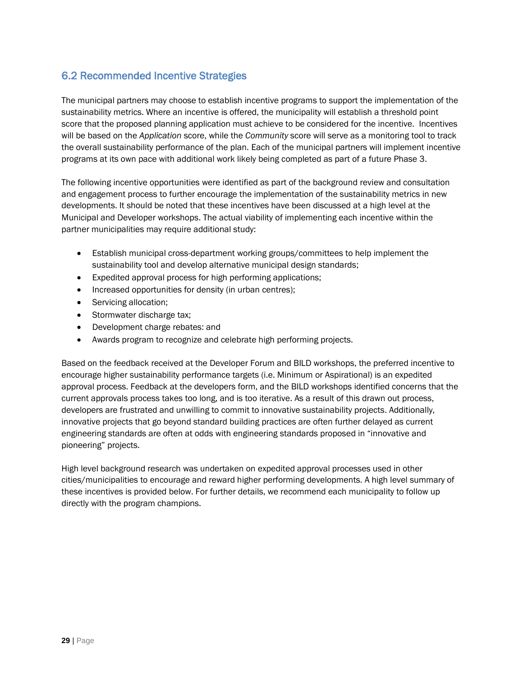## 6.2 Recommended Incentive Strategies

The municipal partners may choose to establish incentive programs to support the implementation of the sustainability metrics. Where an incentive is offered, the municipality will establish a threshold point score that the proposed planning application must achieve to be considered for the incentive. Incentives will be based on the *Application* score, while the *Community* score will serve as a monitoring tool to track the overall sustainability performance of the plan. Each of the municipal partners will implement incentive programs at its own pace with additional work likely being completed as part of a future Phase 3.

The following incentive opportunities were identified as part of the background review and consultation and engagement process to further encourage the implementation of the sustainability metrics in new developments. It should be noted that these incentives have been discussed at a high level at the Municipal and Developer workshops. The actual viability of implementing each incentive within the partner municipalities may require additional study:

- Establish municipal cross-department working groups/committees to help implement the sustainability tool and develop alternative municipal design standards;
- Expedited approval process for high performing applications;
- Increased opportunities for density (in urban centres);
- Servicing allocation;
- Stormwater discharge tax;
- Development charge rebates: and
- Awards program to recognize and celebrate high performing projects.

Based on the feedback received at the Developer Forum and BILD workshops, the preferred incentive to encourage higher sustainability performance targets (i.e. Minimum or Aspirational) is an expedited approval process. Feedback at the developers form, and the BILD workshops identified concerns that the current approvals process takes too long, and is too iterative. As a result of this drawn out process, developers are frustrated and unwilling to commit to innovative sustainability projects. Additionally, innovative projects that go beyond standard building practices are often further delayed as current engineering standards are often at odds with engineering standards proposed in "innovative and pioneering" projects.

High level background research was undertaken on expedited approval processes used in other cities/municipalities to encourage and reward higher performing developments. A high level summary of these incentives is provided below. For further details, we recommend each municipality to follow up directly with the program champions.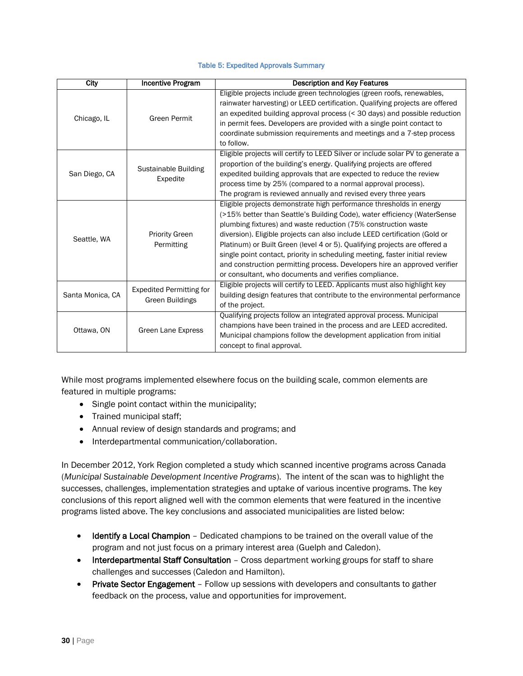#### Table 5: Expedited Approvals Summary

| City             | <b>Incentive Program</b>                                  | <b>Description and Key Features</b>                                                                                                                                                                                                                                                                                                                                                                                                                                                                                                                                                                |
|------------------|-----------------------------------------------------------|----------------------------------------------------------------------------------------------------------------------------------------------------------------------------------------------------------------------------------------------------------------------------------------------------------------------------------------------------------------------------------------------------------------------------------------------------------------------------------------------------------------------------------------------------------------------------------------------------|
| Chicago, IL      | <b>Green Permit</b>                                       | Eligible projects include green technologies (green roofs, renewables,<br>rainwater harvesting) or LEED certification. Qualifying projects are offered<br>an expedited building approval process (< 30 days) and possible reduction<br>in permit fees. Developers are provided with a single point contact to<br>coordinate submission requirements and meetings and a 7-step process<br>to follow.                                                                                                                                                                                                |
| San Diego, CA    | Sustainable Building<br>Expedite                          | Eligible projects will certify to LEED Silver or include solar PV to generate a<br>proportion of the building's energy. Qualifying projects are offered<br>expedited building approvals that are expected to reduce the review<br>process time by 25% (compared to a normal approval process).<br>The program is reviewed annually and revised every three years                                                                                                                                                                                                                                   |
| Seattle, WA      | <b>Priority Green</b><br>Permitting                       | Eligible projects demonstrate high performance thresholds in energy<br>(>15% better than Seattle's Building Code), water efficiency (WaterSense<br>plumbing fixtures) and waste reduction (75% construction waste<br>diversion). Eligible projects can also include LEED certification (Gold or<br>Platinum) or Built Green (level 4 or 5). Qualifying projects are offered a<br>single point contact, priority in scheduling meeting, faster initial review<br>and construction permitting process. Developers hire an approved verifier<br>or consultant, who documents and verifies compliance. |
| Santa Monica, CA | <b>Expedited Permitting for</b><br><b>Green Buildings</b> | Eligible projects will certify to LEED. Applicants must also highlight key<br>building design features that contribute to the environmental performance<br>of the project.                                                                                                                                                                                                                                                                                                                                                                                                                         |
| Ottawa, ON       | Green Lane Express                                        | Qualifying projects follow an integrated approval process. Municipal<br>champions have been trained in the process and are LEED accredited.<br>Municipal champions follow the development application from initial<br>concept to final approval.                                                                                                                                                                                                                                                                                                                                                   |

While most programs implemented elsewhere focus on the building scale, common elements are featured in multiple programs:

- Single point contact within the municipality;
- Trained municipal staff;
- Annual review of design standards and programs; and
- $\bullet$  Interdepartmental communication/collaboration.

In December 2012, York Region completed a study which scanned incentive programs across Canada (*Municipal Sustainable Development Incentive Programs*). The intent of the scan was to highlight the successes, challenges, implementation strategies and uptake of various incentive programs. The key conclusions of this report aligned well with the common elements that were featured in the incentive programs listed above. The key conclusions and associated municipalities are listed below:

- Identify a Local Champion Dedicated champions to be trained on the overall value of the program and not just focus on a primary interest area (Guelph and Caledon).
- Interdepartmental Staff Consultation Cross department working groups for staff to share challenges and successes (Caledon and Hamilton).
- Private Sector Engagement Follow up sessions with developers and consultants to gather feedback on the process, value and opportunities for improvement.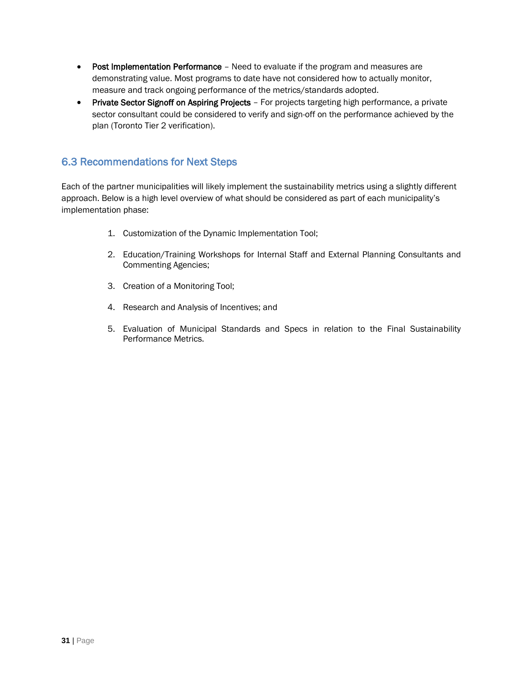- Post Implementation Performance Need to evaluate if the program and measures are demonstrating value. Most programs to date have not considered how to actually monitor, measure and track ongoing performance of the metrics/standards adopted.
- Private Sector Signoff on Aspiring Projects For projects targeting high performance, a private sector consultant could be considered to verify and sign-off on the performance achieved by the plan (Toronto Tier 2 verification).

## 6.3 Recommendations for Next Steps

Each of the partner municipalities will likely implement the sustainability metrics using a slightly different approach. Below is a high level overview of what should be considered as part of each municipality's implementation phase:

- 1. Customization of the Dynamic Implementation Tool;
- 2. Education/Training Workshops for Internal Staff and External Planning Consultants and Commenting Agencies;
- 3. Creation of a Monitoring Tool;
- 4. Research and Analysis of Incentives; and
- 5. Evaluation of Municipal Standards and Specs in relation to the Final Sustainability Performance Metrics.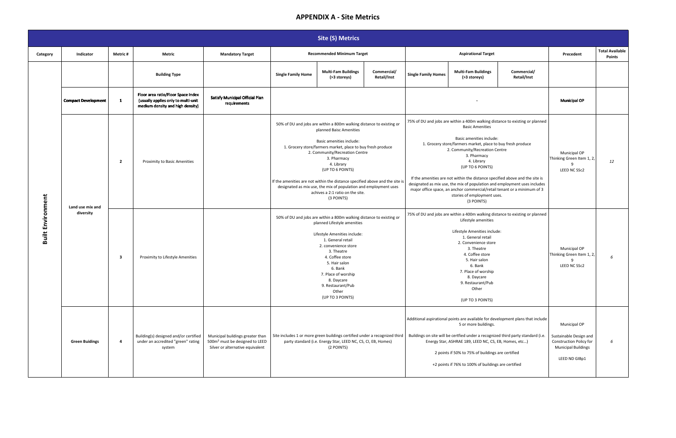#### **APPENDIX A - Site Metrics**

|                          | <b>Site (S) Metrics</b>       |                         |                                                                                                               |                                                                                                                    |                                                                              |                                                                                                                                                                                                                                                                                                                                                                                                     |                            |                            |                                                                                                                                                                                                                                                                                                                                                                                                                                                                                                                                                                                                                                                            |                            |                                                                                                                  |                                         |
|--------------------------|-------------------------------|-------------------------|---------------------------------------------------------------------------------------------------------------|--------------------------------------------------------------------------------------------------------------------|------------------------------------------------------------------------------|-----------------------------------------------------------------------------------------------------------------------------------------------------------------------------------------------------------------------------------------------------------------------------------------------------------------------------------------------------------------------------------------------------|----------------------------|----------------------------|------------------------------------------------------------------------------------------------------------------------------------------------------------------------------------------------------------------------------------------------------------------------------------------------------------------------------------------------------------------------------------------------------------------------------------------------------------------------------------------------------------------------------------------------------------------------------------------------------------------------------------------------------------|----------------------------|------------------------------------------------------------------------------------------------------------------|-----------------------------------------|
| Category                 | Indicator                     | Metric #                | <b>Metric</b>                                                                                                 | <b>Mandatory Target</b>                                                                                            |                                                                              | <b>Recommended Minimum Target</b>                                                                                                                                                                                                                                                                                                                                                                   |                            | <b>Aspirational Target</b> |                                                                                                                                                                                                                                                                                                                                                                                                                                                                                                                                                                                                                                                            |                            | Precedent                                                                                                        | <b>Total Available</b><br><b>Points</b> |
|                          |                               |                         | <b>Building Type</b>                                                                                          |                                                                                                                    | <b>Single Family Home</b>                                                    | <b>Multi-Fam Buildings</b><br>(>3 storeys)                                                                                                                                                                                                                                                                                                                                                          | Commercial/<br>Retail/Inst | <b>Single Family Homes</b> | <b>Multi-Fam Buildings</b><br>(>3 storeys)                                                                                                                                                                                                                                                                                                                                                                                                                                                                                                                                                                                                                 | Commercial/<br>Retail/Inst |                                                                                                                  |                                         |
|                          | <b>Compact Development</b>    | $\mathbf{1}$            | Floor area ratio/Floor Space Index<br>(usually applies only to multi-unit<br>medium density and high density) | Satisfy Municipal Official Plan<br>requirements                                                                    |                                                                              |                                                                                                                                                                                                                                                                                                                                                                                                     |                            |                            |                                                                                                                                                                                                                                                                                                                                                                                                                                                                                                                                                                                                                                                            |                            | <b>Municipal OP</b>                                                                                              |                                         |
| <b>Built Environment</b> | Land use mix and<br>diversity | $\overline{2}$          | Proximity to Basic Amenities                                                                                  |                                                                                                                    | If the amenities are not within the distance specified above and the site is | 50% of DU and jobs are within a 800m walking distance to existing or<br>planned Baisc Amenities<br>Basic amenities include:<br>1. Grocery store/farmers market, place to buy fresh produce<br>2. Community/Recreation Centre<br>3. Pharmacy<br>4. Library<br>(UP TO 6 POINTS)<br>designated as mix use, the mix of population and employment uses<br>achives a 2:1 ratio on the site.<br>(3 POINTS) |                            |                            | 75% of DU and jobs are within a 400m walking distance to existing or planned<br><b>Basic Amenities</b><br>Basic amenities include:<br>1. Grocery store/farmers market, place to buy fresh produce<br>2. Community/Recreation Centre<br>3. Pharmacy<br>4. Library<br>(UP TO 6 POINTS)<br>If the amenities are not within the distance specified above and the site is<br>designated as mix use, the mix of population and employment uses includes<br>major office space, an anchor commercial/retail tenant or a minimum of 3<br>stories of employment uses.<br>(3 POINTS)<br>75% of DU and jobs are within a 400m walking distance to existing or planned |                            | Municipal OP<br>Thinking Green Item 1, 2,<br>LEED NC SSc2                                                        | 12                                      |
|                          |                               | $\overline{\mathbf{3}}$ | Proximity to Lifestyle Amenities                                                                              |                                                                                                                    |                                                                              | 50% of DU and jobs are within a 800m walking distance to existing or<br>planned Lifestyle amenities<br>Lifestyle Amenities include:<br>1. General retail<br>2. convenience store<br>3. Theatre<br>4. Coffee store<br>5. Hair salon<br>6. Bank<br>7. Place of worship<br>8. Daycare<br>9. Restaurant/Pub<br>Other<br>(UP TO 3 POINTS)                                                                |                            |                            | Lifestyle amenities<br>Lifestyle Amenities include:<br>1. General retail<br>2. Convenience store<br>3. Theatre<br>4. Coffee store<br>5. Hair salon<br>6. Bank<br>7. Place of worship<br>8. Daycare<br>9. Restaurant/Pub<br>Other<br>(UP TO 3 POINTS)                                                                                                                                                                                                                                                                                                                                                                                                       |                            | Municipal OP<br>Thinking Green Item 1, 2,<br>$\mathbf{q}$<br>LEED NC SSc2                                        | 6                                       |
|                          | <b>Green Buidings</b>         | $\overline{a}$          | Building(s) designed and/or certified<br>under an accredited "green" rating<br>system                         | Municipal buildings greater than<br>500m <sup>2</sup> must be designed to LEED<br>Silver or alternative equivalent | Site includes 1 or more green buildings certified under a recognized third   | party standard (i.e. Energy Star, LEED NC, CS, CI, EB, Homes)<br>(2 POINTS)                                                                                                                                                                                                                                                                                                                         |                            |                            | Additional aspirational points are available for development plans that include<br>5 or more buildings.<br>Buildings on site will be certfied under a recognized third party standard (i.e.<br>Energy Star, ASHRAE 189, LEED NC, CS, EB, Homes, etc)<br>2 points if 50% to 75% of buildings are certified<br>+2 points if 76% to 100% of buildings are certified                                                                                                                                                                                                                                                                                           |                            | Municipal OP<br>Sustainable Design and<br>Construction Policy for<br><b>Municipal Buildings</b><br>LEED ND GIBp1 | 6                                       |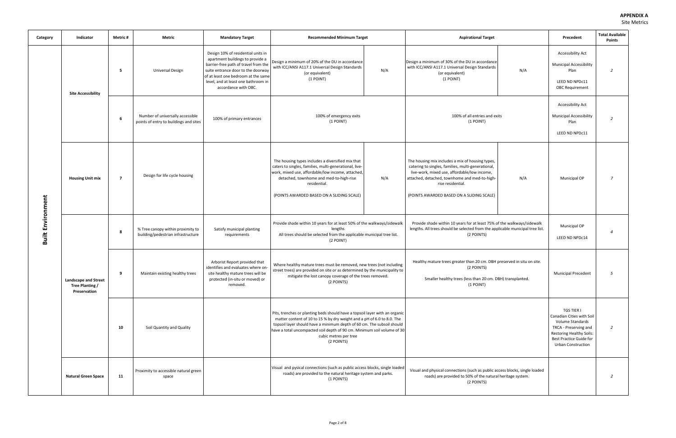#### **APPENDIX A**  Site Metrics

| Category                 | Indicator                                                      | Metric #       | Metric                                                                     | <b>Mandatory Target</b>                                                                                                                                                                                                                                    | <b>Recommended Minimum Target</b>                                                                                                                                                                                                                                                                                                                 | <b>Aspirational Target</b>                                                                                                                                                                                                                                                |     | Precedent                                                                                                                                                                              | <b>Total Available</b><br><b>Points</b> |
|--------------------------|----------------------------------------------------------------|----------------|----------------------------------------------------------------------------|------------------------------------------------------------------------------------------------------------------------------------------------------------------------------------------------------------------------------------------------------------|---------------------------------------------------------------------------------------------------------------------------------------------------------------------------------------------------------------------------------------------------------------------------------------------------------------------------------------------------|---------------------------------------------------------------------------------------------------------------------------------------------------------------------------------------------------------------------------------------------------------------------------|-----|----------------------------------------------------------------------------------------------------------------------------------------------------------------------------------------|-----------------------------------------|
| <b>Built Environment</b> | <b>Site Accessibility</b>                                      | -5             | <b>Universal Design</b>                                                    | Design 10% of residential units in<br>apartment buildings to provide a<br>barrier-free path of travel from the<br>suite entrance door to the doorway<br>of at least one bedroom at the same<br>level, and at least one bathroom in<br>accordance with OBC. | Design a minimum of 20% of the DU in accordance<br>with ICC/ANSI A117.1 Universal Design Standards<br>N/A<br>(or equivalent)<br>(1 POINT)                                                                                                                                                                                                         | Design a minimum of 30% of the DU in accordance<br>with ICC/ANSI A117.1 Universal Design Standards<br>(or equivalent)<br>(1 POINT)                                                                                                                                        | N/A | <b>Accessibility Act</b><br><b>Municipal Accessibility</b><br>Plan<br>LEED ND NPDc11<br><b>OBC Requirement</b>                                                                         | $\overline{2}$                          |
|                          |                                                                | 6              | Number of universally accessible<br>points of entry to buildings and sites | 100% of primary entrances                                                                                                                                                                                                                                  | 100% of emergency exits<br>$(1$ POINT)                                                                                                                                                                                                                                                                                                            | 100% of all entries and exits<br>(1 POINT)                                                                                                                                                                                                                                |     | <b>Accessibility Act</b><br><b>Municipal Accessibility</b><br>Plan<br>LEED ND NPDc11                                                                                                   | $\overline{2}$                          |
|                          | <b>Housing Unit mix</b>                                        | $\overline{7}$ | Design for life cycle housing                                              |                                                                                                                                                                                                                                                            | The housing types includes a diversified mix that<br>caters to singles, families, multi-generational, live-<br>work, mixed use, affordable/low income, attached,<br>detached, townhome and med-to-high-rise<br>N/A<br>residential.<br>(POINTS AWARDED BASED ON A SLIDING SCALE)                                                                   | The housing mix includes a mix of housing types,<br>catering to singles, families, multi-generational,<br>live-work, mixed use, affordable/low income,<br>attached, detached, townhome and med-to-high-<br>rise residential.<br>(POINTS AWARDED BASED ON A SLIDING SCALE) | N/A | Municipal OP                                                                                                                                                                           | $\overline{z}$                          |
|                          | <b>Landscape and Street</b><br>Tree Planting /<br>Preservation | 8              | % Tree canopy within proximity to<br>building/pedestrian infrastructure    | Satisfy municipal planting<br>requirements                                                                                                                                                                                                                 | Provide shade within 10 years for at least 50% of the walkways/sidewalk<br>lengths<br>All trees should be selected from the applicable municipal tree list.<br>(2 POINT)                                                                                                                                                                          | Provide shade within 10 years for at least 75% of the walkways/sidewalk<br>lengths. All trees should be selected from the applicable municipal tree list.<br>(2 POINTS)                                                                                                   |     | Municipal OP<br>LEED ND NPDc14                                                                                                                                                         | $\overline{4}$                          |
|                          |                                                                | -9             | Maintain existing healthy trees                                            | Arborist Report provided that<br>identifies and evaluates where on-<br>site healthy mature trees will be<br>protected (in-situ or moved) or<br>removed.                                                                                                    | Where healthy mature trees must be removed, new trees (not including<br>street trees) are provided on site or as determined by the municipality to<br>mitigate the lost canopy coverage of the trees removed.<br>(2 POINTS)                                                                                                                       | Healthy mature trees greater than 20 cm. DBH preserved in situ on site.<br>(2 POINTS)<br>Smaller healthy trees (less than 20 cm. DBH) transplanted.<br>(1 POINT)                                                                                                          |     | <b>Municipal Precedent</b>                                                                                                                                                             | 5                                       |
|                          |                                                                | 10             | Soil Quantity and Quality                                                  |                                                                                                                                                                                                                                                            | Pits, trenches or planting beds should have a topsoil layer with an organic<br>matter content of 10 to 15 % by dry weight and a pH of 6.0 to 8.0. The<br>topsoil layer should have a minimum depth of 60 cm. The subsoil should<br>have a total uncompacted soil depth of 90 cm. Minimum soil volume of 30<br>cubic metres per tree<br>(2 POINTS) |                                                                                                                                                                                                                                                                           |     | <b>TGS TIER I</b><br>Canadian Cities with Soil<br>Volume Standards<br>TRCA - Preserving and<br><b>Restoring Healthy Soils:</b><br>Best Practice Guide for<br><b>Urban Construction</b> | $\overline{2}$                          |
|                          | <b>Natural Green Space</b>                                     | 11             | Proximity to accessible natural green<br>space                             |                                                                                                                                                                                                                                                            | Visual and pysical connections (such as public access blocks, single loaded<br>roads) are provided to the natural heritage system and parks.<br>(1 POINTS)                                                                                                                                                                                        | Visual and physical connections (such as public access blocks, single loaded<br>roads) are provided to 50% of the natural heritage system.<br>(2 POINTS)                                                                                                                  |     |                                                                                                                                                                                        | $\overline{2}$                          |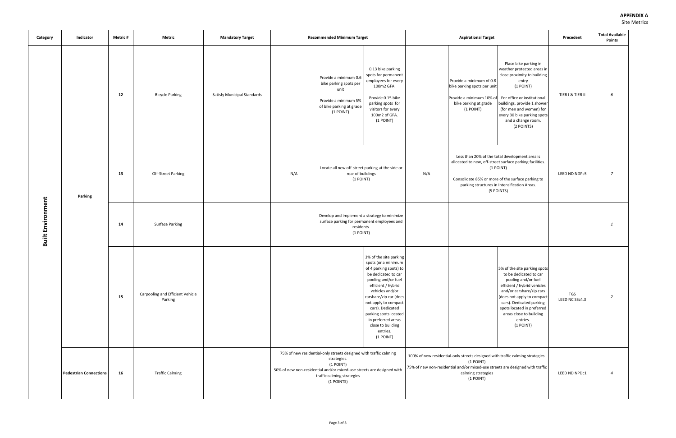| Category                 | Indicator                     | <b>Metric#</b>           | Metric                                      | <b>Mandatory Target</b>            |     | <b>Recommended Minimum Target</b>                                                                                                                                                                                  |                                                                                                                                                                                                                                                                                                                                   |                                                                                                                                                                                                                                                   | <b>Aspirational Target</b>                                                                                                                            |                                                                                                                                                                                                                                                                                      | Precedent             | <b>Total Available</b><br><b>Points</b> |
|--------------------------|-------------------------------|--------------------------|---------------------------------------------|------------------------------------|-----|--------------------------------------------------------------------------------------------------------------------------------------------------------------------------------------------------------------------|-----------------------------------------------------------------------------------------------------------------------------------------------------------------------------------------------------------------------------------------------------------------------------------------------------------------------------------|---------------------------------------------------------------------------------------------------------------------------------------------------------------------------------------------------------------------------------------------------|-------------------------------------------------------------------------------------------------------------------------------------------------------|--------------------------------------------------------------------------------------------------------------------------------------------------------------------------------------------------------------------------------------------------------------------------------------|-----------------------|-----------------------------------------|
|                          |                               | 12                       | <b>Bicycle Parking</b>                      | <b>Satisfy Municipal Standards</b> |     | Provide a minimum 0.6<br>bike parking spots per<br>unit<br>Provide a minimum 5%<br>of bike parking at grade<br>(1 POINT)                                                                                           | 0.13 bike parking<br>spots for permanent<br>employees for every<br>100m2 GFA.<br>Provide 0.15 bike<br>parking spots for<br>visitors for every<br>100m2 of GFA.<br>(1 POINT)                                                                                                                                                       |                                                                                                                                                                                                                                                   | Provide a minimum of 0.8<br>bike parking spots per unit<br>Provide a minimum 10% of For office or institutional<br>bike parking at grade<br>(1 POINT) | Place bike parking in<br>weather protected areas in<br>close proximity to building<br>entry<br>(1 POINT)<br>buildings, provide 1 shower<br>(for men and women) for<br>every 30 bike parking spots<br>and a change room.<br>(2 POINTS)                                                | TIER I & TIER II      | 6                                       |
| <b>Built Environment</b> | Parking                       | 13<br>Off-Street Parking |                                             |                                    | N/A | Locate all new off-street parking at the side or<br>rear of buildings<br>(1 POINT)                                                                                                                                 |                                                                                                                                                                                                                                                                                                                                   | Less than 20% of the total development area is<br>allocated to new, off-street surface parking facilities.<br>(1 POINT)<br>N/A<br>Consolidate 85% or more of the surface parking to<br>parking structures in Intensification Areas.<br>(5 POINTS) |                                                                                                                                                       |                                                                                                                                                                                                                                                                                      | LEED ND NDPc5         | $\overline{7}$                          |
|                          |                               | 14                       | <b>Surface Parking</b>                      |                                    |     | Develop and implement a strategy to minimize<br>surface parking for permanent employees and<br>residents.<br>(1 POINT)                                                                                             |                                                                                                                                                                                                                                                                                                                                   |                                                                                                                                                                                                                                                   |                                                                                                                                                       |                                                                                                                                                                                                                                                                                      |                       | $\mathbf{1}$                            |
|                          |                               | 15                       | Carpooling and Efficient Vehicle<br>Parking |                                    |     |                                                                                                                                                                                                                    | 3% of the site parking<br>spots (or a minimum<br>of 4 parking spots) to<br>be dedicated to car<br>pooling and/or fuel<br>efficient / hybrid<br>vehicles and/or<br>carshare/zip car (does<br>not apply to compact<br>cars). Dedicated<br>parking spots located<br>in preferred areas<br>close to building<br>entries.<br>(1 POINT) |                                                                                                                                                                                                                                                   |                                                                                                                                                       | 5% of the site parking spots<br>to be dedicated to car<br>pooling and/or fuel<br>efficient / hybrid vehicles<br>and/or carshare/zip cars<br>(does not apply to compact<br>cars). Dedicated parking<br>spots located in preferred<br>areas close to building<br>entries.<br>(1 POINT) | TGS<br>LEED NC SSc4.3 | $\overline{2}$                          |
|                          | <b>Pedestrian Connections</b> | 16                       | <b>Traffic Calming</b>                      |                                    |     | 75% of new residential-only streets designed with traffic calming<br>strategies.<br>(1 POINT)<br>50% of new non-residential and/or mixed-use streets are designed with<br>traffic calming strategies<br>(1 POINTS) |                                                                                                                                                                                                                                                                                                                                   |                                                                                                                                                                                                                                                   | (1 POINT)<br>calming strategies<br>(1 POINT)                                                                                                          | 100% of new residential-only streets designed with traffic calming strategies.<br>75% of new non-residential and/or mixed-use streets are designed with traffic                                                                                                                      | LEED ND NPDc1         | $\overline{4}$                          |

| <b>Aspirational Target</b>                                                                                             |                                                                                                                                                                                                                                                                                      | Precedent             | <b>Total Available</b><br><b>Points</b> |
|------------------------------------------------------------------------------------------------------------------------|--------------------------------------------------------------------------------------------------------------------------------------------------------------------------------------------------------------------------------------------------------------------------------------|-----------------------|-----------------------------------------|
| rovide a minimum of 0.8<br>ike parking spots per unit<br>rovide a minimum 10% of<br>bike parking at grade<br>(1 POINT) | Place bike parking in<br>weather protected areas in<br>close proximity to building<br>entry<br>(1 POINT)<br>For office or institutional<br>buildings, provide 1 shower<br>(for men and women) for<br>every 30 bike parking spots<br>and a change room.<br>(2 POINTS)                 | TIER I & TIER II      | 6                                       |
|                                                                                                                        | Less than 20% of the total development area is<br>allocated to new, off-street surface parking facilities.<br>$(1$ POINT)<br>Consolidate 85% or more of the surface parking to<br>parking structures in Intensification Areas.<br>(5 POINTS)                                         | LEED ND NDPc5         | 7                                       |
|                                                                                                                        |                                                                                                                                                                                                                                                                                      |                       | 1                                       |
|                                                                                                                        | 5% of the site parking spots<br>to be dedicated to car<br>pooling and/or fuel<br>efficient / hybrid vehicles<br>and/or carshare/zip cars<br>(does not apply to compact<br>cars). Dedicated parking<br>spots located in preferred<br>areas close to building<br>entries.<br>(1 POINT) | TGS<br>LEED NC SSc4.3 | 2                                       |
| (1 POINT)<br>calming strategies<br>(1 POINT)                                                                           | -only streets designed with traffic calming strategies.<br>ial and/or mixed-use streets are designed with traffic                                                                                                                                                                    | LEED ND NPDc1         | 4                                       |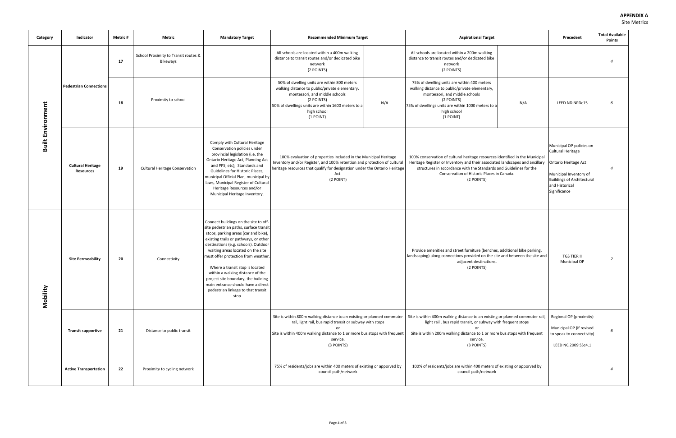| Category                 | Indicator                                    | Metric #                                    | Metric                                                  | <b>Mandatory Target</b>                                                                                                                                                                                                                                                                                                                                                                                                                                                                | <b>Recommended Minimum Target</b>                                                                                                                                                                                                               |     | <b>Aspirational Target</b>                                                                                                                                                                                                                                                                     |     | Precedent                                                                                                                                                                            | <b>Total Available</b><br><b>Points</b> |
|--------------------------|----------------------------------------------|---------------------------------------------|---------------------------------------------------------|----------------------------------------------------------------------------------------------------------------------------------------------------------------------------------------------------------------------------------------------------------------------------------------------------------------------------------------------------------------------------------------------------------------------------------------------------------------------------------------|-------------------------------------------------------------------------------------------------------------------------------------------------------------------------------------------------------------------------------------------------|-----|------------------------------------------------------------------------------------------------------------------------------------------------------------------------------------------------------------------------------------------------------------------------------------------------|-----|--------------------------------------------------------------------------------------------------------------------------------------------------------------------------------------|-----------------------------------------|
|                          |                                              | 17                                          | School Proximity to Transit routes &<br><b>Bikeways</b> |                                                                                                                                                                                                                                                                                                                                                                                                                                                                                        | All schools are located within a 400m walking<br>distance to transit routes and/or dedicated bike<br>network<br>(2 POINTS)                                                                                                                      |     | All schools are located within a 200m walking<br>distance to transit routes and/or dedicated bike<br>network<br>(2 POINTS)                                                                                                                                                                     |     |                                                                                                                                                                                      | $\overline{4}$                          |
| <b>Built Environment</b> | <b>Pedestrian Connections</b>                | 18                                          | Proximity to school                                     |                                                                                                                                                                                                                                                                                                                                                                                                                                                                                        | 50% of dwelling units are within 800 meters<br>walking distance to public/private elementary,<br>montessori, and middle schools<br>(2 POINTS)<br>50% of dwellings units are within 1600 meters to a<br>high school<br>(1 POINT)                 | N/A | 75% of dwelling units are within 400 meters<br>walking distance to public/private elementary,<br>montessori, and middle schools<br>(2 POINTS)<br>75% of dwellings units are within 1000 meters to a<br>high school<br>(1 POINT)                                                                | N/A | LEED ND NPDc15                                                                                                                                                                       | 6                                       |
|                          | <b>Cultural Heritage</b><br><b>Resources</b> | 19<br><b>Cultural Heritage Conservation</b> |                                                         | Comply with Cultural Heritage<br>Conservation policies under<br>provincial legislation (i.e. the<br>Ontario Heritage Act, Planning Act<br>and PPS, etc), Standards and<br>Guidelines for Historic Places,<br>municipal Official Plan, municipal by-<br>laws, Municipal Register of Cultural<br>Heritage Resources and/or<br>Municipal Heritage Inventory.                                                                                                                              | 100% evaluation of properties included in the Municipal Heritage<br>Inventory and/or Register, and 100% retention and protection of cultural<br>heritage resources that qualify for designation under the Ontario Heritage<br>Act.<br>(2 POINT) |     | 100% conservation of cultural heritage resources identified in the Municipal<br>Heritage Register or Inventory and their associated landscapes and ancillary<br>structures in accordance with the Standards and Guidelines for the<br>Conservation of Historic Places in Canada.<br>(2 POINTS) |     | Municipal OP policies on<br><b>Cultural Heritage</b><br><b>Ontario Heritage Act</b><br>Municipal Inventory of<br><b>Buildings of Architectural</b><br>and Historical<br>Significance | $\overline{4}$                          |
| Mobility                 | <b>Site Permeability</b>                     |                                             | Connectivity                                            | Connect buildings on the site to off-<br>site pedestrian paths, surface transit<br>stops, parking areas (car and bike),<br>existing trails or pathways, or other<br>destinations (e.g. schools). Outdoor<br>waiting areas located on the site<br>must offer protection from weather.<br>Where a transit stop is located<br>within a walking distance of the<br>project site boundary, the building<br>main entrance should have a direct<br>pedestrian linkage to that transit<br>stop |                                                                                                                                                                                                                                                 |     | Provide amenities and street furniture (benches, additional bike parking,<br>landscaping) along connections provided on the site and between the site and<br>adjacent destinations.<br>(2 POINTS)                                                                                              |     | <b>TGS TIER II</b><br>Municipal OP                                                                                                                                                   | $\overline{2}$                          |
|                          | <b>Transit supportive</b>                    | 21                                          | Distance to public transit                              |                                                                                                                                                                                                                                                                                                                                                                                                                                                                                        | Site is within 800m walking distance to an existing or planned commuter<br>rail, light rail, bus rapid transit or subway with stops<br>Site is within 400m walking distance to 1 or more bus stops with frequent<br>service.<br>(3 POINTS)      |     | Site is within 400m walking distance to an existing or planned commuter rail,<br>light rail, bus rapid transit, or subway with frequent stops<br>or<br>Site is within 200m walking distance to 1 or more bus stops with frequent<br>service.<br>(3 POINTS)                                     |     | Regional OP (proximity)<br>Municipal OP (if revised<br>to speak to connectivity)<br>LEED NC 2009 SSc4.1                                                                              | 6                                       |
|                          | <b>Active Transportation</b>                 | 22                                          | Proximity to cycling network                            |                                                                                                                                                                                                                                                                                                                                                                                                                                                                                        | 75% of residents/jobs are within 400 meters of existing or apporved by<br>council path/network                                                                                                                                                  |     | 100% of residents/jobs are within 400 meters of existing or apporved by<br>council path/network                                                                                                                                                                                                |     |                                                                                                                                                                                      | $\overline{4}$                          |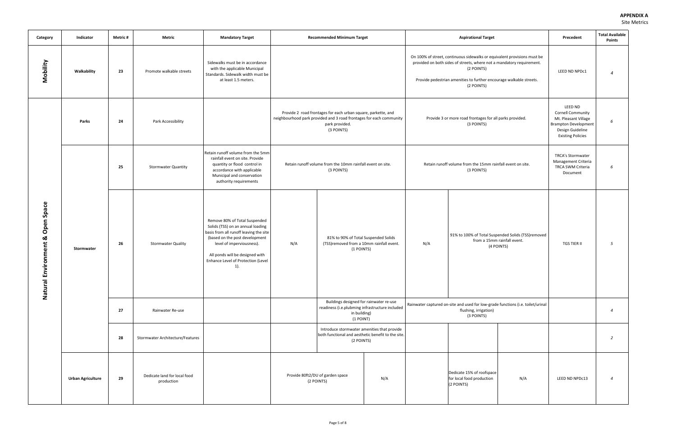| Category                                                                           | Indicator                | Metric # | Metric                                     | <b>Mandatory Target</b>                                                                                                                                                                                                                                     |     | <b>Recommended Minimum Target</b>                                                                                                                                    |     | <b>Aspirational Target</b>                                                                                                                                                                                                                           |                                                                                                 | Precedent                                                                                                                                  | <b>Total Available</b><br><b>Points</b> |
|------------------------------------------------------------------------------------|--------------------------|----------|--------------------------------------------|-------------------------------------------------------------------------------------------------------------------------------------------------------------------------------------------------------------------------------------------------------------|-----|----------------------------------------------------------------------------------------------------------------------------------------------------------------------|-----|------------------------------------------------------------------------------------------------------------------------------------------------------------------------------------------------------------------------------------------------------|-------------------------------------------------------------------------------------------------|--------------------------------------------------------------------------------------------------------------------------------------------|-----------------------------------------|
| Mobility                                                                           | Walkability              | 23       | Promote walkable streets                   | Sidewalks must be in accordance<br>with the applicable Municipal<br>Standards. Sidewalk width must be<br>at least 1.5 meters.                                                                                                                               |     |                                                                                                                                                                      |     | On 100% of street, continuous sidewalks or equivalent provisions must be<br>provided on both sides of streets, where not a mandatory requirement.<br>(2 POINTS)<br>Provide pedestrian amenities to further encourage walkable streets.<br>(2 POINTS) |                                                                                                 | LEED ND NPDc1                                                                                                                              |                                         |
|                                                                                    | Parks                    | 24       | Park Accessibility                         |                                                                                                                                                                                                                                                             |     | Provide 2 road frontages for each urban square, parkette, and<br>neighbourhood park provided and 3 road frontages for each community<br>park provided.<br>(3 POINTS) |     | Provide 3 or more road frontages for all parks provided.<br>(3 POINTS)                                                                                                                                                                               |                                                                                                 | LEED ND<br><b>Cornell Community</b><br>Mt. Pleasant Village<br><b>Brampton Development</b><br>Design Guideline<br><b>Existing Policies</b> | 6                                       |
|                                                                                    |                          | 25       | <b>Stormwater Quantity</b>                 | Retain runoff volume from the 5mm<br>rainfall event on site. Provide<br>quantity or flood control in<br>accordance with applicable<br>Municipal and conservation<br>authority requirements                                                                  |     | Retain runoff volume from the 10mm rainfall event on site.<br>(3 POINTS)                                                                                             |     | Retain runoff volume from the 15mm rainfall event on site.<br>(3 POINTS)                                                                                                                                                                             |                                                                                                 | <b>TRCA's Stormwater</b><br>Management Criteria<br>TRCA SWM Criteria<br>Document                                                           | 6                                       |
| Space<br>pen<br>$\bar{\mathbf{o}}$<br>≪<br>vironment<br>$\epsilon$<br>щ<br>Natural | Stormwater               | 26       | <b>Stormwater Quality</b>                  | Remove 80% of Total Suspended<br>Solids (TSS) on an annual loading<br>basis from all runoff leaving the site<br>(based on the post development<br>level of imperviousness).<br>All ponds will be designed with<br>Enhance Level of Protection (Level<br>1). | N/A | 81% to 90% of Total Suspended Solids<br>(TSS)removed from a 10mm rainfall event.<br>(1 POINTS)                                                                       | N/A |                                                                                                                                                                                                                                                      | 91% to 100% of Total Suspended Solids (TSS)removed<br>from a 15mm rainfall event.<br>(4 POINTS) | <b>TGS TIER II</b>                                                                                                                         | 5                                       |
|                                                                                    |                          | 27       | Rainwater Re-use                           |                                                                                                                                                                                                                                                             |     | Buildings designed for rainwater re-use<br>readiness (i.e.plubming infrastructure included<br>in building)<br>(1 POINT)                                              |     | flushing, irrigation)<br>(3 POINTS)                                                                                                                                                                                                                  | Rainwater captured on-site and used for low-grade functions (i.e. toilet/urinal                 |                                                                                                                                            | $\overline{a}$                          |
|                                                                                    |                          | 28       | Stormwater Architecture/Features           |                                                                                                                                                                                                                                                             |     | Introduce stormwater amenities that provide<br>both functional and aesthetic benefit to the site.<br>(2 POINTS)                                                      |     |                                                                                                                                                                                                                                                      |                                                                                                 |                                                                                                                                            | $\overline{2}$                          |
|                                                                                    | <b>Urban Agriculture</b> | 29       | Dedicate land for local food<br>production |                                                                                                                                                                                                                                                             |     | Provide 80ft2/DU of garden space<br>N/A<br>(2 POINTS)                                                                                                                |     | Dedicate 15% of roofspace<br>for local food production<br>(2 POINTS)                                                                                                                                                                                 | N/A                                                                                             | LEED ND NPDc13                                                                                                                             | $\overline{a}$                          |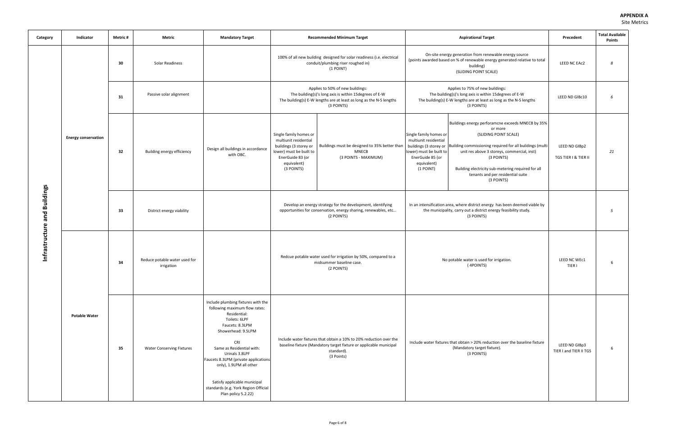| Category                    | Indicator                  | Metric # | Metric                                      | <b>Mandatory Target</b>                                                                                                                                                                                                                                                                                                                                                      |                                                                                                                                                       | <b>Recommended Minimum Target</b>                                                                                                                                               |                                                                                                                            | <b>Aspirational Target</b>                                                                                                                                                                                                                                                                                                                     | Precedent                               | <b>Total Available</b><br><b>Points</b> |
|-----------------------------|----------------------------|----------|---------------------------------------------|------------------------------------------------------------------------------------------------------------------------------------------------------------------------------------------------------------------------------------------------------------------------------------------------------------------------------------------------------------------------------|-------------------------------------------------------------------------------------------------------------------------------------------------------|---------------------------------------------------------------------------------------------------------------------------------------------------------------------------------|----------------------------------------------------------------------------------------------------------------------------|------------------------------------------------------------------------------------------------------------------------------------------------------------------------------------------------------------------------------------------------------------------------------------------------------------------------------------------------|-----------------------------------------|-----------------------------------------|
|                             |                            | 30       | Solar Readiness                             |                                                                                                                                                                                                                                                                                                                                                                              |                                                                                                                                                       | 100% of all new building designed for solar readiness (i.e. electrical<br>conduit/plumbing riser roughed in)<br>(1 POINT)                                                       |                                                                                                                            | On-site energy generation from renewable energy source<br>(points awarded based on % of renewable energy generated relative to total<br>building)<br>(SLIDING POINT SCALE)                                                                                                                                                                     | LEED NC EAc2                            | 8                                       |
|                             |                            | 31       | Passive solar alignment                     |                                                                                                                                                                                                                                                                                                                                                                              |                                                                                                                                                       | Applies to 50% of new buildings:<br>The building(s)'s long axis is within 15degrees of E-W<br>The building(s) E-W lengths are at least as long as the N-S lengths<br>(3 POINTS) |                                                                                                                            | Applies to 75% of new buildings:<br>The building(s)'s long axis is within 15 degrees of E-W<br>The building(s) E-W lengths are at least as long as the N-S lengths<br>(3 POINTS)                                                                                                                                                               | LEED ND GIBc10                          | 6                                       |
|                             | <b>Energy conservation</b> | 32       | Building energy efficiency                  | Design all buildings in accordance<br>with OBC.                                                                                                                                                                                                                                                                                                                              | Single family homes or<br>multiunit residential<br>buildings (3 storey or<br>lower) must be built to<br>EnerGuide 83 (or<br>equivalent)<br>(3 POINTS) | Buildings must be designed to 35% better than<br><b>MNECB</b><br>(3 POINTS - MAXIMUM)                                                                                           | Single family homes or<br>multiunit residential<br>lower) must be built to<br>EnerGuide 85 (or<br>equivalent)<br>(1 POINT) | Buildings energy perforamcne exceeds MNECB by 35%<br>or more<br>(SLIDING POINT SCALE)<br>buildings (3 storey or Building commissioning required for all buildings (multi<br>unit res above 3 storeys, commercial, inst)<br>(3 POINTS)<br>Building electricity sub-metering required for all<br>tenants and per residential suite<br>(3 POINTS) | LEED ND GIBp2<br>TGS TIER I & TIER II   | 21                                      |
| nfrastructure and Buildings |                            | 33       | District energy viability                   |                                                                                                                                                                                                                                                                                                                                                                              | Develop an energy strategy for the development, identifying<br>opportunities for conservation, energy sharing, renewables, etc<br>(2 POINTS)          |                                                                                                                                                                                 |                                                                                                                            | In an intensification area, where district energy has been deemed viable by<br>the municipality, carry out a district energy feasibility study.<br>(3 POINTS)                                                                                                                                                                                  |                                         | 5                                       |
|                             |                            | 34       | Reduce potable water used for<br>irrigation |                                                                                                                                                                                                                                                                                                                                                                              |                                                                                                                                                       | Redcue potable water used for irrigation by 50%, compared to a<br>midsummer baseline case.<br>(2 POINTS)                                                                        |                                                                                                                            | No potable water is used for irrigation.<br>(4POINTS)                                                                                                                                                                                                                                                                                          | LEED NC WEc1<br>TIER I                  | -6                                      |
|                             | <b>Potable Water</b>       | 35       | <b>Water Conserving Fixtures</b>            | Include plumbing fixtures with the<br>following maximum flow rates:<br>Residential:<br>Toilets: 6LPF<br>Faucets: 8.3LPM<br>Showerhead: 9.5LPM<br><b>CRI</b><br>Same as Residential with:<br>Urinals 3.8LPF<br>Faucets 8.3LPM (private applications<br>only), 1.9LPM all other<br>Satisfy applicable municipal<br>standards (e.g. York Region Official<br>Plan policy 5.2.22) |                                                                                                                                                       | Include water fixtures that obtain a 10% to 20% reduction over the<br>baseline fixture (Mandatory target fixture or applicable municipal<br>standard).<br>(3 Points)            |                                                                                                                            | Include water fixtures that obtain > 20% reduction over the baseline fixture<br>(Mandatory target fixture).<br>(3 POINTS)                                                                                                                                                                                                                      | LEED ND GIBp3<br>TIER I and TIER II TGS | -6                                      |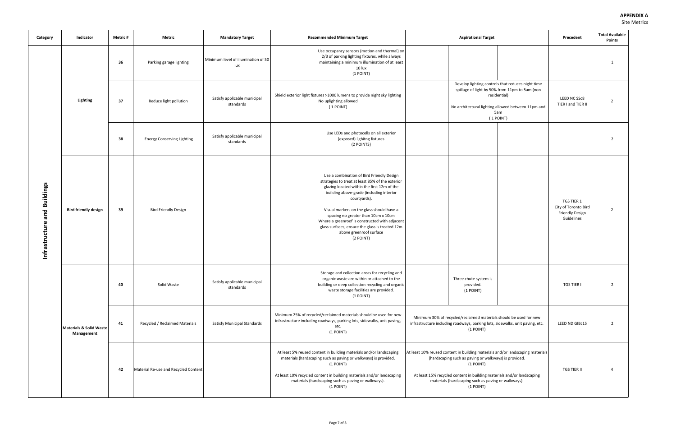| Category                        | Indicator                             | Metric # | Metric                            | <b>Mandatory Target</b>                    | <b>Recommended Minimum Target</b>                                                                                                                                                                                                                                                                                                                                                                                                         | <b>Aspirational Target</b>                                                                                                                                                                                                                                                                        | Precedent                                                                                                                                                                                                                                                                                            | <b>Total Available</b><br><b>Points</b> |
|---------------------------------|---------------------------------------|----------|-----------------------------------|--------------------------------------------|-------------------------------------------------------------------------------------------------------------------------------------------------------------------------------------------------------------------------------------------------------------------------------------------------------------------------------------------------------------------------------------------------------------------------------------------|---------------------------------------------------------------------------------------------------------------------------------------------------------------------------------------------------------------------------------------------------------------------------------------------------|------------------------------------------------------------------------------------------------------------------------------------------------------------------------------------------------------------------------------------------------------------------------------------------------------|-----------------------------------------|
|                                 |                                       | 36       | Parking garage lighting           | Minimum level of illumination of 50<br>lux | Use occupancy sensors (motion and thermal) on<br>2/3 of parking lighting fixtures, while always<br>maintaining a minimum illumination of at least<br>10 lux<br>(1 POINT)                                                                                                                                                                                                                                                                  |                                                                                                                                                                                                                                                                                                   |                                                                                                                                                                                                                                                                                                      | 1                                       |
|                                 | Lighting                              | 37       | Reduce light pollution            | Satisfy applicable municipal<br>standards  | Shield exterior light fixtures >1000 lumens to provide night sky lighting<br>No uplighting allowed<br>(1 POINT)                                                                                                                                                                                                                                                                                                                           | Develop lighting controls that reduces night time<br>spillage of light by 50% from 11pm to 5am (non<br>residential)<br>No architectural lighting allowed between 11pm and<br>5am<br>(1 POINT)                                                                                                     | LEED NC SSc8<br>TIER I and TIER II                                                                                                                                                                                                                                                                   | $\overline{2}$                          |
|                                 |                                       | 38       | <b>Energy Conserving Lighting</b> | Satisfy applicable municipal<br>standards  | Use LEDs and photocells on all exterior<br>(exposed) lighitng fixtures<br>(2 POINTS)                                                                                                                                                                                                                                                                                                                                                      |                                                                                                                                                                                                                                                                                                   |                                                                                                                                                                                                                                                                                                      | $\overline{2}$                          |
| and Buildings<br>Infrastructure | <b>Bird friendly design</b>           | 39       | <b>Bird Friendly Design</b>       |                                            | Use a combination of Bird Friendly Design<br>strategies to treat at least 85% of the exterior<br>glazing located within the first 12m of the<br>building above-grade (including interior<br>courtyards).<br>Visual markers on the glass should have a<br>spacing no greater than 10cm x 10cm<br>Where a greenroof is constructed with adjacent<br>glass surfaces, ensure the glass is treated 12m<br>above greenroof surface<br>(2 POINT) |                                                                                                                                                                                                                                                                                                   | TGS TIER 1<br>City of Toronto Bird<br><b>Friendly Design</b><br>Guidelines                                                                                                                                                                                                                           | 2                                       |
|                                 |                                       | 40       | Solid Waste                       | Satisfy applicable municipal<br>standards  | Storage and collection areas for recycling and<br>organic waste are within or attached to the<br>building or deep collection recycling and organic<br>waste storage facilities are provided.<br>(1 POINT)                                                                                                                                                                                                                                 | Three chute system is<br>provided.<br>(1 POINT)                                                                                                                                                                                                                                                   | <b>TGS TIER I</b>                                                                                                                                                                                                                                                                                    | $\overline{2}$                          |
|                                 | Materials & Solid Waste<br>Management | 41       | Recycled / Reclaimed Materials    | <b>Satisfy Municipal Standards</b>         | Minimum 25% of recycled/reclaimed materials should be used for new<br>infrastructure including roadways, parking lots, sidewalks, unit paving,<br>etc.<br>(1 POINT)                                                                                                                                                                                                                                                                       | Minimum 30% of recycled/reclaimed materials should be used for new<br>infrastructure including roadways, parking lots, sidewalks, unit paving, etc.<br>$(1$ POINT)                                                                                                                                | LEED ND GIBc15                                                                                                                                                                                                                                                                                       | $\overline{2}$                          |
|                                 |                                       | 42       |                                   | Material Re-use and Recycled Content       |                                                                                                                                                                                                                                                                                                                                                                                                                                           | At least 5% reused content in building materials and/or landscaping<br>materials (hardscaping such as paving or walkways) is provided.<br>(1 POINT)<br>At least 10% recycled content in building materials and/or landscaping<br>materials (hardscaping such as paving or walkways).<br>(1 POINT) | At least 10% reused content in building materials and/or landscaping materials<br>(hardscaping such as paving or walkways) is provided.<br>$(1$ POINT)<br>At least 15% recycled content in building materials and/or landscaping<br>materials (hardscaping such as paving or walkways).<br>(1 POINT) | <b>TGS TIER II</b>                      |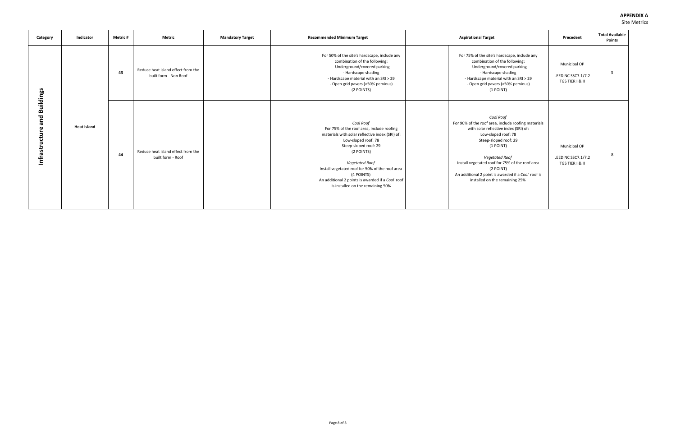#### **APPENDIX A**  Site Metrics

| Category                                  | Indicator          | Metric # | <b>Metric</b>                                               | <b>Mandatory Target</b> | <b>Recommended Minimum Target</b>                                                                                                                                                                                                                                                                                                                          | <b>Aspirational Target</b>                                                                                                                                                                                                                                                                                                                              | Precedent                                             | <b>Total Available</b><br><b>Points</b> |
|-------------------------------------------|--------------------|----------|-------------------------------------------------------------|-------------------------|------------------------------------------------------------------------------------------------------------------------------------------------------------------------------------------------------------------------------------------------------------------------------------------------------------------------------------------------------------|---------------------------------------------------------------------------------------------------------------------------------------------------------------------------------------------------------------------------------------------------------------------------------------------------------------------------------------------------------|-------------------------------------------------------|-----------------------------------------|
|                                           |                    | 43       | Reduce heat island effect from the<br>built form - Non Roof |                         | For 50% of the site's hardscape, include any<br>combination of the following:<br>- Underground/covered parking<br>- Hardscape shading<br>- Hardscape material with an SRI > 29<br>- Open grid pavers (>50% pervious)<br>(2 POINTS)                                                                                                                         | For 75% of the site's hardscape, include any<br>combination of the following:<br>- Underground/covered parking<br>- Hardscape shading<br>- Hardscape material with an SRI > 29<br>- Open grid pavers (>50% pervious)<br>(1 POINT)                                                                                                                       | Municipal OP<br>LEED NC SSC7.1/7.2<br>TGS TIER I & II | 3                                       |
| <b>Buildings</b><br>and<br>Infrastructure | <b>Heat Island</b> | 44       | Reduce heat island effect from the<br>built form - Roof     |                         | Cool Roof<br>For 75% of the roof area, include roofing<br>materials with solar reflective index (SRI) of:<br>Low-sloped roof: 78<br>Steep-sloped roof: 29<br>(2 POINTS)<br><b>Vegetated Roof</b><br>Install vegetated roof for 50% of the roof area<br>(4 POINTS)<br>An additional 2 points is awarded if a Cool roof<br>is installed on the remaining 50% | Cool Roof<br>For 90% of the roof area, include roofing materials<br>with solar reflective index (SRI) of:<br>Low-sloped roof: 78<br>Steep-sloped roof: 29<br>(1 POINT)<br><b>Vegetated Roof</b><br>Install vegetated roof for 75% of the roof area<br>(2 POINT)<br>An additional 2 point is awarded if a Cool roof is<br>installed on the remaining 25% | Municipal OP<br>LEED NC SSC7.1/7.2<br>TGS TIER I & II |                                         |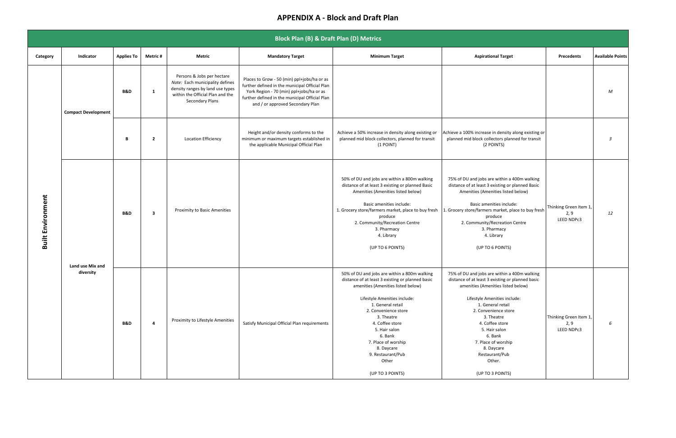|                          |                               |                   |                         |                                                                                                                                                          | <b>Block Plan (B) &amp; Draft Plan (D) Metrics</b>                                                                                                                                                                              |                                                                                                                                                                                                                                                                                                                                                                         |                                                                                                                                                                                                                                                                                                                                                                       |                                              |                         |
|--------------------------|-------------------------------|-------------------|-------------------------|----------------------------------------------------------------------------------------------------------------------------------------------------------|---------------------------------------------------------------------------------------------------------------------------------------------------------------------------------------------------------------------------------|-------------------------------------------------------------------------------------------------------------------------------------------------------------------------------------------------------------------------------------------------------------------------------------------------------------------------------------------------------------------------|-----------------------------------------------------------------------------------------------------------------------------------------------------------------------------------------------------------------------------------------------------------------------------------------------------------------------------------------------------------------------|----------------------------------------------|-------------------------|
| Category                 | Indicator                     | <b>Applies To</b> | Metric #                | Metric                                                                                                                                                   | <b>Mandatory Target</b>                                                                                                                                                                                                         | <b>Minimum Target</b>                                                                                                                                                                                                                                                                                                                                                   | <b>Aspirational Target</b>                                                                                                                                                                                                                                                                                                                                            | <b>Precedents</b>                            | <b>Available Points</b> |
|                          | <b>Compact Development</b>    | <b>B&amp;D</b>    | 1                       | Persons & Jobs per hectare<br>Note: Each municipality defines<br>density ranges by land use types<br>within the Official Plan and the<br>Secondary Plans | Places to Grow - 50 (min) ppl+jobs/ha or as<br>further defined in the municipal Official Plan<br>York Region - 70 (min) ppl+jobs/ha or as<br>further defined in the municipal Official Plan<br>and / or approved Secondary Plan |                                                                                                                                                                                                                                                                                                                                                                         |                                                                                                                                                                                                                                                                                                                                                                       |                                              | M                       |
|                          |                               | B                 | $\overline{\mathbf{2}}$ | <b>Location Efficiency</b>                                                                                                                               | Height and/or density conforms to the<br>minimum or maximum targets established in<br>the applicable Municipal Official Plan                                                                                                    | Achieve a 50% increase in density along existing or<br>planned mid block collectors, planned for transit<br>(1 POINT)                                                                                                                                                                                                                                                   | Achieve a 100% increase in density along existing or<br>planned mid block collectors planned for transit<br>(2 POINTS)                                                                                                                                                                                                                                                |                                              | $\overline{3}$          |
| <b>Built Environment</b> |                               | <b>B&amp;D</b>    | $\overline{\mathbf{3}}$ | Proximity to Basic Amenities                                                                                                                             |                                                                                                                                                                                                                                 | 50% of DU and jobs are within a 800m walking<br>distance of at least 3 existing or planned Basic<br>Amenities (Amenities listed below)<br>Basic amenities include:<br>1. Grocery store/farmers market, place to buy fresh<br>produce<br>2. Community/Recreation Centre<br>3. Pharmacy<br>4. Library<br>(UP TO 6 POINTS)                                                 | 75% of DU and jobs are within a 400m walking<br>distance of at least 3 existing or planned Basic<br>Amenities (Amenities listed below)<br>Basic amenities include:<br>1. Grocery store/farmers market, place to buy fresh<br>produce<br>2. Community/Recreation Centre<br>3. Pharmacy<br>4. Library<br>(UP TO 6 POINTS)                                               | Thinking Green Item 1,<br>2, 9<br>LEED NDPc3 | 12                      |
|                          | Land use Mix and<br>diversity | <b>B&amp;D</b>    | - 4                     | Proximity to Lifestyle Amenities                                                                                                                         | Satisfy Municipal Official Plan requirements                                                                                                                                                                                    | 50% of DU and jobs are within a 800m walking<br>distance of at least 3 existing or planned basic<br>amenities (Amenities listed below)<br>Lifestyle Amenities include:<br>1. General retail<br>2. Convenience store<br>3. Theatre<br>4. Coffee store<br>5. Hair salon<br>6. Bank<br>7. Place of worship<br>8. Daycare<br>9. Restaurant/Pub<br>Other<br>(UP TO 3 POINTS) | 75% of DU and jobs are within a 400m walking<br>distance of at least 3 existing or planned basic<br>amenities (Amenities listed below)<br>Lifestyle Amenities include:<br>1. General retail<br>2. Convenience store<br>3. Theatre<br>4. Coffee store<br>5. Hair salon<br>6. Bank<br>7. Place of worship<br>8. Daycare<br>Restaurant/Pub<br>Other.<br>(UP TO 3 POINTS) | Thinking Green Item 1,<br>2, 9<br>LEED NDPc3 | 6                       |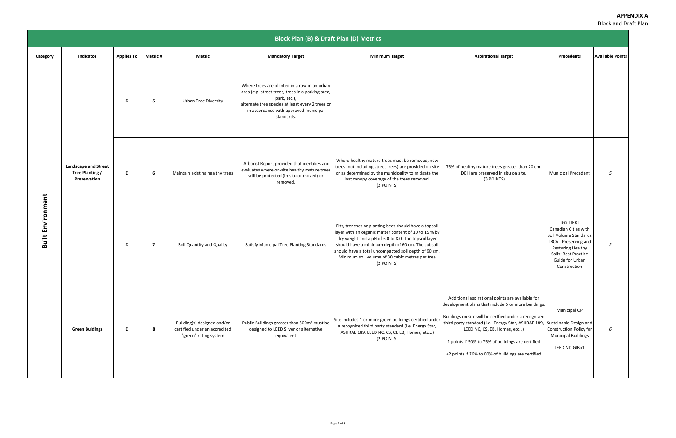|                          | <b>Block Plan (B) &amp; Draft Plan (D) Metrics</b>             |                   |                |                                                                                       |                                                                                                                                                                                                                              |                                                                                                                                                                                                                                                                                                                                                      |                                                                                                                                                                                                                                                                                                                                  |                                                                                                                                                                                    |                         |  |  |  |  |
|--------------------------|----------------------------------------------------------------|-------------------|----------------|---------------------------------------------------------------------------------------|------------------------------------------------------------------------------------------------------------------------------------------------------------------------------------------------------------------------------|------------------------------------------------------------------------------------------------------------------------------------------------------------------------------------------------------------------------------------------------------------------------------------------------------------------------------------------------------|----------------------------------------------------------------------------------------------------------------------------------------------------------------------------------------------------------------------------------------------------------------------------------------------------------------------------------|------------------------------------------------------------------------------------------------------------------------------------------------------------------------------------|-------------------------|--|--|--|--|
| Category                 | Indicator                                                      | <b>Applies To</b> | <b>Metric#</b> | Metric                                                                                | <b>Mandatory Target</b>                                                                                                                                                                                                      | <b>Minimum Target</b>                                                                                                                                                                                                                                                                                                                                | <b>Aspirational Target</b>                                                                                                                                                                                                                                                                                                       | Precedents                                                                                                                                                                         | <b>Available Points</b> |  |  |  |  |
|                          |                                                                | D                 | 5              | <b>Urban Tree Diversity</b>                                                           | Where trees are planted in a row in an urban<br>area (e.g. street trees, trees in a parking area,<br>park, etc.),<br>alternate tree species at least every 2 trees or<br>in accordance with approved municipal<br>standards. |                                                                                                                                                                                                                                                                                                                                                      |                                                                                                                                                                                                                                                                                                                                  |                                                                                                                                                                                    |                         |  |  |  |  |
|                          | <b>Landscape and Street</b><br>Tree Planting /<br>Preservation | D                 | 6              | Maintain existing healthy trees                                                       | Arborist Report provided that identifies and<br>evaluates where on-site healthy mature trees<br>will be protected (in-situ or moved) or<br>removed.                                                                          | Where healthy mature trees must be removed, new<br>trees (not including street trees) are provided on site<br>or as determined by the municipality to mitigate the<br>lost canopy coverage of the trees removed.<br>(2 POINTS)                                                                                                                       | 75% of healthy mature trees greater than 20 cm.<br>DBH are preserved in situ on site.<br>(3 POINTS)                                                                                                                                                                                                                              | <b>Municipal Precedent</b>                                                                                                                                                         | 5                       |  |  |  |  |
| <b>Built Environment</b> |                                                                | D                 | $\overline{z}$ | Soil Quantity and Quality                                                             | Satisfy Municipal Tree Planting Standards                                                                                                                                                                                    | Pits, trenches or planting beds should have a topsoil<br>layer with an organic matter content of 10 to 15 % by<br>dry weight and a pH of 6.0 to 8.0. The topsoil layer<br>should have a minimum depth of 60 cm. The subsoil<br>should have a total uncompacted soil depth of 90 cm.<br>Minimum soil volume of 30 cubic metres per tree<br>(2 POINTS) |                                                                                                                                                                                                                                                                                                                                  | <b>TGS TIER I</b><br>Canadian Cities with<br>Soil Volume Standards<br>TRCA - Preserving and<br><b>Restoring Healthy</b><br>Soils: Best Practice<br>Guide for Urban<br>Construction | $\overline{2}$          |  |  |  |  |
|                          | <b>Green Buidings</b>                                          | D                 | 8              | Building(s) designed and/or<br>certified under an accredited<br>"green" rating system | Public Buildings greater than 500m <sup>2</sup> must be<br>designed to LEED Silver or alternative<br>equivalent                                                                                                              | Site includes 1 or more green buildings certified under   Buildings on site will be certfied under a recognized<br>a recognized third party standard (i.e. Energy Star,<br>ASHRAE 189, LEED NC, CS, CI, EB, Homes, etc)<br>(2 POINTS)                                                                                                                | Additional aspirational points are available for<br>development plans that include 5 or more buildings.<br>third party standard (i.e. Energy Star, ASHRAE 189, Sustainable Design and<br>LEED NC, CS, EB, Homes, etc)<br>2 points if 50% to 75% of buildings are certified<br>+2 points if 76% to 00% of buildings are certified | Municipal OP<br>Construction Policy for<br><b>Municipal Buildings</b><br>LEED ND GIBp1                                                                                             | 6                       |  |  |  |  |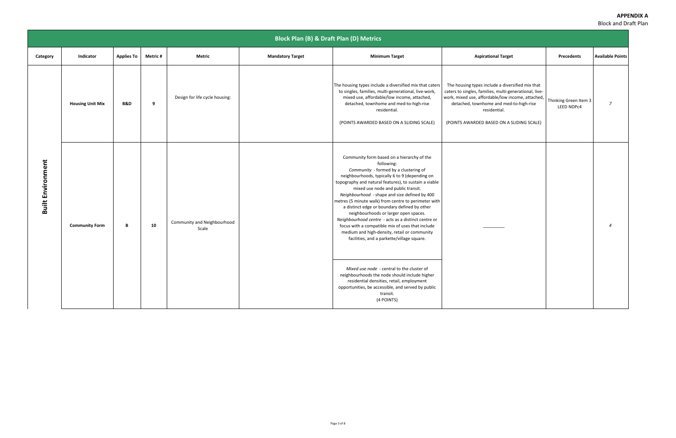|                          |                         |                   |          |                                      | <b>Block Plan (B) &amp; Draft Plan (D) Metrics</b> |                                                                                                                                                                                                                                                                                                                                                                                                                                                                                                                                                                                                                                                                                                                                                              |                                                                                                                                                                                                                                                                         |                                     |                            |
|--------------------------|-------------------------|-------------------|----------|--------------------------------------|----------------------------------------------------|--------------------------------------------------------------------------------------------------------------------------------------------------------------------------------------------------------------------------------------------------------------------------------------------------------------------------------------------------------------------------------------------------------------------------------------------------------------------------------------------------------------------------------------------------------------------------------------------------------------------------------------------------------------------------------------------------------------------------------------------------------------|-------------------------------------------------------------------------------------------------------------------------------------------------------------------------------------------------------------------------------------------------------------------------|-------------------------------------|----------------------------|
| Category                 | Indicator               | <b>Applies To</b> | Metric # | <b>Metric</b>                        | <b>Mandatory Target</b>                            | <b>Minimum Target</b>                                                                                                                                                                                                                                                                                                                                                                                                                                                                                                                                                                                                                                                                                                                                        | <b>Aspirational Target</b>                                                                                                                                                                                                                                              | <b>Precedents</b>                   | <b>Available Points</b>    |
|                          | <b>Housing Unit Mix</b> | <b>B&amp;D</b>    | 9        | Design for life cycle housing:       |                                                    | The housing types include a diversified mix that caters<br>to singles, families, multi-generational, live-work,<br>mixed use, affordable/low income, attached,<br>detached, townhome and med-to-high-rise<br>residential.<br>(POINTS AWARDED BASED ON A SLIDING SCALE)                                                                                                                                                                                                                                                                                                                                                                                                                                                                                       | The housing types include a diversified mix that<br>caters to singles, families, multi-generational, live-<br>work, mixed use, affordable/low income, attached,<br>detached, townhome and med-to-high-rise<br>residential.<br>(POINTS AWARDED BASED ON A SLIDING SCALE) | Thinking Green Item 3<br>LEED NDPc4 | $\overline{z}$             |
| <b>Built Environment</b> | <b>Community Form</b>   | B                 | 10       | Community and Neighbourhood<br>Scale |                                                    | Community form based on a hierarchy of the<br>following:<br>Community - formed by a clustering of<br>neighbourhoods, typically 6 to 9 (depending on<br>topography and natural features), to sustain a viable<br>mixed use node and public transit.<br>Neighbourhood - shape and size defined by 400<br>metres (5 minute walk) from centre to perimeter with<br>a distinct edge or boundary defined by other<br>neighbourhoods or larger open spaces.<br>Neighbourhood centre - acts as a distinct centre or<br>focus with a compatible mix of uses that include<br>medium and high-density, retail or community<br>facilities, and a parkette/village square.<br>Mixed use node - central to the cluster of<br>neighbourhoods the node should include higher |                                                                                                                                                                                                                                                                         |                                     | $\boldsymbol{\mathcal{A}}$ |
|                          |                         |                   |          |                                      |                                                    | residential densities, retail, employment<br>opportunities, be accessible, and served by public<br>transit.<br>(4 POINTS)                                                                                                                                                                                                                                                                                                                                                                                                                                                                                                                                                                                                                                    |                                                                                                                                                                                                                                                                         |                                     |                            |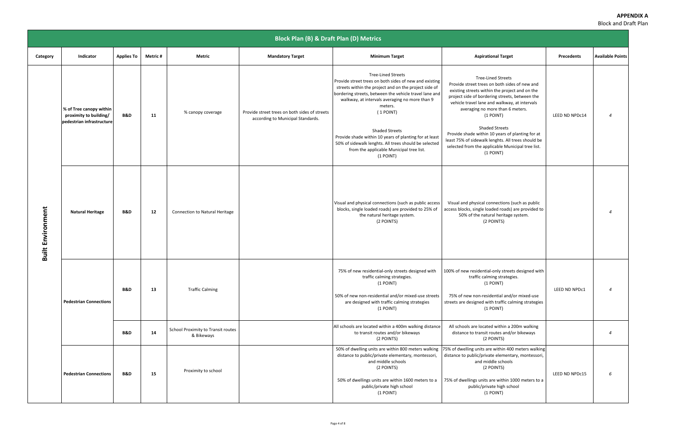|                          |                                                                                |                   |                |                                                  | <b>Block Plan (B) &amp; Draft Plan (D) Metrics</b>                                 |                                                                                                                                                                                                                                                                                                                                                                                                                                                                                       |                                                                                                                                                                                                                                                                                                                                                                                                                                                                                       |                   |                          |
|--------------------------|--------------------------------------------------------------------------------|-------------------|----------------|--------------------------------------------------|------------------------------------------------------------------------------------|---------------------------------------------------------------------------------------------------------------------------------------------------------------------------------------------------------------------------------------------------------------------------------------------------------------------------------------------------------------------------------------------------------------------------------------------------------------------------------------|---------------------------------------------------------------------------------------------------------------------------------------------------------------------------------------------------------------------------------------------------------------------------------------------------------------------------------------------------------------------------------------------------------------------------------------------------------------------------------------|-------------------|--------------------------|
| Category                 | Indicator                                                                      | <b>Applies To</b> | <b>Metric#</b> | Metric                                           | <b>Mandatory Target</b>                                                            | <b>Minimum Target</b>                                                                                                                                                                                                                                                                                                                                                                                                                                                                 | <b>Aspirational Target</b>                                                                                                                                                                                                                                                                                                                                                                                                                                                            | <b>Precedents</b> | <b>Available Points</b>  |
|                          | % of Tree canopy within<br>proximity to building/<br>pedestrian infrastructure | <b>B&amp;D</b>    | 11             | % canopy coverage                                | Provide street trees on both sides of streets<br>according to Municipal Standards. | <b>Tree-Lined Streets</b><br>Provide street trees on both sides of new and existing<br>streets within the project and on the project side of<br>bordering streets, between the vehicle travel lane and<br>walkway, at intervals averaging no more than 9<br>meters.<br>(1 POINT)<br><b>Shaded Streets</b><br>Provide shade within 10 years of planting for at least<br>50% of sidewalk lenghts. All trees should be selected<br>from the applicable Municipal tree list.<br>(1 POINT) | <b>Tree-Lined Streets</b><br>Provide street trees on both sides of new and<br>existing streets within the project and on the<br>project side of bordering streets, between the<br>vehicle travel lane and walkway, at intervals<br>averaging no more than 6 meters.<br>(1 POINT)<br><b>Shaded Streets</b><br>Provide shade within 10 years of planting for at<br>least 75% of sidewalk lenghts. All trees should be<br>selected from the applicable Municipal tree list.<br>(1 POINT) | LEED ND NPDc14    | $\boldsymbol{\varDelta}$ |
| <b>Built Environment</b> | <b>Natural Heritage</b>                                                        | <b>B&amp;D</b>    | 12             | <b>Connection to Natural Heritage</b>            |                                                                                    | Visual and physical connections (such as public access<br>blocks, single loaded roads) are provided to 25% of<br>the natural heritage system.<br>(2 POINTS)                                                                                                                                                                                                                                                                                                                           | Visual and physical connections (such as public<br>access blocks, single loaded roads) are provided to<br>50% of the natural heritage system.<br>(2 POINTS)                                                                                                                                                                                                                                                                                                                           |                   | $\boldsymbol{\varDelta}$ |
|                          | <b>Pedestrian Connections</b>                                                  | <b>B&amp;D</b>    | 13             | <b>Traffic Calming</b>                           |                                                                                    | 75% of new residential-only streets designed with<br>traffic calming strategies.<br>(1 POINT)<br>50% of new non-residential and/or mixed-use streets<br>are designed with traffic calming strategies<br>(1 POINT)                                                                                                                                                                                                                                                                     | 100% of new residential-only streets designed with<br>traffic calming strategies.<br>(1 POINT)<br>75% of new non-residential and/or mixed-use<br>streets are designed with traffic calming strategies<br>(1 POINT)                                                                                                                                                                                                                                                                    | LEED ND NPDc1     | $\overline{4}$           |
|                          |                                                                                | <b>B&amp;D</b>    | 14             | School Proximity to Transit routes<br>& Bikeways |                                                                                    | All schools are located within a 400m walking distance<br>to transit routes and/or bikeways<br>(2 POINTS)                                                                                                                                                                                                                                                                                                                                                                             | All schools are located within a 200m walking<br>distance to transit routes and/or bikeways<br>(2 POINTS)                                                                                                                                                                                                                                                                                                                                                                             |                   | $\overline{4}$           |
|                          | <b>Pedestrian Connections</b>                                                  | <b>B&amp;D</b>    | 15             | Proximity to school                              |                                                                                    | 50% of dwelling units are within 800 meters walking<br>distance to public/private elementary, montessori,<br>and middle schools<br>(2 POINTS)<br>50% of dwellings units are within 1600 meters to a<br>public/private high school<br>(1 POINT)                                                                                                                                                                                                                                        | 75% of dwelling units are within 400 meters walking<br>distance to public/private elementary, montessori,<br>and middle schools<br>(2 POINTS)<br>75% of dwellings units are within 1000 meters to a<br>public/private high school<br>(1 POINT)                                                                                                                                                                                                                                        | LEED ND NPDc15    | 6                        |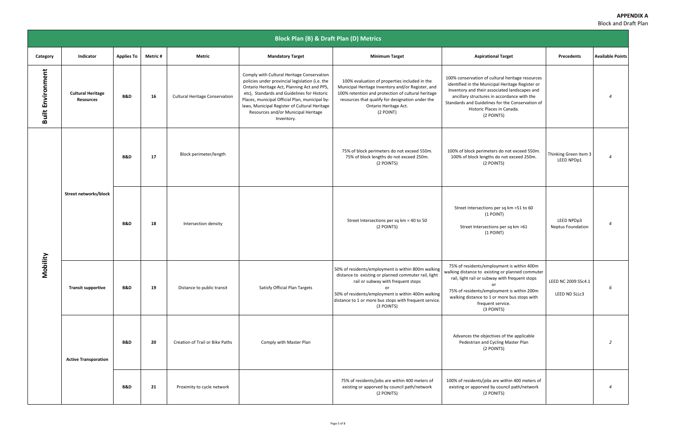|                          |                                              |                   |                |                                       | <b>Block Plan (B) &amp; Draft Plan (D) Metrics</b>                                                                                                                                                                                                                                                                                                  |                                                                                                                                                                                                                                                                                              |                                                                                                                                                                                                                                                                                                      |                                        |                          |
|--------------------------|----------------------------------------------|-------------------|----------------|---------------------------------------|-----------------------------------------------------------------------------------------------------------------------------------------------------------------------------------------------------------------------------------------------------------------------------------------------------------------------------------------------------|----------------------------------------------------------------------------------------------------------------------------------------------------------------------------------------------------------------------------------------------------------------------------------------------|------------------------------------------------------------------------------------------------------------------------------------------------------------------------------------------------------------------------------------------------------------------------------------------------------|----------------------------------------|--------------------------|
| Category                 | Indicator                                    | <b>Applies To</b> | <b>Metric#</b> | <b>Metric</b>                         | <b>Mandatory Target</b>                                                                                                                                                                                                                                                                                                                             | <b>Minimum Target</b>                                                                                                                                                                                                                                                                        | <b>Aspirational Target</b>                                                                                                                                                                                                                                                                           | <b>Precedents</b>                      | <b>Available Points</b>  |
| <b>Built Environment</b> | <b>Cultural Heritage</b><br><b>Resources</b> | <b>B&amp;D</b>    | 16             | <b>Cultural Heritage Conservation</b> | Comply with Cultural Heritage Conservation<br>policies under provincial legislation (i.e. the<br>Ontario Heritage Act, Planning Act and PPS,<br>etc), Standards and Guidelines for Historic<br>Places, municipal Official Plan, municipal by-<br>laws, Municipal Register of Cultural Heritage<br>Resources and/or Municipal Heritage<br>Inventory. | 100% evaluation of properties included in the<br>Municipal Heritage Inventory and/or Register, and<br>100% retention and protection of cultural heritage<br>resources that qualify for designation under the<br>Ontario Heritage Act.<br>(2 POINT)                                           | 100% conservation of cultural heritage resources<br>identified in the Municipal Heritage Register or<br>Inventory and their associated landscapes and<br>ancillary structures in accordance with the<br>Standards and Guidelines for the Conservation of<br>Historic Places in Canada.<br>(2 POINTS) |                                        | $\overline{4}$           |
|                          |                                              | <b>B&amp;D</b>    | 17             | Block perimeter/length                |                                                                                                                                                                                                                                                                                                                                                     | 75% of block perimeters do not exceed 550m.<br>75% of block lengths do not exceed 250m.<br>(2 POINTS)                                                                                                                                                                                        | 100% of block perimeters do not exceed 550m.<br>100% of block lengths do not exceed 250m.<br>(2 POINTS)                                                                                                                                                                                              | Thinking Green Item 3<br>LEED NPDp1    | $\overline{4}$           |
|                          | Street networks/block                        | <b>B&amp;D</b>    | 18             | Intersection density                  |                                                                                                                                                                                                                                                                                                                                                     | Street Intersections per sq km = 40 to 50<br>(2 POINTS)                                                                                                                                                                                                                                      | Street Intersections per sq km =51 to 60<br>$(1$ POINT)<br>Street Intersections per sq km >61<br>$(1$ POINT)                                                                                                                                                                                         | LEED NPDp3<br><b>Neptus Foundation</b> | $\overline{4}$           |
|                          | Mobility<br><b>Transit supportive</b>        | B&D               | 19             | Distance to public transit            | Satisfy Official Plan Targets                                                                                                                                                                                                                                                                                                                       | 50% of residents/employment is within 800m walking<br>distance to existing or planned commuter rail, light<br>rail or subway with frequent stops<br>$\alpha$ r<br>50% of residents/employment is within 400m walking<br>distance to 1 or more bus stops with frequent service.<br>(3 POINTS) | 75% of residents/employment is within 400m<br>walking distance to existing or planned commuter<br>rail, light rail or subway with frequent stops<br>or<br>75% of residents/employment is within 200m<br>walking distance to 1 or more bus stops with<br>frequent service.<br>(3 POINTS)              | LEED NC 2009 SSc4.1<br>LEED ND SLLc3   | 6                        |
|                          | <b>Active Transporation</b>                  | <b>B&amp;D</b>    | 20             | Creation of Trail or Bike Paths       | Comply with Master Plan                                                                                                                                                                                                                                                                                                                             |                                                                                                                                                                                                                                                                                              | Advances the objectives of the applicable<br>Pedestrian and Cycling Master Plan<br>(2 POINTS)                                                                                                                                                                                                        |                                        | 2                        |
|                          |                                              | <b>B&amp;D</b>    | 21             | Proximity to cycle network            |                                                                                                                                                                                                                                                                                                                                                     | 75% of residents/jobs are within 400 meters of<br>existing or apporved by council path/network<br>(2 PONITS)                                                                                                                                                                                 | 100% of residents/jobs are within 400 meters of<br>existing or apporved by council path/network<br>(2 PONITS)                                                                                                                                                                                        |                                        | $\overline{\mathcal{A}}$ |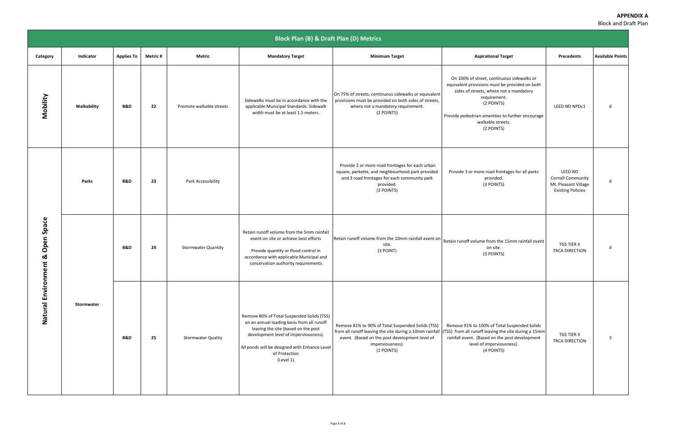|                                              | <b>Block Plan (B) &amp; Draft Plan (D) Metrics</b> |                   |                |                            |                                                                                                                                                                                                                                                          |                                                                                                                                                                                                  |                                                                                                                                                                                                                                                               |                                                                                  |                         |
|----------------------------------------------|----------------------------------------------------|-------------------|----------------|----------------------------|----------------------------------------------------------------------------------------------------------------------------------------------------------------------------------------------------------------------------------------------------------|--------------------------------------------------------------------------------------------------------------------------------------------------------------------------------------------------|---------------------------------------------------------------------------------------------------------------------------------------------------------------------------------------------------------------------------------------------------------------|----------------------------------------------------------------------------------|-------------------------|
| Category                                     | Indicator                                          | <b>Applies To</b> | <b>Metric#</b> | <b>Metric</b>              | <b>Mandatory Target</b>                                                                                                                                                                                                                                  | <b>Minimum Target</b>                                                                                                                                                                            | <b>Aspirational Target</b>                                                                                                                                                                                                                                    | Precedents                                                                       | <b>Available Points</b> |
| Mobility                                     | Walkability                                        | <b>B&amp;D</b>    | 22             | Promote walkable streets   | Sidewalks must be in accordance with the<br>applicable Municipal Standards. Sidewalk<br>width must be at least 1.5 meters.                                                                                                                               | On 75% of streets, continuous sidewalks or equivalent<br>provisions must be provided on both sides of streets,<br>where not a mandatory requirement.<br>(2 POINTS)                               | On 100% of street, continuous sidewalks or<br>equivalent provisions must be provided on both<br>sides of streets, where not a mandatory<br>requirement.<br>(2 POINTS)<br>Provide pedestrian amenities to further encourage<br>walkable streets.<br>(2 POINTS) | LEED ND NPDc1                                                                    | 6                       |
|                                              | Parks                                              | <b>B&amp;D</b>    | 23             | Park Accessibility         |                                                                                                                                                                                                                                                          | Provide 2 or more road frontages for each urban<br>square, parkette, and neighbourhood park provided<br>and 3 road frontages for each community park<br>provided.<br>(3 POINTS)                  | Provide 3 or more road frontages for all parks<br>provided.<br>(3 POINTS)                                                                                                                                                                                     | LEED ND<br>Cornell Community<br>Mt. Pleasant Village<br><b>Existing Policies</b> | 6                       |
| Space<br>Open<br>ఱ<br>ent<br>Natural Environ |                                                    | <b>B&amp;D</b>    | 24             | <b>Stormwater Quantity</b> | Retain runoff volume from the 5mm rainfall<br>event on site or achieve best efforts<br>Provide quantity or flood control in<br>accordance with applicable Municipal and<br>conservation authority requirements                                           | Retain runoff volume from the 10mm rainfall event or<br>site.<br>(3 POINT)                                                                                                                       | Retain runoff volume from the 15mm rainfall event<br>on site.<br>(3 POINTS)                                                                                                                                                                                   | TGS TIER II<br>TRCA DIRECTION                                                    | 6                       |
|                                              | Stormwater                                         | <b>B&amp;D</b>    | 25             | <b>Stormwater Quality</b>  | Remove 80% of Total Suspended Solids (TSS)<br>on an annual loading basis from all runoff<br>leaving the site (based on the post<br>development level of imperviousness).<br>All ponds will be designed with Enhance Level<br>of Protection<br>(Level 1). | Remove 81% to 90% of Total Suspended Solids (TSS)<br>from all runoff leaving the site during a 10mm rainfall<br>event. (Based on the post development level of<br>imperviousness).<br>(1 POINTS) | Remove 91% to 100% of Total Suspended Solids<br>(TSS) from all runoff leaving the site during a 15mm<br>rainfall event. (Based on the post development<br>level of imperviousness).<br>(4 POINTS)                                                             | TGS TIER II<br>TRCA DIRECTION                                                    | 5                       |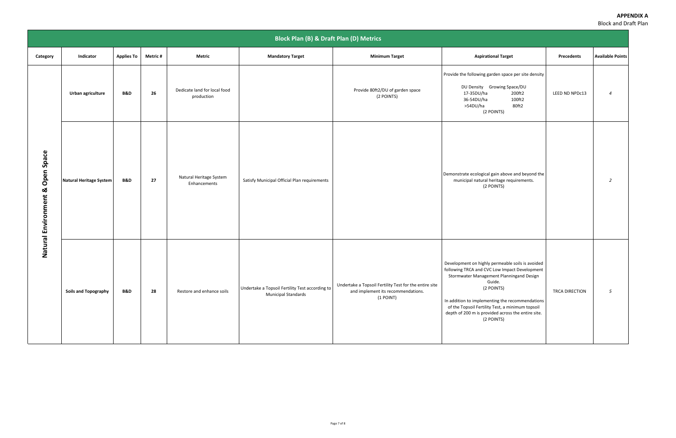|                                        | <b>Block Plan (B) &amp; Draft Plan (D) Metrics</b> |                   |                |                                            |                                                                               |                                                                                                           |                                                                                                                                                                                                                                                                                                                                                  |                |                         |
|----------------------------------------|----------------------------------------------------|-------------------|----------------|--------------------------------------------|-------------------------------------------------------------------------------|-----------------------------------------------------------------------------------------------------------|--------------------------------------------------------------------------------------------------------------------------------------------------------------------------------------------------------------------------------------------------------------------------------------------------------------------------------------------------|----------------|-------------------------|
| Category                               | Indicator                                          | <b>Applies To</b> | <b>Metric#</b> | <b>Metric</b>                              | <b>Mandatory Target</b>                                                       | <b>Minimum Target</b>                                                                                     | <b>Aspirational Target</b>                                                                                                                                                                                                                                                                                                                       | Precedents     | <b>Available Points</b> |
|                                        | Urban agriculture                                  | <b>B&amp;D</b>    | 26             | Dedicate land for local food<br>production |                                                                               | Provide 80ft2/DU of garden space<br>(2 POINTS)                                                            | Provide the following garden space per site density<br>DU Density Growing Space/DU<br>17-35DU/ha<br>200ft2<br>100ft2<br>36-54DU/ha<br>>54DU/ha<br>80ft2<br>(2 POINTS)                                                                                                                                                                            | LEED ND NPDc13 | $\overline{a}$          |
| Space<br>Open<br>Natural Environment & | Natural Heritage System                            | <b>B&amp;D</b>    | 27             | Natural Heritage System<br>Enhancements    | Satisfy Municipal Official Plan requirements                                  |                                                                                                           | Demonstrate ecological gain above and beyond the<br>municipal natural heritage requirements.<br>(2 POINTS)                                                                                                                                                                                                                                       |                | $\overline{2}$          |
|                                        | <b>Soils and Topography</b>                        | <b>B&amp;D</b>    | 28             | Restore and enhance soils                  | Undertake a Topsoil Fertility Test according to<br><b>Municipal Standards</b> | Undertake a Topsoil Fertility Test for the entire site<br>and implement its recommendations.<br>(1 POINT) | Development on highly permeable soils is avoided<br>following TRCA and CVC Low Impact Development<br>Stormwater Management Planningand Design<br>Guide.<br>(2 POINTS)<br>In addition to implementing the recommendations<br>of the Topsoil Fertility Test, a minimum topsoil<br>depth of 200 m is provided across the entire site.<br>(2 POINTS) | TRCA DIRECTION | 5                       |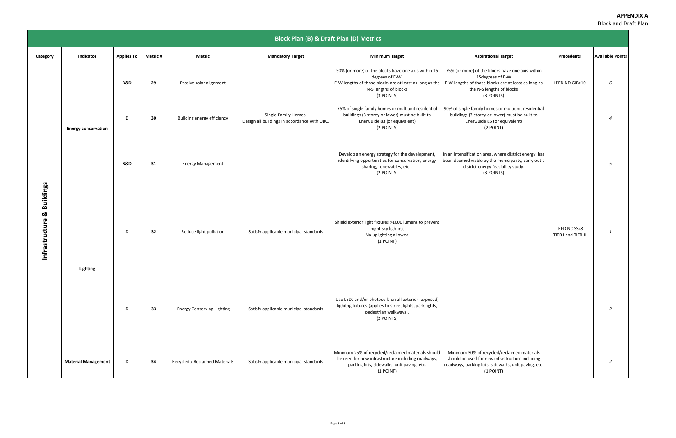|                                         | <b>Block Plan (B) &amp; Draft Plan (D) Metrics</b> |                   |                |                                   |                                                                             |                                                                                                                                                                                                                                |                                                                                                                                                                     |                                    |                         |
|-----------------------------------------|----------------------------------------------------|-------------------|----------------|-----------------------------------|-----------------------------------------------------------------------------|--------------------------------------------------------------------------------------------------------------------------------------------------------------------------------------------------------------------------------|---------------------------------------------------------------------------------------------------------------------------------------------------------------------|------------------------------------|-------------------------|
| Category                                | Indicator                                          | <b>Applies To</b> | <b>Metric#</b> | Metric                            | <b>Mandatory Target</b>                                                     | <b>Minimum Target</b>                                                                                                                                                                                                          | <b>Aspirational Target</b>                                                                                                                                          | Precedents                         | <b>Available Points</b> |
| <b>Buildings</b><br>×<br>Infrastructure | <b>Energy conservation</b>                         | <b>B&amp;D</b>    | 29             | Passive solar alignment           |                                                                             | 50% (or more) of the blocks have one axis within 15<br>degrees of E-W.<br>E-W lengths of those blocks are at least as long as the   E-W lengths of those blocks are at least as long as<br>N-S lengths of blocks<br>(3 POINTS) | 75% (or more) of the blocks have one axis within<br>15 degrees of E-W<br>the N-S lengths of blocks<br>(3 POINTS)                                                    | LEED ND GIBc10                     | 6                       |
|                                         |                                                    | D                 | 30             | Building energy efficiency        | <b>Single Family Homes:</b><br>Design all buildings in accordance with OBC. | 75% of single family homes or multiunit residential<br>buildings (3 storey or lower) must be built to<br>EnerGuide 83 (or equivalent)<br>(2 POINTS)                                                                            | 90% of single family homes or multiunit residential<br>buildings (3 storey or lower) must be built to<br>EnerGuide 85 (or equivalent)<br>(2 POINT)                  |                                    | $\overline{a}$          |
|                                         |                                                    | <b>B&amp;D</b>    | 31             | <b>Energy Management</b>          |                                                                             | Develop an energy strategy for the development,<br>identifying opportunities for conservation, energy<br>sharing, renewables, etc<br>(2 POINTS)                                                                                | In an intensification area, where district energy has<br>been deemed viable by the municipality, carry out a<br>district energy feasibility study.<br>(3 POINTS)    |                                    | 5                       |
|                                         | <b>Lighting</b>                                    | D                 | 32             | Reduce light pollution            | Satisfy applicable municipal standards                                      | Shield exterior light fixtures >1000 lumens to prevent<br>night sky lighting<br>No uplighting allowed<br>$(1$ POINT)                                                                                                           |                                                                                                                                                                     | LEED NC SSc8<br>TIER I and TIER II | 1                       |
|                                         |                                                    | D                 | 33             | <b>Energy Conserving Lighting</b> | Satisfy applicable municipal standards                                      | Use LEDs and/or photocells on all exterior (exposed)<br>lighitng fixtures (applies to street lights, park lights,<br>pedestrian walkways).<br>(2 POINTS)                                                                       |                                                                                                                                                                     |                                    | $\overline{2}$          |
|                                         | <b>Material Management</b>                         | D                 | 34             | Recycled / Reclaimed Materials    | Satisfy applicable municipal standards                                      | Minimum 25% of recycled/reclaimed materials should<br>be used for new infrastructure including roadways,<br>parking lots, sidewalks, unit paving, etc.<br>(1 POINT)                                                            | Minimum 30% of recycled/reclaimed materials<br>should be used for new infrastructure including<br>roadways, parking lots, sidewalks, unit paving, etc.<br>(1 POINT) |                                    | 2                       |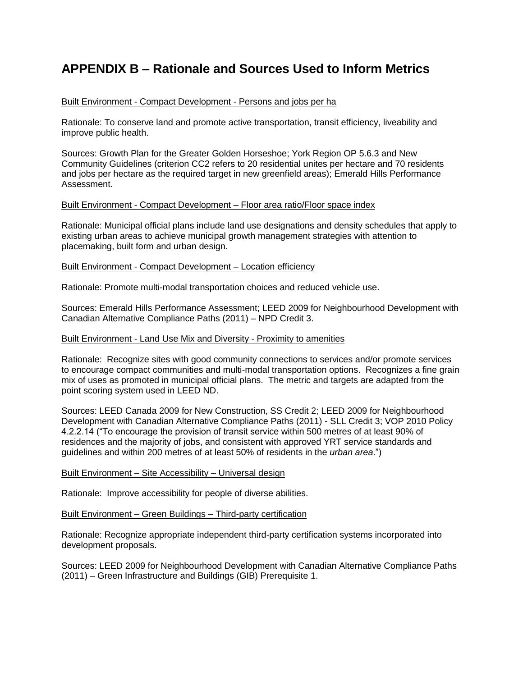## **APPENDIX B – Rationale and Sources Used to Inform Metrics**

#### Built Environment - Compact Development - Persons and jobs per ha

Rationale: To conserve land and promote active transportation, transit efficiency, liveability and improve public health.

Sources: Growth Plan for the Greater Golden Horseshoe; York Region OP 5.6.3 and New Community Guidelines (criterion CC2 refers to 20 residential unites per hectare and 70 residents and jobs per hectare as the required target in new greenfield areas); Emerald Hills Performance Assessment.

#### Built Environment - Compact Development – Floor area ratio/Floor space index

Rationale: Municipal official plans include land use designations and density schedules that apply to existing urban areas to achieve municipal growth management strategies with attention to placemaking, built form and urban design.

#### Built Environment - Compact Development – Location efficiency

Rationale: Promote multi-modal transportation choices and reduced vehicle use.

Sources: Emerald Hills Performance Assessment; LEED 2009 for Neighbourhood Development with Canadian Alternative Compliance Paths (2011) – NPD Credit 3.

#### Built Environment - Land Use Mix and Diversity - Proximity to amenities

Rationale: Recognize sites with good community connections to services and/or promote services to encourage compact communities and multi-modal transportation options. Recognizes a fine grain mix of uses as promoted in municipal official plans. The metric and targets are adapted from the point scoring system used in LEED ND.

Sources: LEED Canada 2009 for New Construction, SS Credit 2; LEED 2009 for Neighbourhood Development with Canadian Alternative Compliance Paths (2011) - SLL Credit 3; VOP 2010 Policy 4.2.2.14 ("To encourage the provision of transit service within 500 metres of at least 90% of residences and the majority of jobs, and consistent with approved YRT service standards and guidelines and within 200 metres of at least 50% of residents in the *urban area*.")

#### Built Environment – Site Accessibility – Universal design

Rationale: Improve accessibility for people of diverse abilities.

#### Built Environment – Green Buildings – Third-party certification

Rationale: Recognize appropriate independent third-party certification systems incorporated into development proposals.

Sources: LEED 2009 for Neighbourhood Development with Canadian Alternative Compliance Paths (2011) – Green Infrastructure and Buildings (GIB) Prerequisite 1.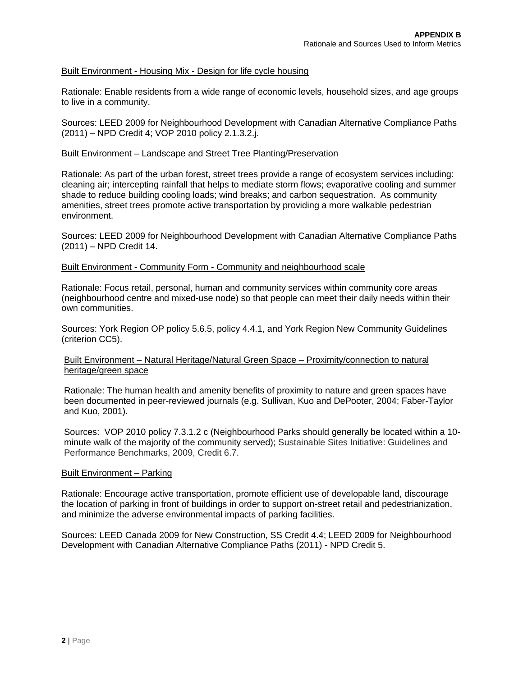#### Built Environment - Housing Mix - Design for life cycle housing

Rationale: Enable residents from a wide range of economic levels, household sizes, and age groups to live in a community.

Sources: LEED 2009 for Neighbourhood Development with Canadian Alternative Compliance Paths (2011) – NPD Credit 4; VOP 2010 policy 2.1.3.2.j.

#### Built Environment – Landscape and Street Tree Planting/Preservation

Rationale: As part of the urban forest, street trees provide a range of ecosystem services including: cleaning air; intercepting rainfall that helps to mediate storm flows; evaporative cooling and summer shade to reduce building cooling loads; wind breaks; and carbon sequestration. As community amenities, street trees promote active transportation by providing a more walkable pedestrian environment.

Sources: LEED 2009 for Neighbourhood Development with Canadian Alternative Compliance Paths (2011) – NPD Credit 14.

#### Built Environment - Community Form - Community and neighbourhood scale

Rationale: Focus retail, personal, human and community services within community core areas (neighbourhood centre and mixed-use node) so that people can meet their daily needs within their own communities.

Sources: York Region OP policy 5.6.5, policy 4.4.1, and York Region New Community Guidelines (criterion CC5).

#### Built Environment – Natural Heritage/Natural Green Space – Proximity/connection to natural heritage/green space

Rationale: The human health and amenity benefits of proximity to nature and green spaces have been documented in peer-reviewed journals (e.g. Sullivan, Kuo and DePooter, 2004; Faber-Taylor and Kuo, 2001).

Sources: VOP 2010 policy 7.3.1.2 c (Neighbourhood Parks should generally be located within a 10 minute walk of the majority of the community served); Sustainable Sites Initiative: Guidelines and Performance Benchmarks, 2009, Credit 6.7.

#### Built Environment – Parking

Rationale: Encourage active transportation, promote efficient use of developable land, discourage the location of parking in front of buildings in order to support on-street retail and pedestrianization, and minimize the adverse environmental impacts of parking facilities.

Sources: LEED Canada 2009 for New Construction, SS Credit 4.4; LEED 2009 for Neighbourhood Development with Canadian Alternative Compliance Paths (2011) - NPD Credit 5.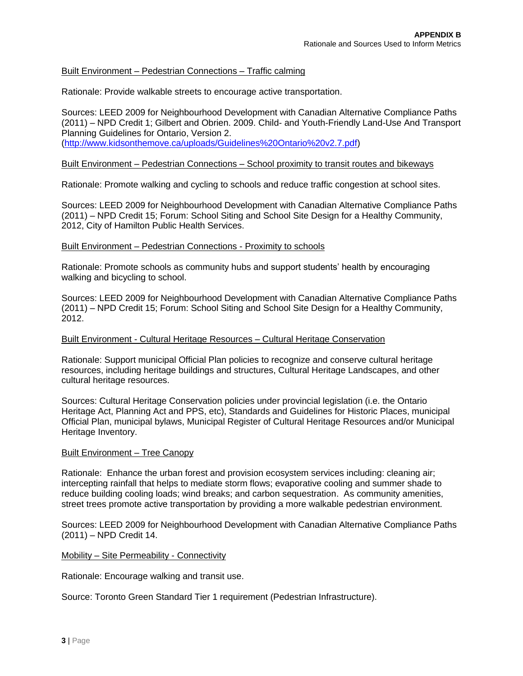#### Built Environment – Pedestrian Connections – Traffic calming

Rationale: Provide walkable streets to encourage active transportation.

Sources: LEED 2009 for Neighbourhood Development with Canadian Alternative Compliance Paths (2011) – NPD Credit 1; Gilbert and Obrien. 2009. Child- and Youth-Friendly Land-Use And Transport Planning Guidelines for Ontario, Version 2. (http://www.kidsonthemove.ca/uploads/Guidelines%20Ontario%20v2.7.pdf)

#### Built Environment – Pedestrian Connections – School proximity to transit routes and bikeways

Rationale: Promote walking and cycling to schools and reduce traffic congestion at school sites.

Sources: LEED 2009 for Neighbourhood Development with Canadian Alternative Compliance Paths (2011) – NPD Credit 15; Forum: School Siting and School Site Design for a Healthy Community, 2012, City of Hamilton Public Health Services.

#### Built Environment – Pedestrian Connections - Proximity to schools

Rationale: Promote schools as community hubs and support students' health by encouraging walking and bicycling to school.

Sources: LEED 2009 for Neighbourhood Development with Canadian Alternative Compliance Paths (2011) – NPD Credit 15; Forum: School Siting and School Site Design for a Healthy Community, 2012.

#### Built Environment - Cultural Heritage Resources – Cultural Heritage Conservation

Rationale: Support municipal Official Plan policies to recognize and conserve cultural heritage resources, including heritage buildings and structures, Cultural Heritage Landscapes, and other cultural heritage resources.

Sources: Cultural Heritage Conservation policies under provincial legislation (i.e. the Ontario Heritage Act, Planning Act and PPS, etc), Standards and Guidelines for Historic Places, municipal Official Plan, municipal bylaws, Municipal Register of Cultural Heritage Resources and/or Municipal Heritage Inventory.

#### Built Environment – Tree Canopy

Rationale: Enhance the urban forest and provision ecosystem services including: cleaning air; intercepting rainfall that helps to mediate storm flows; evaporative cooling and summer shade to reduce building cooling loads; wind breaks; and carbon sequestration. As community amenities, street trees promote active transportation by providing a more walkable pedestrian environment.

Sources: LEED 2009 for Neighbourhood Development with Canadian Alternative Compliance Paths (2011) – NPD Credit 14.

#### Mobility – Site Permeability - Connectivity

Rationale: Encourage walking and transit use.

Source: Toronto Green Standard Tier 1 requirement (Pedestrian Infrastructure).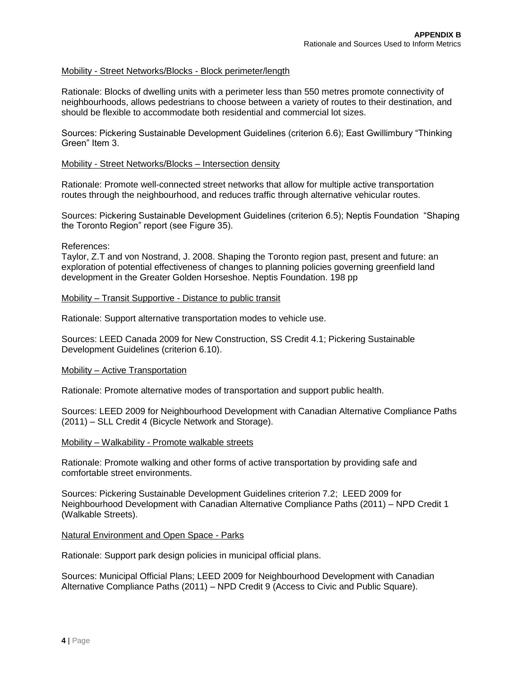#### Mobility - Street Networks/Blocks - Block perimeter/length

Rationale: Blocks of dwelling units with a perimeter less than 550 metres promote connectivity of neighbourhoods, allows pedestrians to choose between a variety of routes to their destination, and should be flexible to accommodate both residential and commercial lot sizes.

Sources: Pickering Sustainable Development Guidelines (criterion 6.6); East Gwillimbury "Thinking Green" Item 3.

#### Mobility - Street Networks/Blocks – Intersection density

Rationale: Promote well-connected street networks that allow for multiple active transportation routes through the neighbourhood, and reduces traffic through alternative vehicular routes.

Sources: Pickering Sustainable Development Guidelines (criterion 6.5); Neptis Foundation "Shaping the Toronto Region" report (see Figure 35).

#### References:

Taylor, Z.T and von Nostrand, J. 2008. Shaping the Toronto region past, present and future: an exploration of potential effectiveness of changes to planning policies governing greenfield land development in the Greater Golden Horseshoe. Neptis Foundation. 198 pp

#### Mobility – Transit Supportive - Distance to public transit

Rationale: Support alternative transportation modes to vehicle use.

Sources: LEED Canada 2009 for New Construction, SS Credit 4.1; Pickering Sustainable Development Guidelines (criterion 6.10).

#### Mobility – Active Transportation

Rationale: Promote alternative modes of transportation and support public health.

Sources: LEED 2009 for Neighbourhood Development with Canadian Alternative Compliance Paths (2011) – SLL Credit 4 (Bicycle Network and Storage).

#### Mobility – Walkability - Promote walkable streets

Rationale: Promote walking and other forms of active transportation by providing safe and comfortable street environments.

Sources: Pickering Sustainable Development Guidelines criterion 7.2; LEED 2009 for Neighbourhood Development with Canadian Alternative Compliance Paths (2011) – NPD Credit 1 (Walkable Streets).

#### Natural Environment and Open Space - Parks

Rationale: Support park design policies in municipal official plans.

Sources: Municipal Official Plans; LEED 2009 for Neighbourhood Development with Canadian Alternative Compliance Paths (2011) – NPD Credit 9 (Access to Civic and Public Square).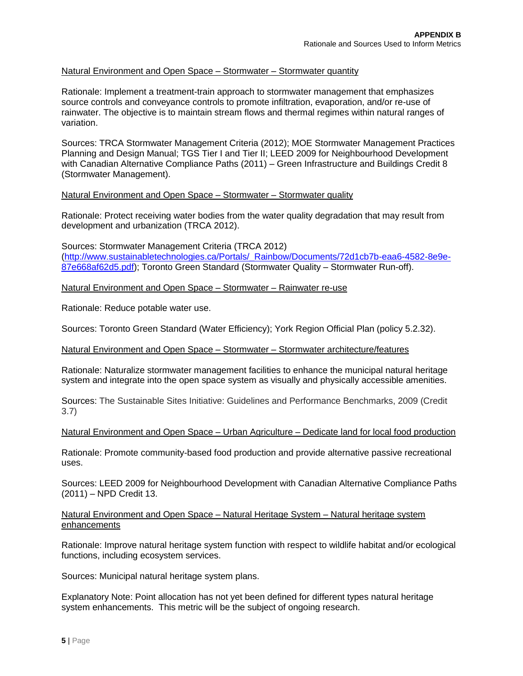#### Natural Environment and Open Space – Stormwater – Stormwater quantity

Rationale: Implement a treatment-train approach to stormwater management that emphasizes source controls and conveyance controls to promote infiltration, evaporation, and/or re-use of rainwater. The objective is to maintain stream flows and thermal regimes within natural ranges of variation.

Sources: TRCA Stormwater Management Criteria (2012); MOE Stormwater Management Practices Planning and Design Manual; TGS Tier I and Tier II; LEED 2009 for Neighbourhood Development with Canadian Alternative Compliance Paths (2011) – Green Infrastructure and Buildings Credit 8 (Stormwater Management).

#### Natural Environment and Open Space – Stormwater – Stormwater quality

Rationale: Protect receiving water bodies from the water quality degradation that may result from development and urbanization (TRCA 2012).

Sources: Stormwater Management Criteria (TRCA 2012) (http://www.sustainabletechnologies.ca/Portals/\_Rainbow/Documents/72d1cb7b-eaa6-4582-8e9e-87e668af62d5.pdf); Toronto Green Standard (Stormwater Quality – Stormwater Run-off).

Natural Environment and Open Space – Stormwater – Rainwater re-use

Rationale: Reduce potable water use.

Sources: Toronto Green Standard (Water Efficiency); York Region Official Plan (policy 5.2.32).

#### Natural Environment and Open Space – Stormwater – Stormwater architecture/features

Rationale: Naturalize stormwater management facilities to enhance the municipal natural heritage system and integrate into the open space system as visually and physically accessible amenities.

Sources: The Sustainable Sites Initiative: Guidelines and Performance Benchmarks, 2009 (Credit 3.7)

#### Natural Environment and Open Space – Urban Agriculture – Dedicate land for local food production

Rationale: Promote community-based food production and provide alternative passive recreational uses.

Sources: LEED 2009 for Neighbourhood Development with Canadian Alternative Compliance Paths (2011) – NPD Credit 13.

#### Natural Environment and Open Space – Natural Heritage System – Natural heritage system enhancements

Rationale: Improve natural heritage system function with respect to wildlife habitat and/or ecological functions, including ecosystem services.

Sources: Municipal natural heritage system plans.

Explanatory Note: Point allocation has not yet been defined for different types natural heritage system enhancements. This metric will be the subject of ongoing research.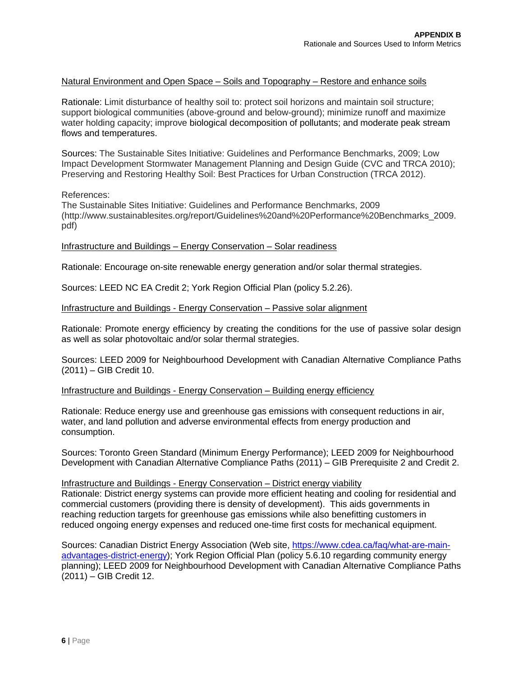#### Natural Environment and Open Space – Soils and Topography – Restore and enhance soils

Rationale: Limit disturbance of healthy soil to: protect soil horizons and maintain soil structure; support biological communities (above-ground and below-ground); minimize runoff and maximize water holding capacity; improve biological decomposition of pollutants; and moderate peak stream flows and temperatures.

Sources: The Sustainable Sites Initiative: Guidelines and Performance Benchmarks, 2009; Low Impact Development Stormwater Management Planning and Design Guide (CVC and TRCA 2010); Preserving and Restoring Healthy Soil: Best Practices for Urban Construction (TRCA 2012).

#### References:

The Sustainable Sites Initiative: Guidelines and Performance Benchmarks, 2009 (http://www.sustainablesites.org/report/Guidelines%20and%20Performance%20Benchmarks\_2009. pdf)

#### Infrastructure and Buildings – Energy Conservation – Solar readiness

Rationale: Encourage on-site renewable energy generation and/or solar thermal strategies.

Sources: LEED NC EA Credit 2; York Region Official Plan (policy 5.2.26).

#### Infrastructure and Buildings - Energy Conservation – Passive solar alignment

Rationale: Promote energy efficiency by creating the conditions for the use of passive solar design as well as solar photovoltaic and/or solar thermal strategies.

Sources: LEED 2009 for Neighbourhood Development with Canadian Alternative Compliance Paths (2011) – GIB Credit 10.

#### Infrastructure and Buildings - Energy Conservation – Building energy efficiency

Rationale: Reduce energy use and greenhouse gas emissions with consequent reductions in air, water, and land pollution and adverse environmental effects from energy production and consumption.

Sources: Toronto Green Standard (Minimum Energy Performance); LEED 2009 for Neighbourhood Development with Canadian Alternative Compliance Paths (2011) – GIB Prerequisite 2 and Credit 2.

#### Infrastructure and Buildings - Energy Conservation – District energy viability

Rationale: District energy systems can provide more efficient heating and cooling for residential and commercial customers (providing there is density of development). This aids governments in reaching reduction targets for greenhouse gas emissions while also benefitting customers in reduced ongoing energy expenses and reduced one-time first costs for mechanical equipment.

Sources: Canadian District Energy Association (Web site, https://www.cdea.ca/faq/what-are-mainadvantages-district-energy); York Region Official Plan (policy 5.6.10 regarding community energy planning); LEED 2009 for Neighbourhood Development with Canadian Alternative Compliance Paths (2011) – GIB Credit 12.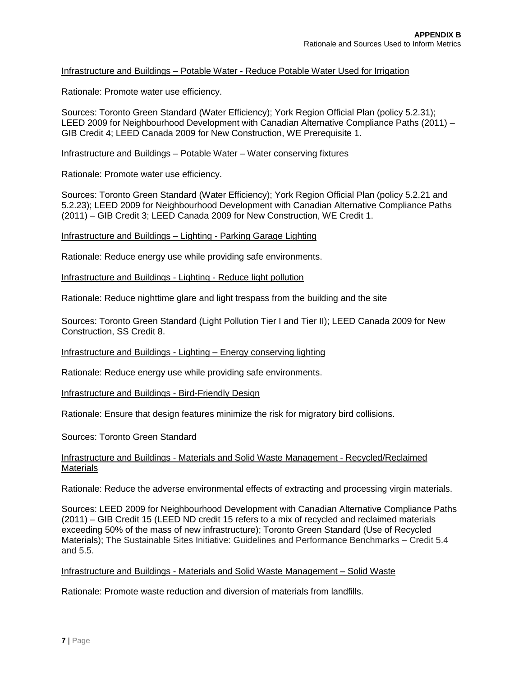#### Infrastructure and Buildings – Potable Water - Reduce Potable Water Used for Irrigation

Rationale: Promote water use efficiency.

Sources: Toronto Green Standard (Water Efficiency); York Region Official Plan (policy 5.2.31); LEED 2009 for Neighbourhood Development with Canadian Alternative Compliance Paths (2011) – GIB Credit 4; LEED Canada 2009 for New Construction, WE Prerequisite 1.

Infrastructure and Buildings – Potable Water – Water conserving fixtures

Rationale: Promote water use efficiency.

Sources: Toronto Green Standard (Water Efficiency); York Region Official Plan (policy 5.2.21 and 5.2.23); LEED 2009 for Neighbourhood Development with Canadian Alternative Compliance Paths (2011) – GIB Credit 3; LEED Canada 2009 for New Construction, WE Credit 1.

Infrastructure and Buildings – Lighting - Parking Garage Lighting

Rationale: Reduce energy use while providing safe environments.

Infrastructure and Buildings - Lighting - Reduce light pollution

Rationale: Reduce nighttime glare and light trespass from the building and the site

Sources: Toronto Green Standard (Light Pollution Tier I and Tier II); LEED Canada 2009 for New Construction, SS Credit 8.

Infrastructure and Buildings - Lighting – Energy conserving lighting

Rationale: Reduce energy use while providing safe environments.

Infrastructure and Buildings - Bird-Friendly Design

Rationale: Ensure that design features minimize the risk for migratory bird collisions.

Sources: Toronto Green Standard

#### Infrastructure and Buildings - Materials and Solid Waste Management - Recycled/Reclaimed Materials

Rationale: Reduce the adverse environmental effects of extracting and processing virgin materials.

Sources: LEED 2009 for Neighbourhood Development with Canadian Alternative Compliance Paths (2011) – GIB Credit 15 (LEED ND credit 15 refers to a mix of recycled and reclaimed materials exceeding 50% of the mass of new infrastructure); Toronto Green Standard (Use of Recycled Materials); The Sustainable Sites Initiative: Guidelines and Performance Benchmarks – Credit 5.4 and 5.5.

#### Infrastructure and Buildings - Materials and Solid Waste Management – Solid Waste

Rationale: Promote waste reduction and diversion of materials from landfills.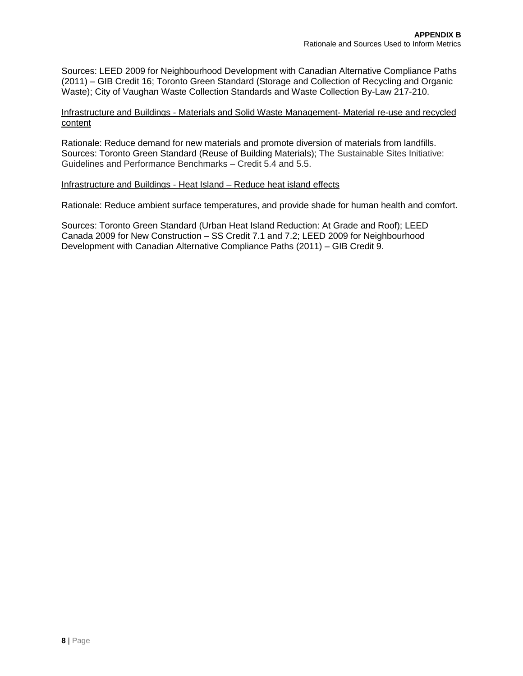Sources: LEED 2009 for Neighbourhood Development with Canadian Alternative Compliance Paths (2011) – GIB Credit 16; Toronto Green Standard (Storage and Collection of Recycling and Organic Waste); City of Vaughan Waste Collection Standards and Waste Collection By-Law 217-210.

#### Infrastructure and Buildings - Materials and Solid Waste Management- Material re-use and recycled content

Rationale: Reduce demand for new materials and promote diversion of materials from landfills. Sources: Toronto Green Standard (Reuse of Building Materials); The Sustainable Sites Initiative: Guidelines and Performance Benchmarks – Credit 5.4 and 5.5.

#### Infrastructure and Buildings - Heat Island – Reduce heat island effects

Rationale: Reduce ambient surface temperatures, and provide shade for human health and comfort.

Sources: Toronto Green Standard (Urban Heat Island Reduction: At Grade and Roof); LEED Canada 2009 for New Construction – SS Credit 7.1 and 7.2; LEED 2009 for Neighbourhood Development with Canadian Alternative Compliance Paths (2011) – GIB Credit 9.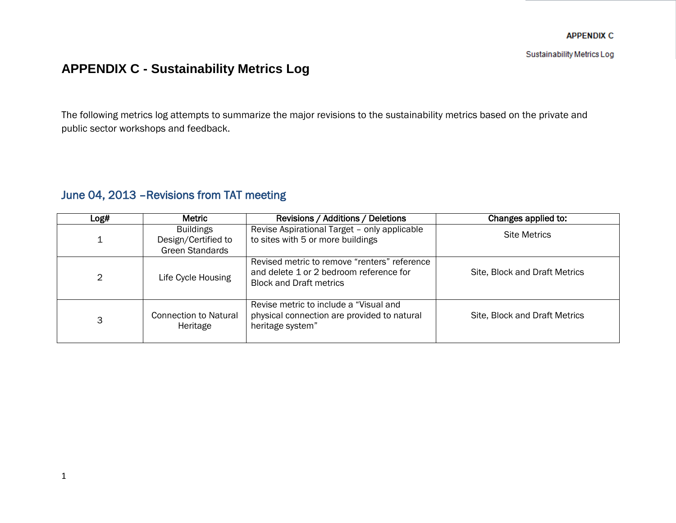Sustainability Metrics Log

# **APPENDIX C - Sustainability Metrics Log**

The following metrics log attempts to summarize the major revisions to the sustainability metrics based on the private and public sector workshops and feedback.

## June 04, 2013 –Revisions from TAT meeting

| Log# | <b>Metric</b>                                                     | Revisions / Additions / Deletions                                                                                         | Changes applied to:           |
|------|-------------------------------------------------------------------|---------------------------------------------------------------------------------------------------------------------------|-------------------------------|
|      | <b>Buildings</b><br>Design/Certified to<br><b>Green Standards</b> | Revise Aspirational Target - only applicable<br>to sites with 5 or more buildings                                         | <b>Site Metrics</b>           |
| 2    | Life Cycle Housing                                                | Revised metric to remove "renters" reference<br>and delete 1 or 2 bedroom reference for<br><b>Block and Draft metrics</b> | Site, Block and Draft Metrics |
| 3    | <b>Connection to Natural</b><br>Heritage                          | Revise metric to include a "Visual and<br>physical connection are provided to natural<br>heritage system"                 | Site, Block and Draft Metrics |
|      |                                                                   |                                                                                                                           |                               |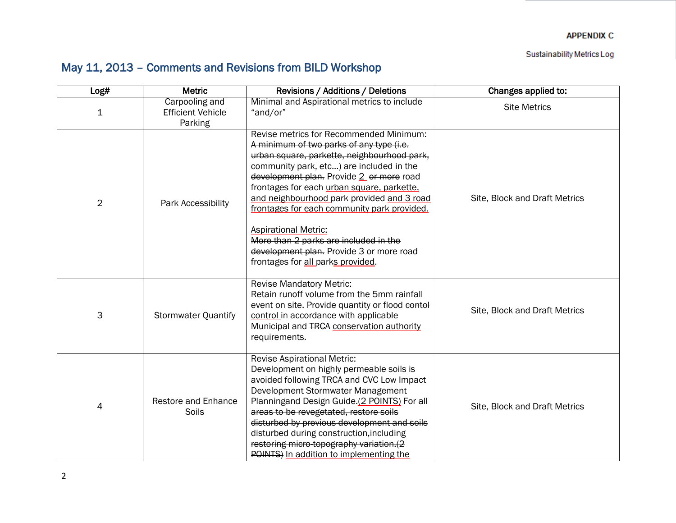Sustainability Metrics Log

# May 11, 2013 – Comments and Revisions from BILD Workshop

| Log#           | <b>Metric</b>                                         | Revisions / Additions / Deletions                                                                                                                                                                                                                                                                                                                                                                                                                                                                                              | Changes applied to:           |
|----------------|-------------------------------------------------------|--------------------------------------------------------------------------------------------------------------------------------------------------------------------------------------------------------------------------------------------------------------------------------------------------------------------------------------------------------------------------------------------------------------------------------------------------------------------------------------------------------------------------------|-------------------------------|
| $\mathbf 1$    | Carpooling and<br><b>Efficient Vehicle</b><br>Parking | Minimal and Aspirational metrics to include<br>"and/or"                                                                                                                                                                                                                                                                                                                                                                                                                                                                        | <b>Site Metrics</b>           |
| $\overline{2}$ | Park Accessibility                                    | Revise metrics for Recommended Minimum:<br>A minimum of two parks of any type (i.e.<br>urban square, parkette, neighbourhood park,<br>community park, etc) are included in the<br>development plan. Provide 2 or more road<br>frontages for each urban square, parkette,<br>and neighbourhood park provided and 3 road<br>frontages for each community park provided.<br><b>Aspirational Metric:</b><br>More than 2 parks are included in the<br>development plan. Provide 3 or more road<br>frontages for all parks provided. | Site, Block and Draft Metrics |
| 3              | <b>Stormwater Quantify</b>                            | <b>Revise Mandatory Metric:</b><br>Retain runoff volume from the 5mm rainfall<br>event on site. Provide quantity or flood contol<br>control in accordance with applicable<br>Municipal and TRCA conservation authority<br>requirements.                                                                                                                                                                                                                                                                                        | Site, Block and Draft Metrics |
| 4              | <b>Restore and Enhance</b><br>Soils                   | <b>Revise Aspirational Metric:</b><br>Development on highly permeable soils is<br>avoided following TRCA and CVC Low Impact<br>Development Stormwater Management<br>Planningand Design Guide.(2 POINTS) For all<br>areas to be revegetated, restore soils<br>disturbed by previous development and soils<br>disturbed during construction, including<br>restoring micro-topography variation.(2<br>POINTS) In addition to implementing the                                                                                     | Site, Block and Draft Metrics |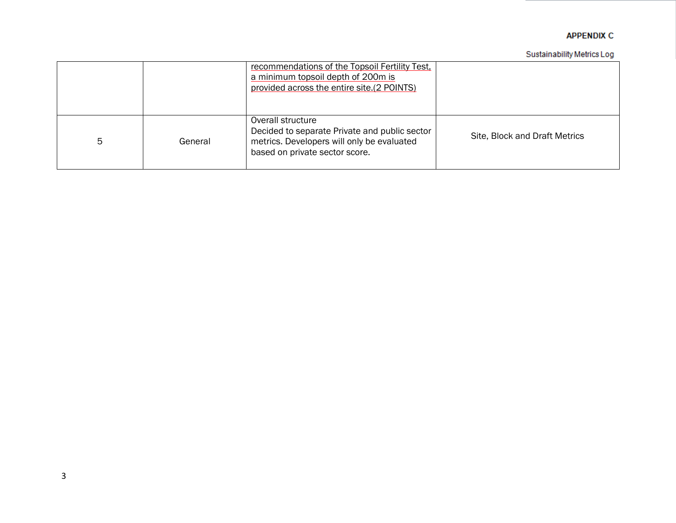#### Sustainability Metrics Log

|   |         | recommendations of the Topsoil Fertility Test,<br>a minimum topsoil depth of 200m is<br>provided across the entire site.(2 POINTS)                 |                               |
|---|---------|----------------------------------------------------------------------------------------------------------------------------------------------------|-------------------------------|
| 5 | General | Overall structure<br>Decided to separate Private and public sector<br>metrics. Developers will only be evaluated<br>based on private sector score. | Site, Block and Draft Metrics |

I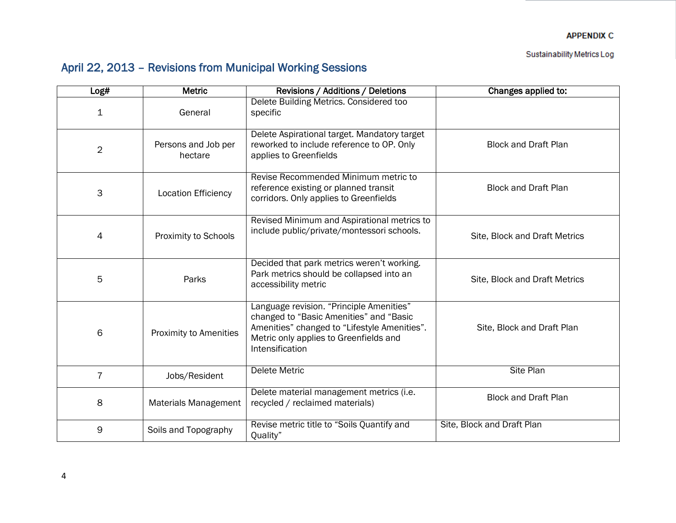Sustainability Metrics Log

# April 22, 2013 – Revisions from Municipal Working Sessions

| Log#           | <b>Metric</b>                  | Revisions / Additions / Deletions                                                                                                                                                                | Changes applied to:           |
|----------------|--------------------------------|--------------------------------------------------------------------------------------------------------------------------------------------------------------------------------------------------|-------------------------------|
| $\mathbf 1$    | General                        | Delete Building Metrics. Considered too<br>specific                                                                                                                                              |                               |
| $\overline{2}$ | Persons and Job per<br>hectare | Delete Aspirational target. Mandatory target<br>reworked to include reference to OP. Only<br>applies to Greenfields                                                                              | <b>Block and Draft Plan</b>   |
| 3              | <b>Location Efficiency</b>     | Revise Recommended Minimum metric to<br>reference existing or planned transit<br>corridors. Only applies to Greenfields                                                                          | <b>Block and Draft Plan</b>   |
| 4              | Proximity to Schools           | Revised Minimum and Aspirational metrics to<br>include public/private/montessori schools.                                                                                                        | Site, Block and Draft Metrics |
| 5              | Parks                          | Decided that park metrics weren't working.<br>Park metrics should be collapsed into an<br>accessibility metric                                                                                   | Site, Block and Draft Metrics |
| 6              | Proximity to Amenities         | Language revision. "Principle Amenities"<br>changed to "Basic Amenities" and "Basic<br>Amenities" changed to "Lifestyle Amenities".<br>Metric only applies to Greenfields and<br>Intensification | Site, Block and Draft Plan    |
| $\overline{7}$ | Jobs/Resident                  | <b>Delete Metric</b>                                                                                                                                                                             | <b>Site Plan</b>              |
| 8              | <b>Materials Management</b>    | Delete material management metrics (i.e.<br>recycled / reclaimed materials)                                                                                                                      | <b>Block and Draft Plan</b>   |
| 9              | Soils and Topography           | Revise metric title to "Soils Quantify and<br>Quality"                                                                                                                                           | Site, Block and Draft Plan    |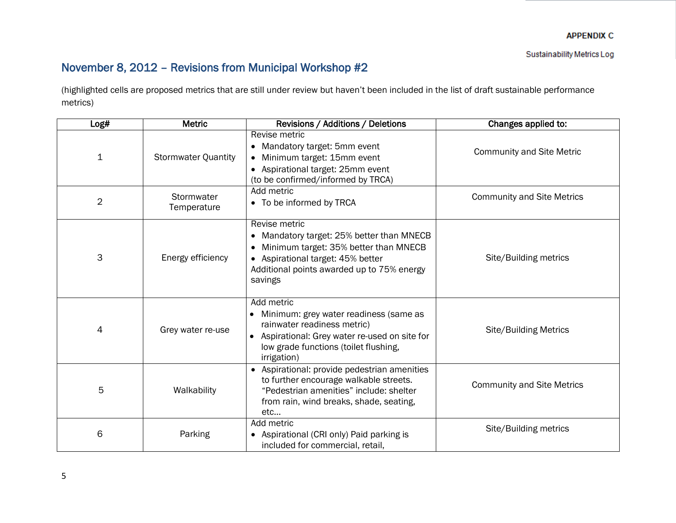## November 8, 2012 – Revisions from Municipal Workshop #2

(highlighted cells are proposed metrics that are still under review but haven't been included in the list of draft sustainable performance metrics)

| Log#           | <b>Metric</b>              | Revisions / Additions / Deletions                                                                                                                                                                 | Changes applied to:               |
|----------------|----------------------------|---------------------------------------------------------------------------------------------------------------------------------------------------------------------------------------------------|-----------------------------------|
| $\mathbf{1}$   | <b>Stormwater Quantity</b> | Revise metric<br>• Mandatory target: 5mm event<br>Minimum target: 15mm event<br>• Aspirational target: 25mm event<br>(to be confirmed/informed by TRCA)                                           | <b>Community and Site Metric</b>  |
| $\overline{2}$ | Stormwater<br>Temperature  | Add metric<br>• To be informed by TRCA                                                                                                                                                            | <b>Community and Site Metrics</b> |
| 3              | Energy efficiency          | Revise metric<br>• Mandatory target: 25% better than MNECB<br>Minimum target: 35% better than MNECB<br>• Aspirational target: 45% better<br>Additional points awarded up to 75% energy<br>savings | Site/Building metrics             |
| 4              | Grey water re-use          | Add metric<br>• Minimum: grey water readiness (same as<br>rainwater readiness metric)<br>• Aspirational: Grey water re-used on site for<br>low grade functions (toilet flushing,<br>irrigation)   | <b>Site/Building Metrics</b>      |
| 5              | Walkability                | • Aspirational: provide pedestrian amenities<br>to further encourage walkable streets.<br>"Pedestrian amenities" include: shelter<br>from rain, wind breaks, shade, seating,<br>etc               | <b>Community and Site Metrics</b> |
| 6              | Parking                    | Add metric<br>• Aspirational (CRI only) Paid parking is<br>included for commercial, retail,                                                                                                       | Site/Building metrics             |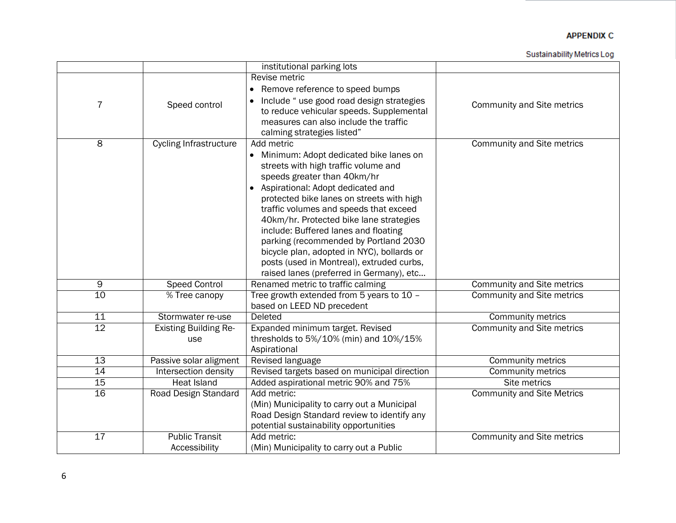|                 |                               | institutional parking lots                   |                                   |
|-----------------|-------------------------------|----------------------------------------------|-----------------------------------|
|                 |                               | Revise metric                                |                                   |
|                 |                               | • Remove reference to speed bumps            |                                   |
| 7               | Speed control                 | Include " use good road design strategies    | Community and Site metrics        |
|                 |                               | to reduce vehicular speeds. Supplemental     |                                   |
|                 |                               | measures can also include the traffic        |                                   |
|                 |                               | calming strategies listed"                   |                                   |
| $\overline{8}$  | <b>Cycling Infrastructure</b> | Add metric                                   | <b>Community and Site metrics</b> |
|                 |                               | • Minimum: Adopt dedicated bike lanes on     |                                   |
|                 |                               | streets with high traffic volume and         |                                   |
|                 |                               | speeds greater than 40km/hr                  |                                   |
|                 |                               | • Aspirational: Adopt dedicated and          |                                   |
|                 |                               | protected bike lanes on streets with high    |                                   |
|                 |                               | traffic volumes and speeds that exceed       |                                   |
|                 |                               | 40km/hr. Protected bike lane strategies      |                                   |
|                 |                               | include: Buffered lanes and floating         |                                   |
|                 |                               | parking (recommended by Portland 2030        |                                   |
|                 |                               | bicycle plan, adopted in NYC), bollards or   |                                   |
|                 |                               | posts (used in Montreal), extruded curbs,    |                                   |
|                 |                               | raised lanes (preferred in Germany), etc     |                                   |
| $\overline{9}$  | <b>Speed Control</b>          | Renamed metric to traffic calming            | <b>Community and Site metrics</b> |
| 10              | % Tree canopy                 | Tree growth extended from 5 years to 10 -    | <b>Community and Site metrics</b> |
|                 |                               | based on LEED ND precedent                   |                                   |
| 11              | Stormwater re-use             | Deleted                                      | Community metrics                 |
| $\overline{12}$ | <b>Existing Building Re-</b>  | Expanded minimum target. Revised             | <b>Community and Site metrics</b> |
|                 | use                           | thresholds to 5%/10% (min) and 10%/15%       |                                   |
|                 |                               | Aspirational                                 |                                   |
| 13              | Passive solar aligment        | Revised language                             | <b>Community metrics</b>          |
| 14              | Intersection density          | Revised targets based on municipal direction | <b>Community metrics</b>          |
| 15              | <b>Heat Island</b>            | Added aspirational metric 90% and 75%        | Site metrics                      |
| 16              | Road Design Standard          | Add metric:                                  | <b>Community and Site Metrics</b> |
|                 |                               | (Min) Municipality to carry out a Municipal  |                                   |
|                 |                               | Road Design Standard review to identify any  |                                   |
|                 |                               | potential sustainability opportunities       |                                   |
| 17              | <b>Public Transit</b>         | Add metric:                                  | <b>Community and Site metrics</b> |
|                 | Accessibility                 | (Min) Municipality to carry out a Public     |                                   |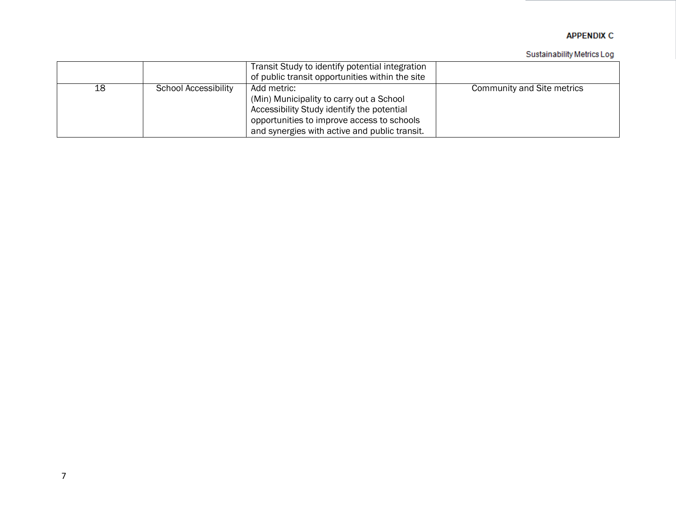|    |                      | Transit Study to identify potential integration<br>of public transit opportunities within the site                                                                                                   |                            |
|----|----------------------|------------------------------------------------------------------------------------------------------------------------------------------------------------------------------------------------------|----------------------------|
| 18 | School Accessibility | Add metric:<br>(Min) Municipality to carry out a School<br>Accessibility Study identify the potential<br>opportunities to improve access to schools<br>and synergies with active and public transit. | Community and Site metrics |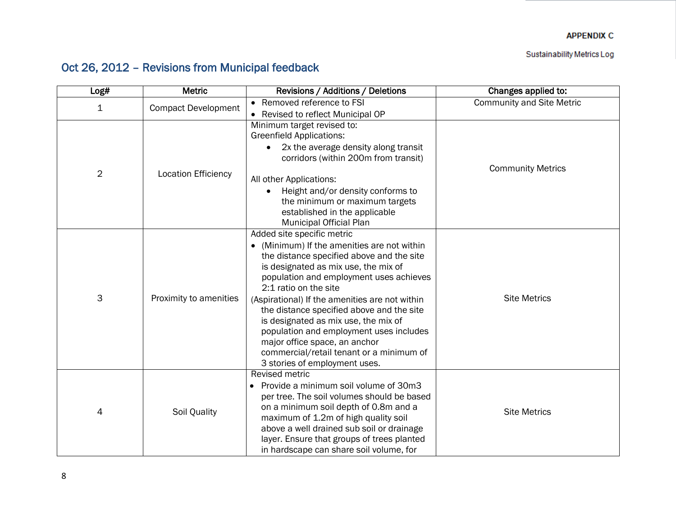Sustainability Metrics Log

# Oct 26, 2012 – Revisions from Municipal feedback

| Log#           | Metric                     | Revisions / Additions / Deletions                                                       | Changes applied to:              |
|----------------|----------------------------|-----------------------------------------------------------------------------------------|----------------------------------|
| $\mathbf 1$    | <b>Compact Development</b> | • Removed reference to FSI                                                              | <b>Community and Site Metric</b> |
|                |                            | • Revised to reflect Municipal OP                                                       |                                  |
|                |                            | Minimum target revised to:                                                              |                                  |
|                |                            | <b>Greenfield Applications:</b>                                                         |                                  |
|                |                            | 2x the average density along transit                                                    |                                  |
|                |                            | corridors (within 200m from transit)                                                    |                                  |
| $\overline{2}$ | <b>Location Efficiency</b> |                                                                                         | <b>Community Metrics</b>         |
|                |                            | All other Applications:                                                                 |                                  |
|                |                            | Height and/or density conforms to<br>the minimum or maximum targets                     |                                  |
|                |                            | established in the applicable                                                           |                                  |
|                |                            | Municipal Official Plan                                                                 |                                  |
|                |                            | Added site specific metric                                                              |                                  |
|                |                            | (Minimum) If the amenities are not within<br>$\bullet$                                  |                                  |
|                |                            | the distance specified above and the site                                               |                                  |
|                |                            | is designated as mix use, the mix of                                                    |                                  |
|                |                            | population and employment uses achieves                                                 |                                  |
|                | Proximity to amenities     | 2:1 ratio on the site                                                                   |                                  |
| 3              |                            | (Aspirational) If the amenities are not within                                          | <b>Site Metrics</b>              |
|                |                            | the distance specified above and the site<br>is designated as mix use, the mix of       |                                  |
|                |                            | population and employment uses includes                                                 |                                  |
|                |                            | major office space, an anchor                                                           |                                  |
|                |                            | commercial/retail tenant or a minimum of                                                |                                  |
|                |                            | 3 stories of employment uses.                                                           |                                  |
|                |                            | <b>Revised metric</b>                                                                   |                                  |
|                |                            | • Provide a minimum soil volume of 30m3                                                 |                                  |
|                |                            | per tree. The soil volumes should be based                                              |                                  |
| 4              | Soil Quality               | on a minimum soil depth of 0.8m and a                                                   | <b>Site Metrics</b>              |
|                |                            | maximum of 1.2m of high quality soil                                                    |                                  |
|                |                            | above a well drained sub soil or drainage<br>layer. Ensure that groups of trees planted |                                  |
|                |                            | in hardscape can share soil volume, for                                                 |                                  |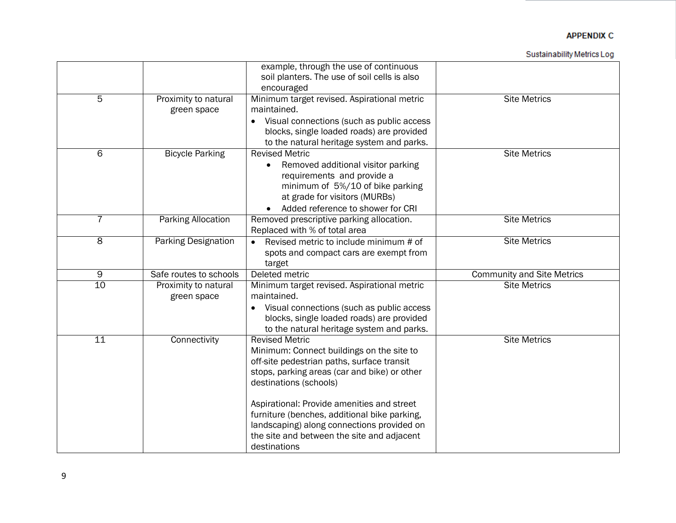|                     |                            | example, through the use of continuous                 |                                   |
|---------------------|----------------------------|--------------------------------------------------------|-----------------------------------|
|                     |                            | soil planters. The use of soil cells is also           |                                   |
|                     |                            | encouraged                                             |                                   |
| 5                   | Proximity to natural       | Minimum target revised. Aspirational metric            | <b>Site Metrics</b>               |
|                     | green space                | maintained.                                            |                                   |
|                     |                            | Visual connections (such as public access<br>$\bullet$ |                                   |
|                     |                            | blocks, single loaded roads) are provided              |                                   |
|                     |                            | to the natural heritage system and parks.              |                                   |
| 6                   | <b>Bicycle Parking</b>     | <b>Revised Metric</b>                                  | <b>Site Metrics</b>               |
|                     |                            | Removed additional visitor parking<br>$\bullet$        |                                   |
|                     |                            | requirements and provide a                             |                                   |
|                     |                            | minimum of 5%/10 of bike parking                       |                                   |
|                     |                            | at grade for visitors (MURBs)                          |                                   |
|                     |                            | Added reference to shower for CRI                      |                                   |
| 7                   | Parking Allocation         | Removed prescriptive parking allocation.               | <b>Site Metrics</b>               |
|                     |                            | Replaced with % of total area                          |                                   |
| $\overline{\infty}$ | <b>Parking Designation</b> | Revised metric to include minimum # of<br>$\bullet$    | <b>Site Metrics</b>               |
|                     |                            | spots and compact cars are exempt from                 |                                   |
|                     |                            | target                                                 |                                   |
| 9                   | Safe routes to schools     | Deleted metric                                         | <b>Community and Site Metrics</b> |
| 10                  | Proximity to natural       | Minimum target revised. Aspirational metric            | <b>Site Metrics</b>               |
|                     | green space                | maintained.                                            |                                   |
|                     |                            | Visual connections (such as public access              |                                   |
|                     |                            | blocks, single loaded roads) are provided              |                                   |
|                     |                            | to the natural heritage system and parks.              |                                   |
| 11                  | Connectivity               | <b>Revised Metric</b>                                  | <b>Site Metrics</b>               |
|                     |                            | Minimum: Connect buildings on the site to              |                                   |
|                     |                            | off-site pedestrian paths, surface transit             |                                   |
|                     |                            | stops, parking areas (car and bike) or other           |                                   |
|                     |                            | destinations (schools)                                 |                                   |
|                     |                            |                                                        |                                   |
|                     |                            | Aspirational: Provide amenities and street             |                                   |
|                     |                            | furniture (benches, additional bike parking,           |                                   |
|                     |                            | landscaping) along connections provided on             |                                   |
|                     |                            | the site and between the site and adjacent             |                                   |
|                     |                            | destinations                                           |                                   |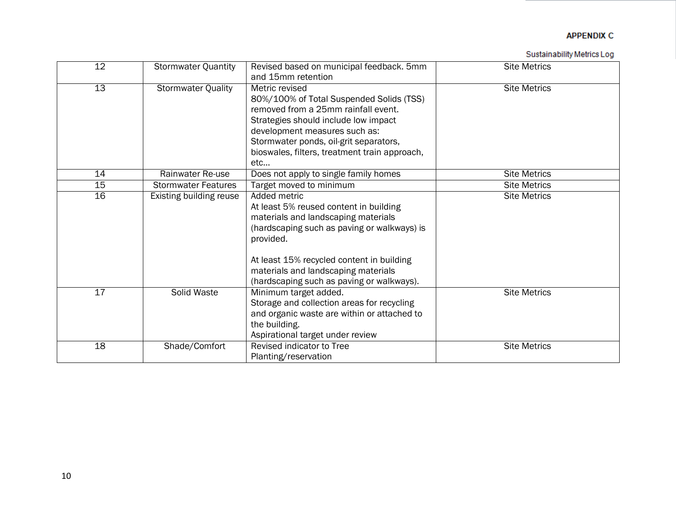| 12 | <b>Stormwater Quantity</b> | Revised based on municipal feedback. 5mm      | <b>Site Metrics</b> |
|----|----------------------------|-----------------------------------------------|---------------------|
|    |                            | and 15mm retention                            |                     |
| 13 | <b>Stormwater Quality</b>  | Metric revised                                | <b>Site Metrics</b> |
|    |                            | 80%/100% of Total Suspended Solids (TSS)      |                     |
|    |                            | removed from a 25mm rainfall event.           |                     |
|    |                            | Strategies should include low impact          |                     |
|    |                            | development measures such as:                 |                     |
|    |                            | Stormwater ponds, oil-grit separators,        |                     |
|    |                            | bioswales, filters, treatment train approach, |                     |
|    |                            | etc                                           |                     |
| 14 | Rainwater Re-use           | Does not apply to single family homes         | <b>Site Metrics</b> |
| 15 | <b>Stormwater Features</b> | Target moved to minimum                       | <b>Site Metrics</b> |
| 16 | Existing building reuse    | Added metric                                  | <b>Site Metrics</b> |
|    |                            | At least 5% reused content in building        |                     |
|    |                            | materials and landscaping materials           |                     |
|    |                            | (hardscaping such as paving or walkways) is   |                     |
|    |                            | provided.                                     |                     |
|    |                            |                                               |                     |
|    |                            | At least 15% recycled content in building     |                     |
|    |                            | materials and landscaping materials           |                     |
|    |                            | (hardscaping such as paving or walkways).     |                     |
| 17 | Solid Waste                | Minimum target added.                         | <b>Site Metrics</b> |
|    |                            | Storage and collection areas for recycling    |                     |
|    |                            | and organic waste are within or attached to   |                     |
|    |                            | the building.                                 |                     |
|    |                            | Aspirational target under review              |                     |
| 18 | Shade/Comfort              | Revised indicator to Tree                     | <b>Site Metrics</b> |
|    |                            |                                               |                     |
|    |                            | Planting/reservation                          |                     |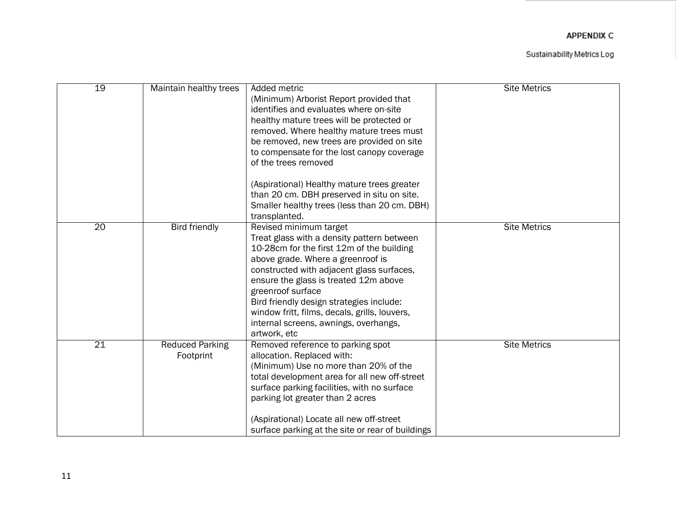| 19              | Maintain healthy trees              | Added metric<br>(Minimum) Arborist Report provided that<br>identifies and evaluates where on-site<br>healthy mature trees will be protected or<br>removed. Where healthy mature trees must<br>be removed, new trees are provided on site<br>to compensate for the lost canopy coverage<br>of the trees removed<br>(Aspirational) Healthy mature trees greater<br>than 20 cm. DBH preserved in situ on site.<br>Smaller healthy trees (less than 20 cm. DBH) | <b>Site Metrics</b> |
|-----------------|-------------------------------------|-------------------------------------------------------------------------------------------------------------------------------------------------------------------------------------------------------------------------------------------------------------------------------------------------------------------------------------------------------------------------------------------------------------------------------------------------------------|---------------------|
|                 |                                     | transplanted.                                                                                                                                                                                                                                                                                                                                                                                                                                               |                     |
| $\overline{20}$ | <b>Bird friendly</b>                | Revised minimum target<br>Treat glass with a density pattern between<br>10-28cm for the first 12m of the building<br>above grade. Where a greenroof is<br>constructed with adjacent glass surfaces,<br>ensure the glass is treated 12m above<br>greenroof surface<br>Bird friendly design strategies include:<br>window fritt, films, decals, grills, louvers,<br>internal screens, awnings, overhangs,<br>artwork, etc                                     | <b>Site Metrics</b> |
| 21              | <b>Reduced Parking</b><br>Footprint | Removed reference to parking spot<br>allocation. Replaced with:<br>(Minimum) Use no more than 20% of the<br>total development area for all new off-street<br>surface parking facilities, with no surface<br>parking lot greater than 2 acres<br>(Aspirational) Locate all new off-street<br>surface parking at the site or rear of buildings                                                                                                                | <b>Site Metrics</b> |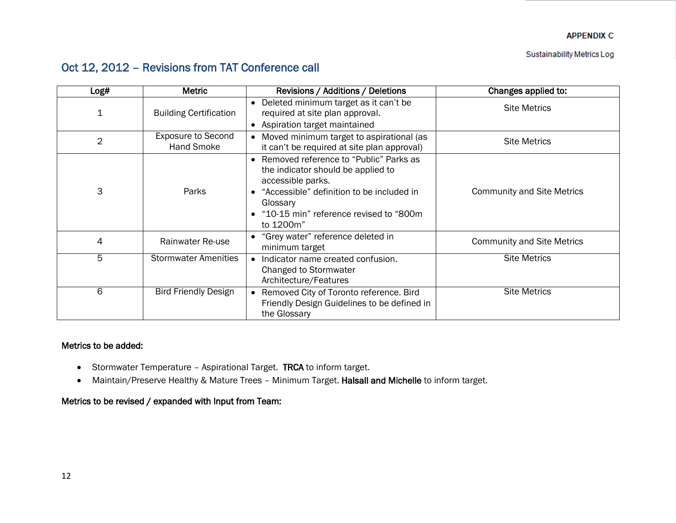## Oct 12, 2012 – Revisions from TAT Conference call

| Log#           | <b>Metric</b>                                  | Revisions / Additions / Deletions                                                                                                                                                                                   | Changes applied to:               |
|----------------|------------------------------------------------|---------------------------------------------------------------------------------------------------------------------------------------------------------------------------------------------------------------------|-----------------------------------|
| 1              | <b>Building Certification</b>                  | • Deleted minimum target as it can't be<br>required at site plan approval.<br>• Aspiration target maintained                                                                                                        | <b>Site Metrics</b>               |
| $\overline{2}$ | <b>Exposure to Second</b><br><b>Hand Smoke</b> | • Moved minimum target to aspirational (as<br>it can't be required at site plan approval)                                                                                                                           | <b>Site Metrics</b>               |
| 3              | Parks                                          | • Removed reference to "Public" Parks as<br>the indicator should be applied to<br>accessible parks.<br>"Accessible" definition to be included in<br>Glossary<br>"10-15 min" reference revised to "800m<br>to 1200m" | <b>Community and Site Metrics</b> |
| 4              | Rainwater Re-use                               | • "Grey water" reference deleted in<br>minimum target                                                                                                                                                               | <b>Community and Site Metrics</b> |
| 5              | <b>Stormwater Amenities</b>                    | Indicator name created confusion.<br>$\bullet$<br>Changed to Stormwater<br>Architecture/Features                                                                                                                    | <b>Site Metrics</b>               |
| 6              | <b>Bird Friendly Design</b>                    | • Removed City of Toronto reference. Bird<br>Friendly Design Guidelines to be defined in<br>the Glossary                                                                                                            | <b>Site Metrics</b>               |

## Metrics to be added:

- Stormwater Temperature Aspirational Target. TRCA to inform target.
- Maintain/Preserve Healthy & Mature Trees Minimum Target. Halsall and Michelle to inform target.

## Metrics to be revised / expanded with Input from Team: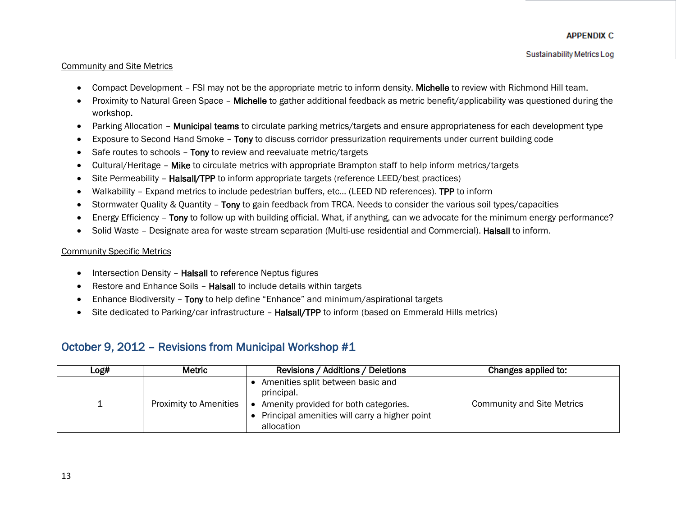### Community and Site Metrics

- Compact Development FSI may not be the appropriate metric to inform density. Michelle to review with Richmond Hill team.
- Proximity to Natural Green Space Michelle to gather additional feedback as metric benefit/applicability was questioned during the workshop.
- Parking Allocation **Municipal teams** to circulate parking metrics/targets and ensure appropriateness for each development type
- **Exposure to Second Hand Smoke Tony to discuss corridor pressurization requirements under current building code**
- Safe routes to schools Tony to review and reevaluate metric/targets
- Cultural/Heritage Mike to circulate metrics with appropriate Brampton staff to help inform metrics/targets
- Site Permeability **Halsall/TPP** to inform appropriate targets (reference LEED/best practices)
- Walkability Expand metrics to include pedestrian buffers, etc… (LEED ND references). TPP to inform
- Stormwater Quality & Quantity Tony to gain feedback from TRCA. Needs to consider the various soil types/capacities
- Energy Efficiency Tony to follow up with building official. What, if anything, can we advocate for the minimum energy performance?
- Solid Waste Designate area for waste stream separation (Multi-use residential and Commercial). Halsall to inform.

### **Community Specific Metrics**

- Intersection Density Halsall to reference Neptus figures
- Restore and Enhance Soils Halsall to include details within targets
- Enhance Biodiversity Tony to help define "Enhance" and minimum/aspirational targets
- Site dedicated to Parking/car infrastructure Halsall/TPP to inform (based on Emmerald Hills metrics)

## October 9, 2012 – Revisions from Municipal Workshop #1

| Log# | Metric                        | Revisions / Additions / Deletions                                                                                                                       | Changes applied to:               |
|------|-------------------------------|---------------------------------------------------------------------------------------------------------------------------------------------------------|-----------------------------------|
|      | <b>Proximity to Amenities</b> | Amenities split between basic and<br>principal.<br>Amenity provided for both categories.<br>Principal amenities will carry a higher point<br>allocation | <b>Community and Site Metrics</b> |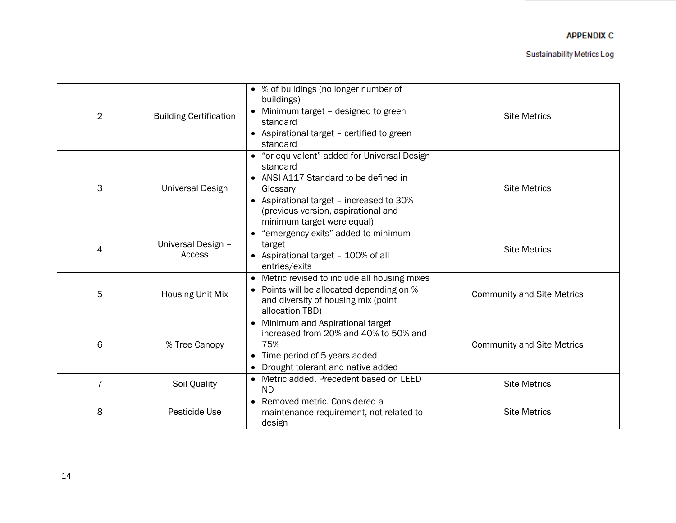| $\overline{2}$ | <b>Building Certification</b> | • % of buildings (no longer number of<br>buildings)<br>• Minimum target - designed to green<br>standard<br>• Aspirational target - certified to green<br>standard                                                              | <b>Site Metrics</b>               |
|----------------|-------------------------------|--------------------------------------------------------------------------------------------------------------------------------------------------------------------------------------------------------------------------------|-----------------------------------|
| 3              | <b>Universal Design</b>       | • "or equivalent" added for Universal Design<br>standard<br>• ANSI A117 Standard to be defined in<br>Glossary<br>• Aspirational target - increased to 30%<br>(previous version, aspirational and<br>minimum target were equal) | <b>Site Metrics</b>               |
| 4              | Universal Design -<br>Access  | • "emergency exits" added to minimum<br>target<br>• Aspirational target - 100% of all<br>entries/exits                                                                                                                         | <b>Site Metrics</b>               |
| 5              | <b>Housing Unit Mix</b>       | • Metric revised to include all housing mixes<br>• Points will be allocated depending on %<br>and diversity of housing mix (point<br>allocation TBD)                                                                           | <b>Community and Site Metrics</b> |
| 6              | % Tree Canopy                 | Minimum and Aspirational target<br>increased from 20% and 40% to 50% and<br>75%<br>Time period of 5 years added<br>Drought tolerant and native added                                                                           | <b>Community and Site Metrics</b> |
| 7              | Soil Quality                  | Metric added. Precedent based on LEED<br><b>ND</b>                                                                                                                                                                             | <b>Site Metrics</b>               |
| 8              | Pesticide Use                 | • Removed metric. Considered a<br>maintenance requirement, not related to<br>design                                                                                                                                            | <b>Site Metrics</b>               |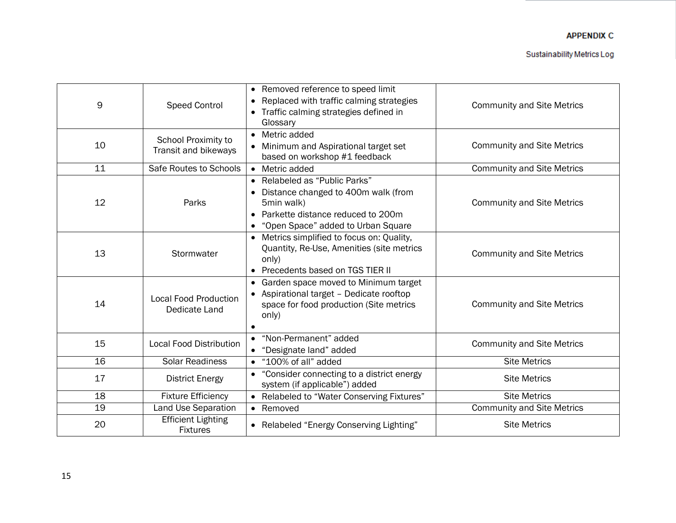## Appendix C

Sustainability Metrics Log

| 9               | <b>Speed Control</b>                          | • Removed reference to speed limit<br>Replaced with traffic calming strategies<br>Traffic calming strategies defined in<br>Glossary                           | <b>Community and Site Metrics</b> |
|-----------------|-----------------------------------------------|---------------------------------------------------------------------------------------------------------------------------------------------------------------|-----------------------------------|
| 10              | School Proximity to<br>Transit and bikeways   | • Metric added<br>Minimum and Aspirational target set<br>$\bullet$<br>based on workshop #1 feedback                                                           | <b>Community and Site Metrics</b> |
| 11              | Safe Routes to Schools                        | • Metric added                                                                                                                                                | <b>Community and Site Metrics</b> |
| 12              | Parks                                         | • Relabeled as "Public Parks"<br>Distance changed to 400m walk (from<br>5min walk)<br>Parkette distance reduced to 200m<br>"Open Space" added to Urban Square | <b>Community and Site Metrics</b> |
| 13              | Stormwater                                    | • Metrics simplified to focus on: Quality,<br>Quantity, Re-Use, Amenities (site metrics<br>only)<br>• Precedents based on TGS TIER II                         | <b>Community and Site Metrics</b> |
| 14              | <b>Local Food Production</b><br>Dedicate Land | Garden space moved to Minimum target<br>Aspirational target - Dedicate rooftop<br>space for food production (Site metrics<br>only)                            | <b>Community and Site Metrics</b> |
| 15              | <b>Local Food Distribution</b>                | • "Non-Permanent" added<br>"Designate land" added                                                                                                             | <b>Community and Site Metrics</b> |
| 16              | <b>Solar Readiness</b>                        | $\bullet$ "100% of all" added                                                                                                                                 | <b>Site Metrics</b>               |
| 17              | <b>District Energy</b>                        | "Consider connecting to a district energy<br>$\bullet$<br>system (if applicable") added                                                                       | <b>Site Metrics</b>               |
| $\overline{18}$ | <b>Fixture Efficiency</b>                     | • Relabeled to "Water Conserving Fixtures"                                                                                                                    | <b>Site Metrics</b>               |
| $\overline{19}$ | Land Use Separation                           | • Removed                                                                                                                                                     | <b>Community and Site Metrics</b> |
| 20              | <b>Efficient Lighting</b><br><b>Fixtures</b>  | • Relabeled "Energy Conserving Lighting"                                                                                                                      | <b>Site Metrics</b>               |